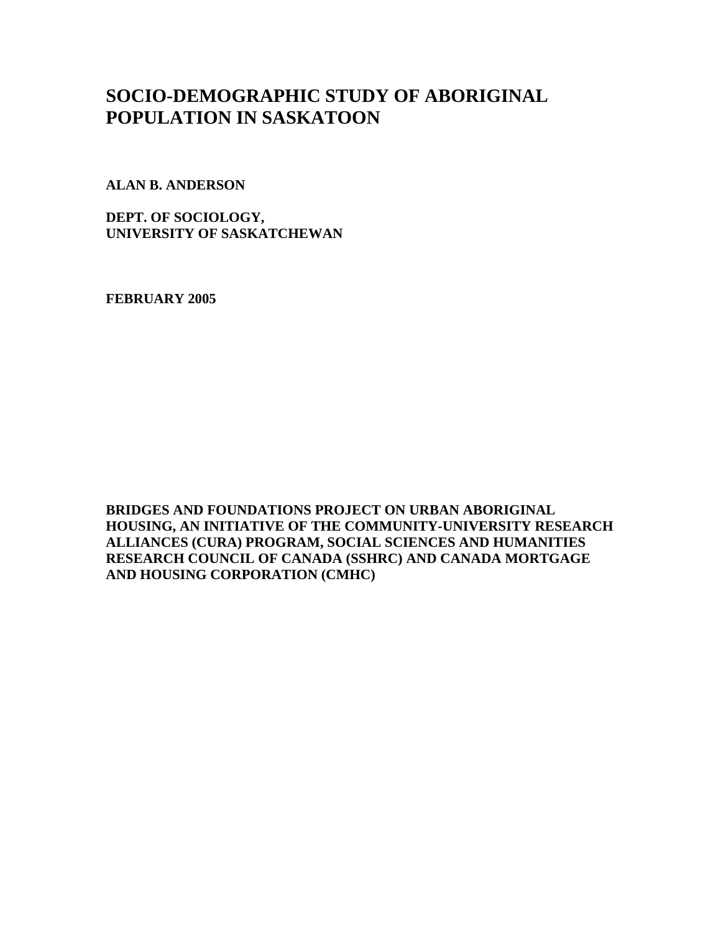# **SOCIO-DEMOGRAPHIC STUDY OF ABORIGINAL POPULATION IN SASKATOON**

**ALAN B. ANDERSON** 

**DEPT. OF SOCIOLOGY, UNIVERSITY OF SASKATCHEWAN** 

**FEBRUARY 2005** 

**BRIDGES AND FOUNDATIONS PROJECT ON URBAN ABORIGINAL HOUSING, AN INITIATIVE OF THE COMMUNITY-UNIVERSITY RESEARCH ALLIANCES (CURA) PROGRAM, SOCIAL SCIENCES AND HUMANITIES RESEARCH COUNCIL OF CANADA (SSHRC) AND CANADA MORTGAGE AND HOUSING CORPORATION (CMHC)**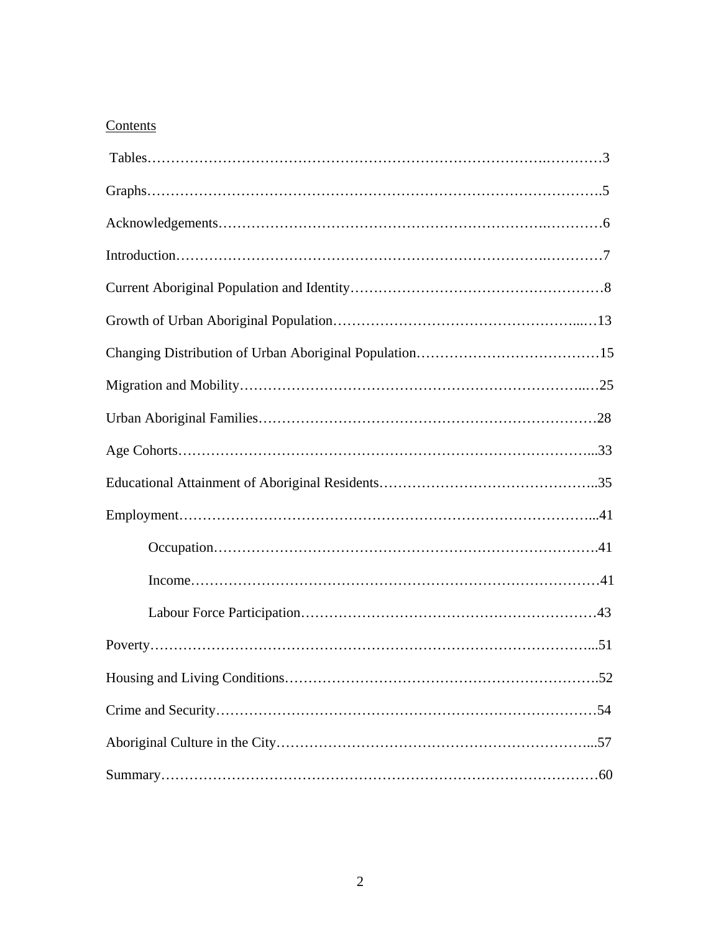## **Contents**

| $Income \dots 11$ |
|-------------------|
|                   |
|                   |
|                   |
|                   |
|                   |
|                   |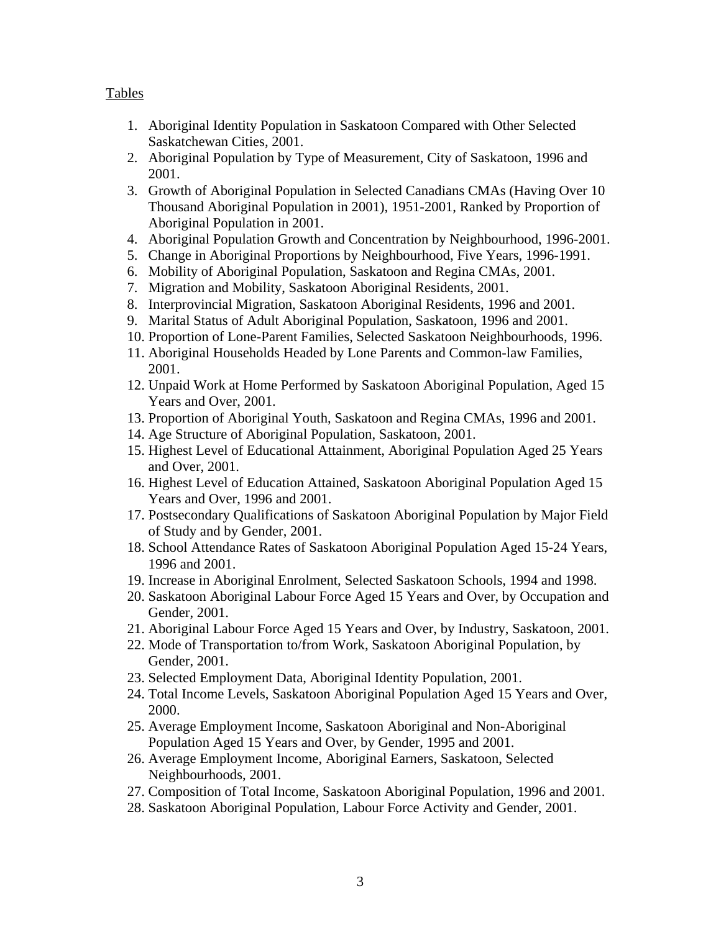### Tables

- 1. Aboriginal Identity Population in Saskatoon Compared with Other Selected Saskatchewan Cities, 2001.
- 2. Aboriginal Population by Type of Measurement, City of Saskatoon, 1996 and 2001.
- 3. Growth of Aboriginal Population in Selected Canadians CMAs (Having Over 10 Thousand Aboriginal Population in 2001), 1951-2001, Ranked by Proportion of Aboriginal Population in 2001.
- 4. Aboriginal Population Growth and Concentration by Neighbourhood, 1996-2001.
- 5. Change in Aboriginal Proportions by Neighbourhood, Five Years, 1996-1991.
- 6. Mobility of Aboriginal Population, Saskatoon and Regina CMAs, 2001.
- 7. Migration and Mobility, Saskatoon Aboriginal Residents, 2001.
- 8. Interprovincial Migration, Saskatoon Aboriginal Residents, 1996 and 2001.
- 9. Marital Status of Adult Aboriginal Population, Saskatoon, 1996 and 2001.
- 10. Proportion of Lone-Parent Families, Selected Saskatoon Neighbourhoods, 1996.
- 11. Aboriginal Households Headed by Lone Parents and Common-law Families, 2001.
- 12. Unpaid Work at Home Performed by Saskatoon Aboriginal Population, Aged 15 Years and Over, 2001.
- 13. Proportion of Aboriginal Youth, Saskatoon and Regina CMAs, 1996 and 2001.
- 14. Age Structure of Aboriginal Population, Saskatoon, 2001.
- 15. Highest Level of Educational Attainment, Aboriginal Population Aged 25 Years and Over, 2001.
- 16. Highest Level of Education Attained, Saskatoon Aboriginal Population Aged 15 Years and Over, 1996 and 2001.
- 17. Postsecondary Qualifications of Saskatoon Aboriginal Population by Major Field of Study and by Gender, 2001.
- 18. School Attendance Rates of Saskatoon Aboriginal Population Aged 15-24 Years, 1996 and 2001.
- 19. Increase in Aboriginal Enrolment, Selected Saskatoon Schools, 1994 and 1998.
- 20. Saskatoon Aboriginal Labour Force Aged 15 Years and Over, by Occupation and Gender, 2001.
- 21. Aboriginal Labour Force Aged 15 Years and Over, by Industry, Saskatoon, 2001.
- 22. Mode of Transportation to/from Work, Saskatoon Aboriginal Population, by Gender, 2001.
- 23. Selected Employment Data, Aboriginal Identity Population, 2001.
- 24. Total Income Levels, Saskatoon Aboriginal Population Aged 15 Years and Over, 2000.
- 25. Average Employment Income, Saskatoon Aboriginal and Non-Aboriginal Population Aged 15 Years and Over, by Gender, 1995 and 2001.
- 26. Average Employment Income, Aboriginal Earners, Saskatoon, Selected Neighbourhoods, 2001.
- 27. Composition of Total Income, Saskatoon Aboriginal Population, 1996 and 2001.
- 28. Saskatoon Aboriginal Population, Labour Force Activity and Gender, 2001.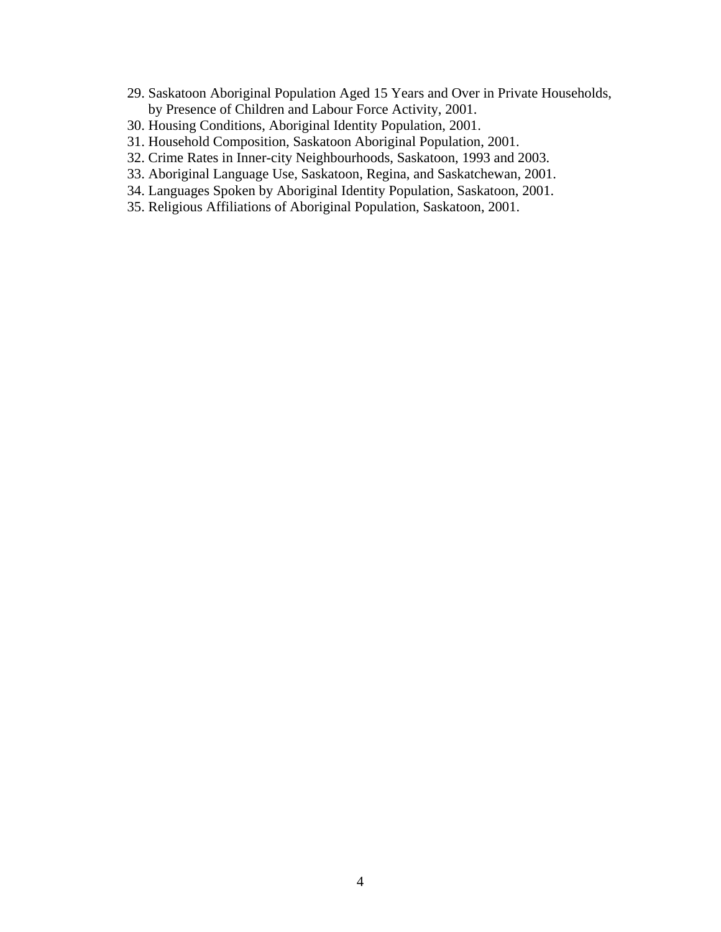- 29. Saskatoon Aboriginal Population Aged 15 Years and Over in Private Households, by Presence of Children and Labour Force Activity, 2001.
- 30. Housing Conditions, Aboriginal Identity Population, 2001.
- 31. Household Composition, Saskatoon Aboriginal Population, 2001.
- 32. Crime Rates in Inner-city Neighbourhoods, Saskatoon, 1993 and 2003.
- 33. Aboriginal Language Use, Saskatoon, Regina, and Saskatchewan, 2001.
- 34. Languages Spoken by Aboriginal Identity Population, Saskatoon, 2001.
- 35. Religious Affiliations of Aboriginal Population, Saskatoon, 2001.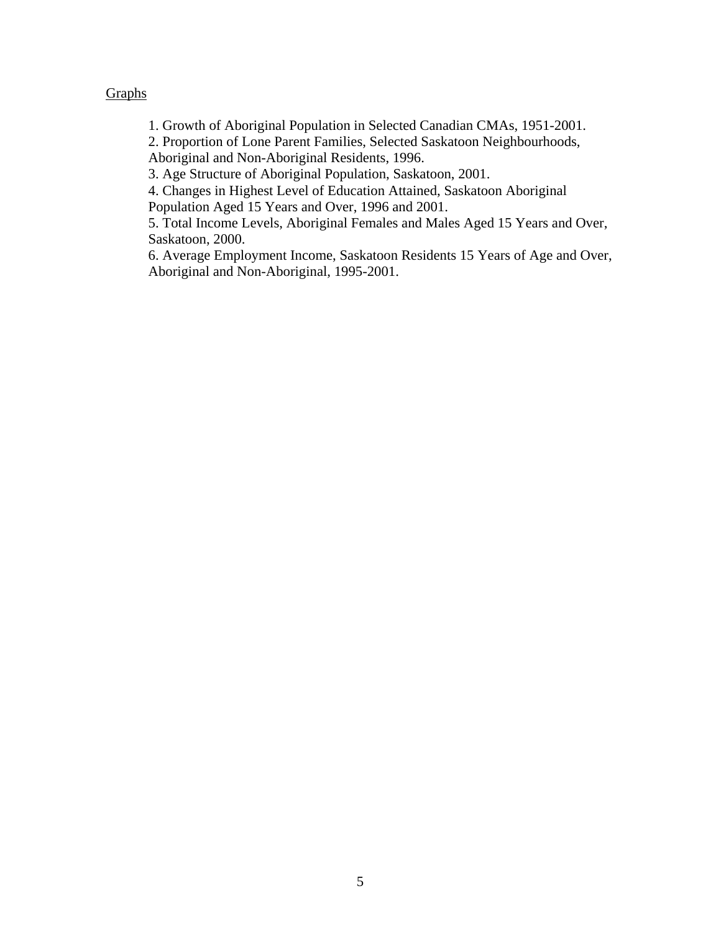### **Graphs**

1. Growth of Aboriginal Population in Selected Canadian CMAs, 1951-2001.

2. Proportion of Lone Parent Families, Selected Saskatoon Neighbourhoods, Aboriginal and Non-Aboriginal Residents, 1996.

3. Age Structure of Aboriginal Population, Saskatoon, 2001.

4. Changes in Highest Level of Education Attained, Saskatoon Aboriginal Population Aged 15 Years and Over, 1996 and 2001.

5. Total Income Levels, Aboriginal Females and Males Aged 15 Years and Over, Saskatoon, 2000.

6. Average Employment Income, Saskatoon Residents 15 Years of Age and Over, Aboriginal and Non-Aboriginal, 1995-2001.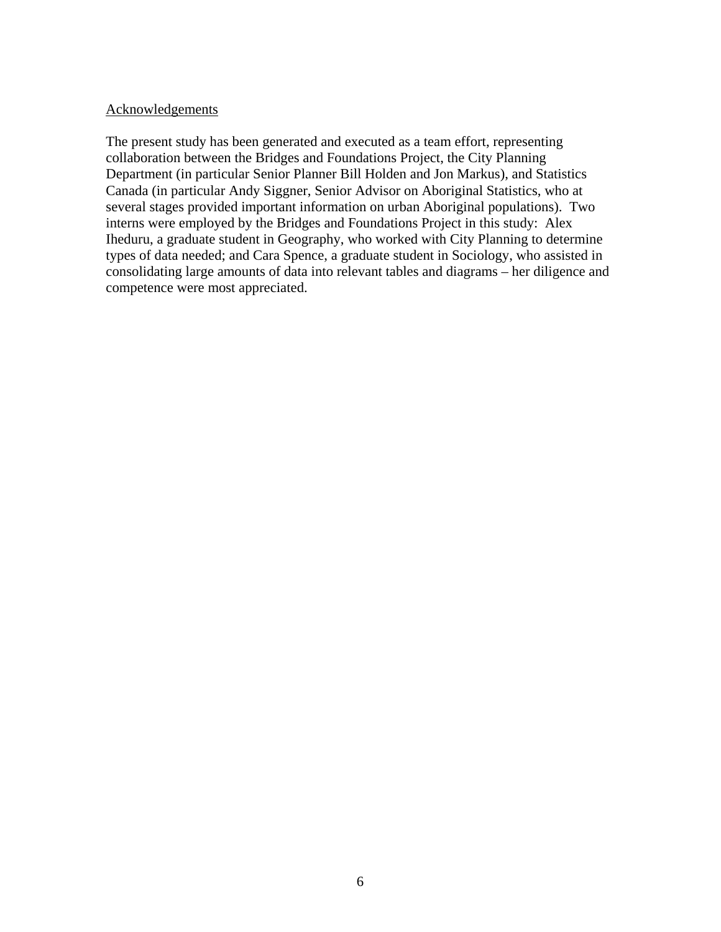#### **Acknowledgements**

The present study has been generated and executed as a team effort, representing collaboration between the Bridges and Foundations Project, the City Planning Department (in particular Senior Planner Bill Holden and Jon Markus), and Statistics Canada (in particular Andy Siggner, Senior Advisor on Aboriginal Statistics, who at several stages provided important information on urban Aboriginal populations). Two interns were employed by the Bridges and Foundations Project in this study: Alex Iheduru, a graduate student in Geography, who worked with City Planning to determine types of data needed; and Cara Spence, a graduate student in Sociology, who assisted in consolidating large amounts of data into relevant tables and diagrams – her diligence and competence were most appreciated.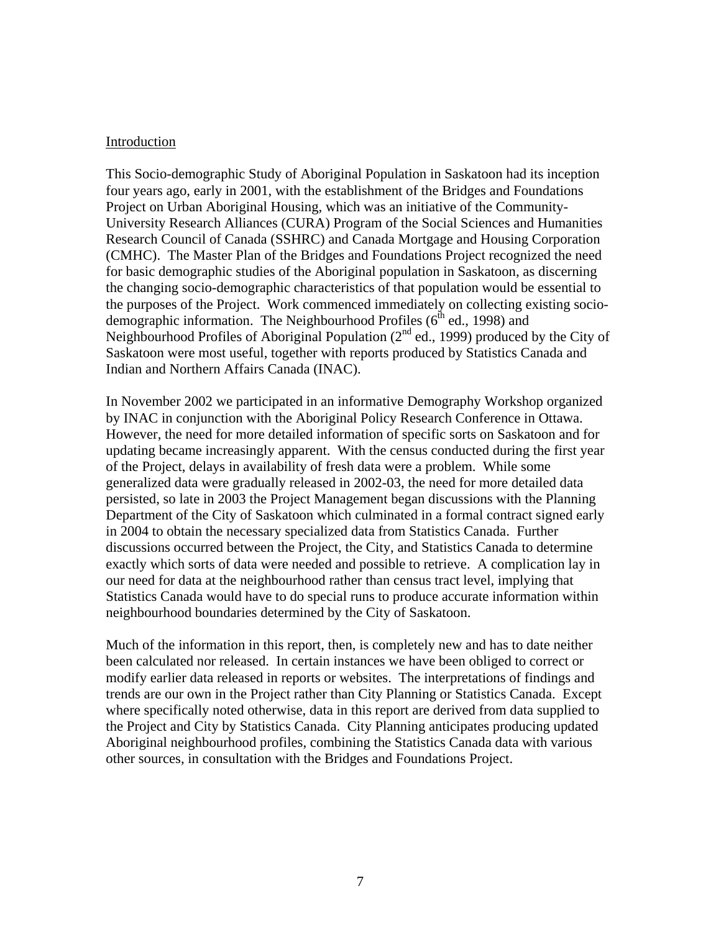#### **Introduction**

This Socio-demographic Study of Aboriginal Population in Saskatoon had its inception four years ago, early in 2001, with the establishment of the Bridges and Foundations Project on Urban Aboriginal Housing, which was an initiative of the Community-University Research Alliances (CURA) Program of the Social Sciences and Humanities Research Council of Canada (SSHRC) and Canada Mortgage and Housing Corporation (CMHC). The Master Plan of the Bridges and Foundations Project recognized the need for basic demographic studies of the Aboriginal population in Saskatoon, as discerning the changing socio-demographic characteristics of that population would be essential to the purposes of the Project. Work commenced immediately on collecting existing sociodemographic information. The Neighbourhood Profiles (6<sup>th</sup> ed., 1998) and Neighbourhood Profiles of Aboriginal Population  $(2^{nd}$  ed., 1999) produced by the City of Saskatoon were most useful, together with reports produced by Statistics Canada and Indian and Northern Affairs Canada (INAC).

In November 2002 we participated in an informative Demography Workshop organized by INAC in conjunction with the Aboriginal Policy Research Conference in Ottawa. However, the need for more detailed information of specific sorts on Saskatoon and for updating became increasingly apparent. With the census conducted during the first year of the Project, delays in availability of fresh data were a problem. While some generalized data were gradually released in 2002-03, the need for more detailed data persisted, so late in 2003 the Project Management began discussions with the Planning Department of the City of Saskatoon which culminated in a formal contract signed early in 2004 to obtain the necessary specialized data from Statistics Canada. Further discussions occurred between the Project, the City, and Statistics Canada to determine exactly which sorts of data were needed and possible to retrieve. A complication lay in our need for data at the neighbourhood rather than census tract level, implying that Statistics Canada would have to do special runs to produce accurate information within neighbourhood boundaries determined by the City of Saskatoon.

Much of the information in this report, then, is completely new and has to date neither been calculated nor released. In certain instances we have been obliged to correct or modify earlier data released in reports or websites. The interpretations of findings and trends are our own in the Project rather than City Planning or Statistics Canada. Except where specifically noted otherwise, data in this report are derived from data supplied to the Project and City by Statistics Canada. City Planning anticipates producing updated Aboriginal neighbourhood profiles, combining the Statistics Canada data with various other sources, in consultation with the Bridges and Foundations Project.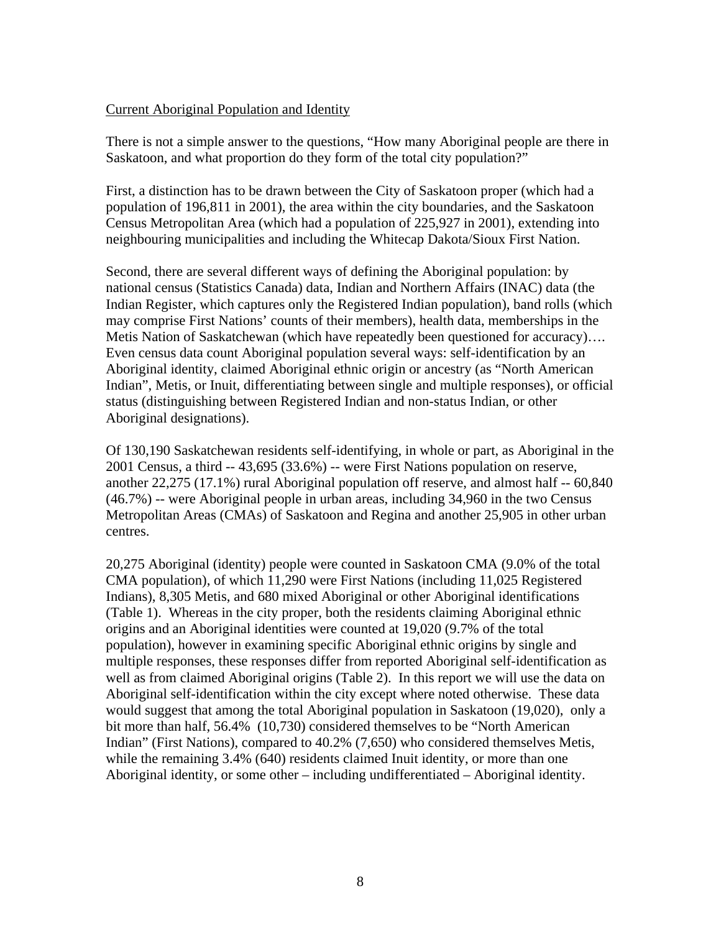#### Current Aboriginal Population and Identity

There is not a simple answer to the questions, "How many Aboriginal people are there in Saskatoon, and what proportion do they form of the total city population?"

First, a distinction has to be drawn between the City of Saskatoon proper (which had a population of 196,811 in 2001), the area within the city boundaries, and the Saskatoon Census Metropolitan Area (which had a population of 225,927 in 2001), extending into neighbouring municipalities and including the Whitecap Dakota/Sioux First Nation.

Second, there are several different ways of defining the Aboriginal population: by national census (Statistics Canada) data, Indian and Northern Affairs (INAC) data (the Indian Register, which captures only the Registered Indian population), band rolls (which may comprise First Nations' counts of their members), health data, memberships in the Metis Nation of Saskatchewan (which have repeatedly been questioned for accuracy)…. Even census data count Aboriginal population several ways: self-identification by an Aboriginal identity, claimed Aboriginal ethnic origin or ancestry (as "North American Indian", Metis, or Inuit, differentiating between single and multiple responses), or official status (distinguishing between Registered Indian and non-status Indian, or other Aboriginal designations).

Of 130,190 Saskatchewan residents self-identifying, in whole or part, as Aboriginal in the 2001 Census, a third -- 43,695 (33.6%) -- were First Nations population on reserve, another 22,275 (17.1%) rural Aboriginal population off reserve, and almost half -- 60,840 (46.7%) -- were Aboriginal people in urban areas, including 34,960 in the two Census Metropolitan Areas (CMAs) of Saskatoon and Regina and another 25,905 in other urban centres.

20,275 Aboriginal (identity) people were counted in Saskatoon CMA (9.0% of the total CMA population), of which 11,290 were First Nations (including 11,025 Registered Indians), 8,305 Metis, and 680 mixed Aboriginal or other Aboriginal identifications (Table 1). Whereas in the city proper, both the residents claiming Aboriginal ethnic origins and an Aboriginal identities were counted at 19,020 (9.7% of the total population), however in examining specific Aboriginal ethnic origins by single and multiple responses, these responses differ from reported Aboriginal self-identification as well as from claimed Aboriginal origins (Table 2). In this report we will use the data on Aboriginal self-identification within the city except where noted otherwise. These data would suggest that among the total Aboriginal population in Saskatoon (19,020), only a bit more than half, 56.4% (10,730) considered themselves to be "North American Indian" (First Nations), compared to 40.2% (7,650) who considered themselves Metis, while the remaining 3.4% (640) residents claimed Inuit identity, or more than one Aboriginal identity, or some other – including undifferentiated – Aboriginal identity.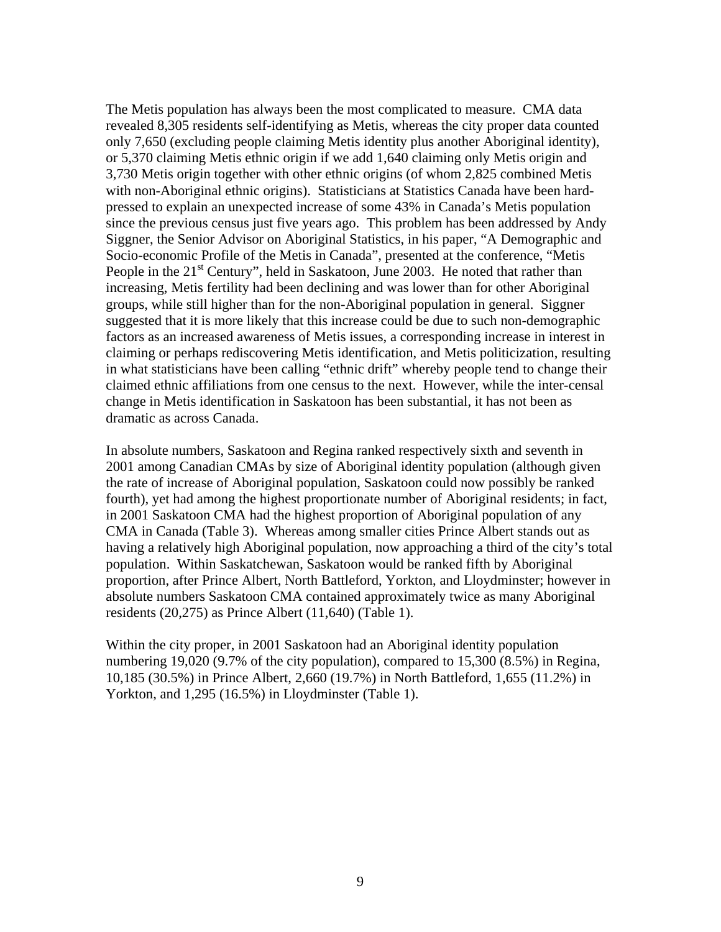The Metis population has always been the most complicated to measure. CMA data revealed 8,305 residents self-identifying as Metis, whereas the city proper data counted only 7,650 (excluding people claiming Metis identity plus another Aboriginal identity), or 5,370 claiming Metis ethnic origin if we add 1,640 claiming only Metis origin and 3,730 Metis origin together with other ethnic origins (of whom 2,825 combined Metis with non-Aboriginal ethnic origins). Statisticians at Statistics Canada have been hardpressed to explain an unexpected increase of some 43% in Canada's Metis population since the previous census just five years ago. This problem has been addressed by Andy Siggner, the Senior Advisor on Aboriginal Statistics, in his paper, "A Demographic and Socio-economic Profile of the Metis in Canada", presented at the conference, "Metis People in the  $21<sup>st</sup>$  Century", held in Saskatoon, June 2003. He noted that rather than increasing, Metis fertility had been declining and was lower than for other Aboriginal groups, while still higher than for the non-Aboriginal population in general. Siggner suggested that it is more likely that this increase could be due to such non-demographic factors as an increased awareness of Metis issues, a corresponding increase in interest in claiming or perhaps rediscovering Metis identification, and Metis politicization, resulting in what statisticians have been calling "ethnic drift" whereby people tend to change their claimed ethnic affiliations from one census to the next. However, while the inter-censal change in Metis identification in Saskatoon has been substantial, it has not been as dramatic as across Canada.

In absolute numbers, Saskatoon and Regina ranked respectively sixth and seventh in 2001 among Canadian CMAs by size of Aboriginal identity population (although given the rate of increase of Aboriginal population, Saskatoon could now possibly be ranked fourth), yet had among the highest proportionate number of Aboriginal residents; in fact, in 2001 Saskatoon CMA had the highest proportion of Aboriginal population of any CMA in Canada (Table 3). Whereas among smaller cities Prince Albert stands out as having a relatively high Aboriginal population, now approaching a third of the city's total population. Within Saskatchewan, Saskatoon would be ranked fifth by Aboriginal proportion, after Prince Albert, North Battleford, Yorkton, and Lloydminster; however in absolute numbers Saskatoon CMA contained approximately twice as many Aboriginal residents (20,275) as Prince Albert (11,640) (Table 1).

Within the city proper, in 2001 Saskatoon had an Aboriginal identity population numbering 19,020 (9.7% of the city population), compared to 15,300 (8.5%) in Regina, 10,185 (30.5%) in Prince Albert, 2,660 (19.7%) in North Battleford, 1,655 (11.2%) in Yorkton, and 1,295 (16.5%) in Lloydminster (Table 1).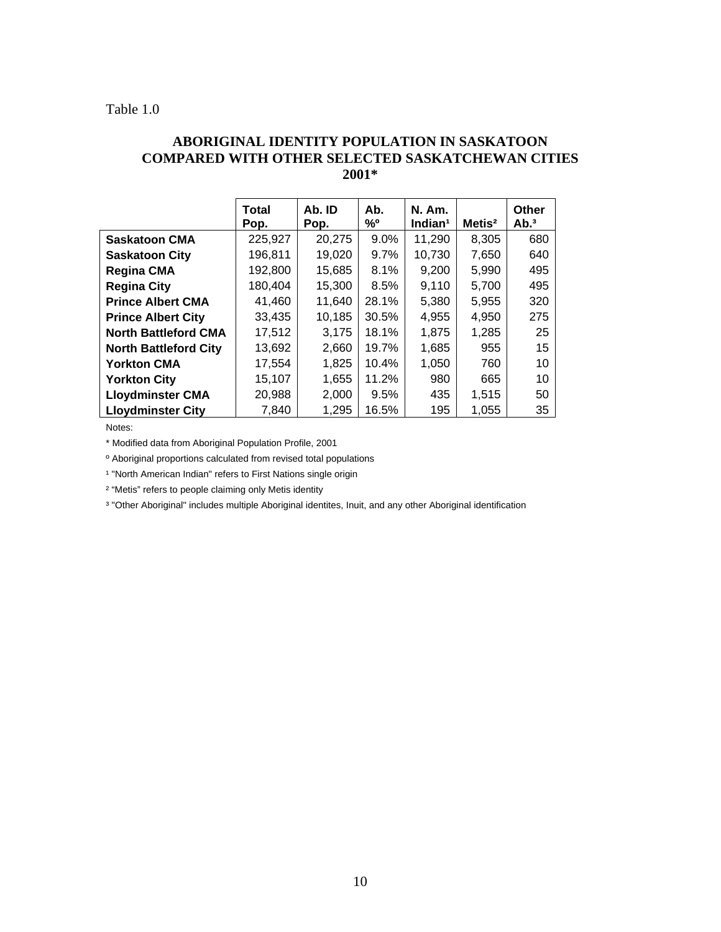#### Table 1.0

### **ABORIGINAL IDENTITY POPULATION IN SASKATOON COMPARED WITH OTHER SELECTED SASKATCHEWAN CITIES 2001\***

|                              | Total<br>Pop. | Ab. ID<br>Pop. | Ab.<br>%º | <b>N. Am.</b><br>Indian <sup>1</sup> | Mets <sup>2</sup> | Other<br>Ab. <sup>3</sup> |
|------------------------------|---------------|----------------|-----------|--------------------------------------|-------------------|---------------------------|
| <b>Saskatoon CMA</b>         | 225,927       | 20,275         | 9.0%      | 11,290                               | 8,305             | 680                       |
| <b>Saskatoon City</b>        | 196,811       | 19,020         | $9.7\%$   | 10,730                               | 7,650             | 640                       |
| <b>Regina CMA</b>            | 192,800       | 15,685         | 8.1%      | 9,200                                | 5,990             | 495                       |
| <b>Regina City</b>           | 180,404       | 15,300         | 8.5%      | 9,110                                | 5,700             | 495                       |
| <b>Prince Albert CMA</b>     | 41,460        | 11,640         | 28.1%     | 5,380                                | 5,955             | 320                       |
| <b>Prince Albert City</b>    | 33,435        | 10,185         | 30.5%     | 4,955                                | 4,950             | 275                       |
| <b>North Battleford CMA</b>  | 17,512        | 3,175          | 18.1%     | 1,875                                | 1,285             | 25                        |
| <b>North Battleford City</b> | 13,692        | 2,660          | 19.7%     | 1,685                                | 955               | 15                        |
| <b>Yorkton CMA</b>           | 17,554        | 1,825          | 10.4%     | 1,050                                | 760               | 10                        |
| <b>Yorkton City</b>          | 15,107        | 1,655          | 11.2%     | 980                                  | 665               | 10                        |
| <b>Lloydminster CMA</b>      | 20,988        | 2,000          | 9.5%      | 435                                  | 1,515             | 50                        |
| <b>Lloydminster City</b>     | 7,840         | 1,295          | 16.5%     | 195                                  | 1,055             | 35                        |

Notes:

\* Modified data from Aboriginal Population Profile, 2001

º Aboriginal proportions calculated from revised total populations

<sup>1</sup> "North American Indian" refers to First Nations single origin

² "Metis" refers to people claiming only Metis identity

<sup>3</sup> "Other Aboriginal" includes multiple Aboriginal identites, Inuit, and any other Aboriginal identification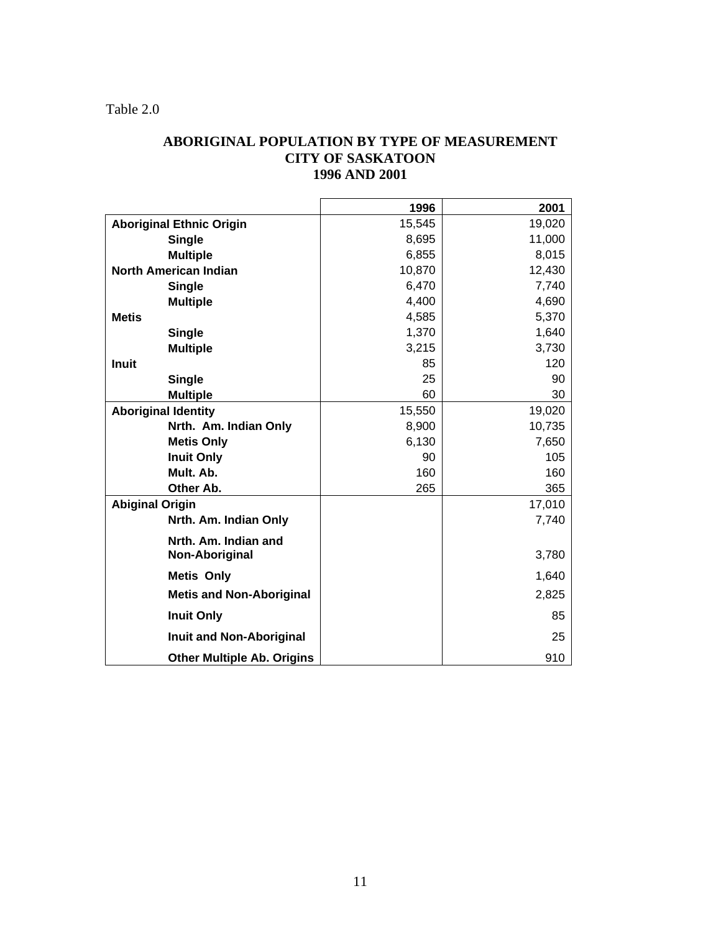Table 2.0

### **ABORIGINAL POPULATION BY TYPE OF MEASUREMENT CITY OF SASKATOON 1996 AND 2001**

|                                   | 1996   | 2001   |
|-----------------------------------|--------|--------|
| <b>Aboriginal Ethnic Origin</b>   | 15,545 | 19,020 |
| <b>Single</b>                     | 8,695  | 11,000 |
| <b>Multiple</b>                   | 6,855  | 8,015  |
| <b>North American Indian</b>      | 10,870 | 12,430 |
| <b>Single</b>                     | 6,470  | 7,740  |
| <b>Multiple</b>                   | 4,400  | 4,690  |
| <b>Metis</b>                      | 4,585  | 5,370  |
| <b>Single</b>                     | 1,370  | 1,640  |
| <b>Multiple</b>                   | 3,215  | 3,730  |
| <b>Inuit</b>                      | 85     | 120    |
| Single                            | 25     | 90     |
| <b>Multiple</b>                   | 60     | 30     |
| <b>Aboriginal Identity</b>        | 15,550 | 19,020 |
| Nrth. Am. Indian Only             | 8,900  | 10,735 |
| <b>Metis Only</b>                 | 6,130  | 7,650  |
| <b>Inuit Only</b>                 | 90     | 105    |
| Mult. Ab.                         | 160    | 160    |
| Other Ab.                         | 265    | 365    |
| <b>Abiginal Origin</b>            |        | 17,010 |
| Nrth. Am. Indian Only             |        | 7,740  |
| Nrth. Am. Indian and              |        |        |
| Non-Aboriginal                    |        | 3,780  |
| <b>Metis Only</b>                 |        | 1,640  |
| <b>Metis and Non-Aboriginal</b>   |        | 2,825  |
| <b>Inuit Only</b>                 |        | 85     |
| Inuit and Non-Aboriginal          |        | 25     |
| <b>Other Multiple Ab. Origins</b> |        | 910    |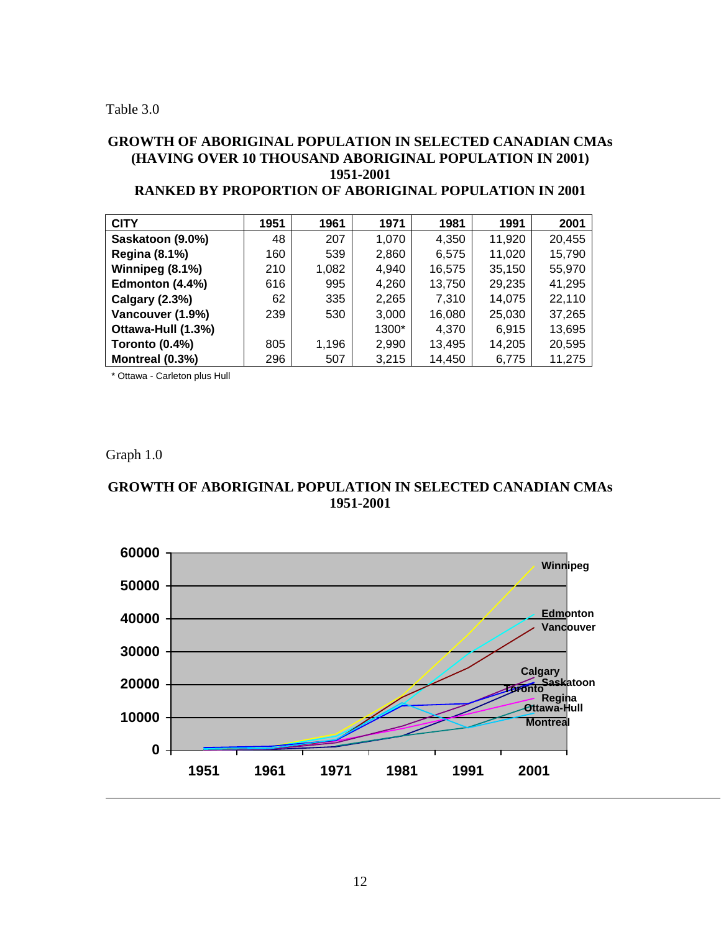#### **GROWTH OF ABORIGINAL POPULATION IN SELECTED CANADIAN CMAs (HAVING OVER 10 THOUSAND ABORIGINAL POPULATION IN 2001) 1951-2001 RANGED BY PROPE**

| RANKED BY PROPORTION OF ABORIGINAL POPULATION IN 2001 |  |  |  |  |
|-------------------------------------------------------|--|--|--|--|
|                                                       |  |  |  |  |

| <b>CITY</b>           | 1951 | 1961  | 1971  | 1981   | 1991   | 2001   |
|-----------------------|------|-------|-------|--------|--------|--------|
| Saskatoon (9.0%)      | 48   | 207   | 1,070 | 4,350  | 11,920 | 20,455 |
| <b>Regina (8.1%)</b>  | 160  | 539   | 2,860 | 6,575  | 11,020 | 15,790 |
| Winnipeg (8.1%)       | 210  | 1,082 | 4,940 | 16,575 | 35,150 | 55,970 |
| Edmonton (4.4%)       | 616  | 995   | 4,260 | 13,750 | 29,235 | 41,295 |
| <b>Calgary (2.3%)</b> | 62   | 335   | 2,265 | 7.310  | 14,075 | 22,110 |
| Vancouver (1.9%)      | 239  | 530   | 3,000 | 16,080 | 25,030 | 37,265 |
| Ottawa-Hull (1.3%)    |      |       | 1300* | 4,370  | 6,915  | 13,695 |
| Toronto (0.4%)        | 805  | 1,196 | 2,990 | 13,495 | 14,205 | 20,595 |
| Montreal (0.3%)       | 296  | 507   | 3,215 | 14.450 | 6,775  | 11,275 |

\* Ottawa - Carleton plus Hull

Graph 1.0

### **GROWTH OF ABORIGINAL POPULATION IN SELECTED CANADIAN CMAs 1951-2001**

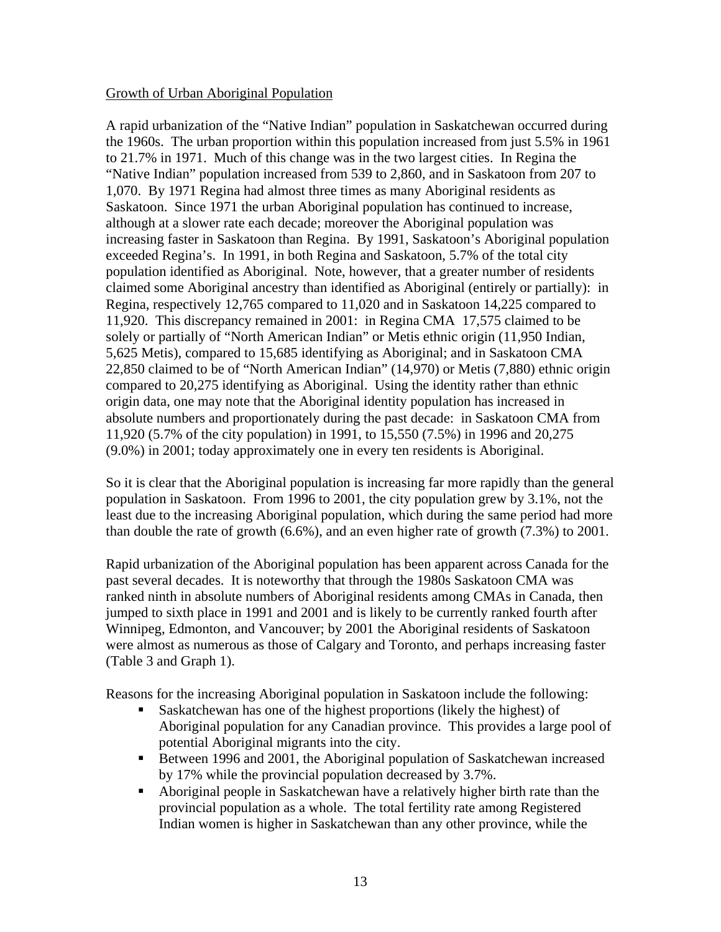### Growth of Urban Aboriginal Population

A rapid urbanization of the "Native Indian" population in Saskatchewan occurred during the 1960s. The urban proportion within this population increased from just 5.5% in 1961 to 21.7% in 1971. Much of this change was in the two largest cities. In Regina the "Native Indian" population increased from 539 to 2,860, and in Saskatoon from 207 to 1,070. By 1971 Regina had almost three times as many Aboriginal residents as Saskatoon. Since 1971 the urban Aboriginal population has continued to increase, although at a slower rate each decade; moreover the Aboriginal population was increasing faster in Saskatoon than Regina. By 1991, Saskatoon's Aboriginal population exceeded Regina's. In 1991, in both Regina and Saskatoon, 5.7% of the total city population identified as Aboriginal. Note, however, that a greater number of residents claimed some Aboriginal ancestry than identified as Aboriginal (entirely or partially): in Regina, respectively 12,765 compared to 11,020 and in Saskatoon 14,225 compared to 11,920. This discrepancy remained in 2001: in Regina CMA 17,575 claimed to be solely or partially of "North American Indian" or Metis ethnic origin (11,950 Indian, 5,625 Metis), compared to 15,685 identifying as Aboriginal; and in Saskatoon CMA 22,850 claimed to be of "North American Indian" (14,970) or Metis (7,880) ethnic origin compared to 20,275 identifying as Aboriginal. Using the identity rather than ethnic origin data, one may note that the Aboriginal identity population has increased in absolute numbers and proportionately during the past decade: in Saskatoon CMA from 11,920 (5.7% of the city population) in 1991, to 15,550 (7.5%) in 1996 and 20,275 (9.0%) in 2001; today approximately one in every ten residents is Aboriginal.

So it is clear that the Aboriginal population is increasing far more rapidly than the general population in Saskatoon. From 1996 to 2001, the city population grew by 3.1%, not the least due to the increasing Aboriginal population, which during the same period had more than double the rate of growth (6.6%), and an even higher rate of growth (7.3%) to 2001.

Rapid urbanization of the Aboriginal population has been apparent across Canada for the past several decades. It is noteworthy that through the 1980s Saskatoon CMA was ranked ninth in absolute numbers of Aboriginal residents among CMAs in Canada, then jumped to sixth place in 1991 and 2001 and is likely to be currently ranked fourth after Winnipeg, Edmonton, and Vancouver; by 2001 the Aboriginal residents of Saskatoon were almost as numerous as those of Calgary and Toronto, and perhaps increasing faster (Table 3 and Graph 1).

Reasons for the increasing Aboriginal population in Saskatoon include the following:

- Saskatchewan has one of the highest proportions (likely the highest) of Aboriginal population for any Canadian province. This provides a large pool of potential Aboriginal migrants into the city.
- Between 1996 and 2001, the Aboriginal population of Saskatchewan increased by 17% while the provincial population decreased by 3.7%.
- Aboriginal people in Saskatchewan have a relatively higher birth rate than the provincial population as a whole. The total fertility rate among Registered Indian women is higher in Saskatchewan than any other province, while the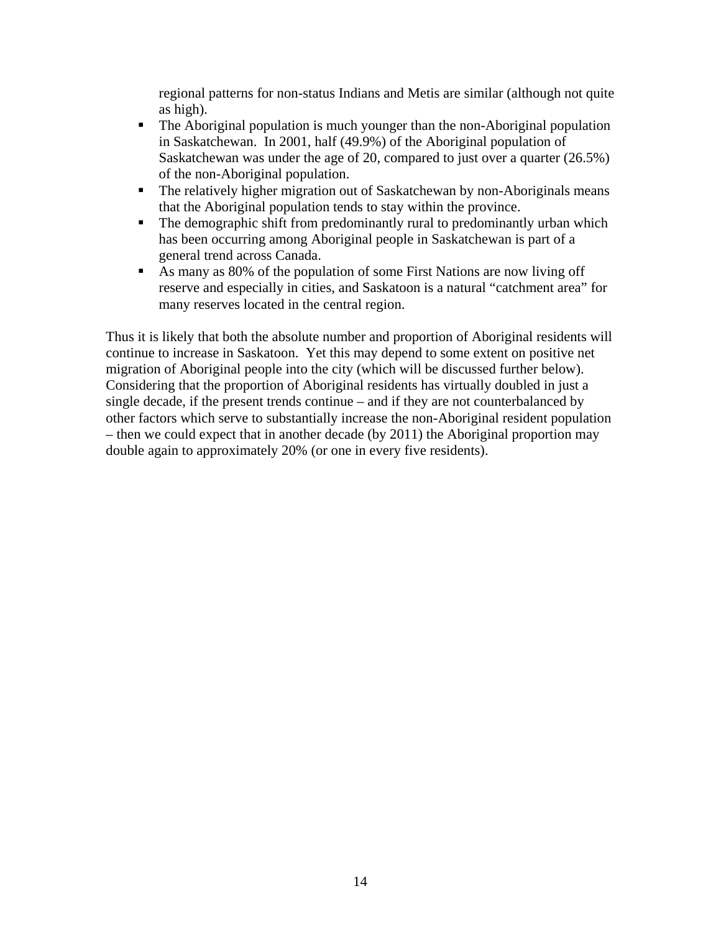regional patterns for non-status Indians and Metis are similar (although not quite as high).

- The Aboriginal population is much younger than the non-Aboriginal population in Saskatchewan. In 2001, half (49.9%) of the Aboriginal population of Saskatchewan was under the age of 20, compared to just over a quarter (26.5%) of the non-Aboriginal population.
- The relatively higher migration out of Saskatchewan by non-Aboriginals means that the Aboriginal population tends to stay within the province.
- The demographic shift from predominantly rural to predominantly urban which has been occurring among Aboriginal people in Saskatchewan is part of a general trend across Canada.
- As many as 80% of the population of some First Nations are now living off reserve and especially in cities, and Saskatoon is a natural "catchment area" for many reserves located in the central region.

Thus it is likely that both the absolute number and proportion of Aboriginal residents will continue to increase in Saskatoon. Yet this may depend to some extent on positive net migration of Aboriginal people into the city (which will be discussed further below). Considering that the proportion of Aboriginal residents has virtually doubled in just a single decade, if the present trends continue – and if they are not counterbalanced by other factors which serve to substantially increase the non-Aboriginal resident population – then we could expect that in another decade (by 2011) the Aboriginal proportion may double again to approximately 20% (or one in every five residents).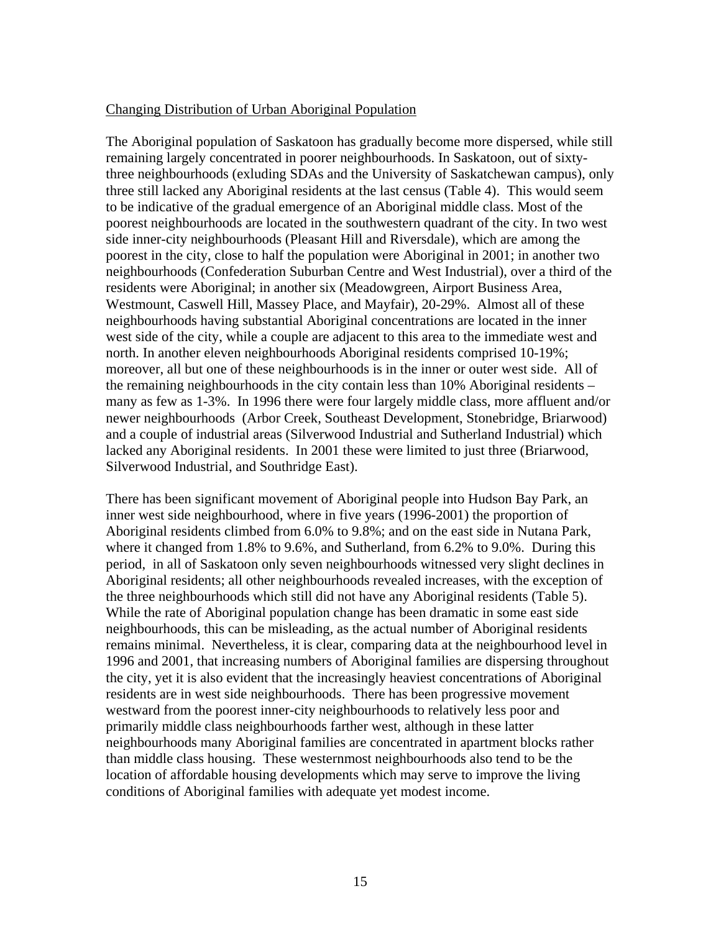#### Changing Distribution of Urban Aboriginal Population

The Aboriginal population of Saskatoon has gradually become more dispersed, while still remaining largely concentrated in poorer neighbourhoods. In Saskatoon, out of sixtythree neighbourhoods (exluding SDAs and the University of Saskatchewan campus), only three still lacked any Aboriginal residents at the last census (Table 4). This would seem to be indicative of the gradual emergence of an Aboriginal middle class. Most of the poorest neighbourhoods are located in the southwestern quadrant of the city. In two west side inner-city neighbourhoods (Pleasant Hill and Riversdale), which are among the poorest in the city, close to half the population were Aboriginal in 2001; in another two neighbourhoods (Confederation Suburban Centre and West Industrial), over a third of the residents were Aboriginal; in another six (Meadowgreen, Airport Business Area, Westmount, Caswell Hill, Massey Place, and Mayfair), 20-29%. Almost all of these neighbourhoods having substantial Aboriginal concentrations are located in the inner west side of the city, while a couple are adjacent to this area to the immediate west and north. In another eleven neighbourhoods Aboriginal residents comprised 10-19%; moreover, all but one of these neighbourhoods is in the inner or outer west side. All of the remaining neighbourhoods in the city contain less than 10% Aboriginal residents – many as few as 1-3%. In 1996 there were four largely middle class, more affluent and/or newer neighbourhoods (Arbor Creek, Southeast Development, Stonebridge, Briarwood) and a couple of industrial areas (Silverwood Industrial and Sutherland Industrial) which lacked any Aboriginal residents. In 2001 these were limited to just three (Briarwood, Silverwood Industrial, and Southridge East).

There has been significant movement of Aboriginal people into Hudson Bay Park, an inner west side neighbourhood, where in five years (1996-2001) the proportion of Aboriginal residents climbed from 6.0% to 9.8%; and on the east side in Nutana Park, where it changed from 1.8% to 9.6%, and Sutherland, from 6.2% to 9.0%. During this period, in all of Saskatoon only seven neighbourhoods witnessed very slight declines in Aboriginal residents; all other neighbourhoods revealed increases, with the exception of the three neighbourhoods which still did not have any Aboriginal residents (Table 5). While the rate of Aboriginal population change has been dramatic in some east side neighbourhoods, this can be misleading, as the actual number of Aboriginal residents remains minimal. Nevertheless, it is clear, comparing data at the neighbourhood level in 1996 and 2001, that increasing numbers of Aboriginal families are dispersing throughout the city, yet it is also evident that the increasingly heaviest concentrations of Aboriginal residents are in west side neighbourhoods. There has been progressive movement westward from the poorest inner-city neighbourhoods to relatively less poor and primarily middle class neighbourhoods farther west, although in these latter neighbourhoods many Aboriginal families are concentrated in apartment blocks rather than middle class housing. These westernmost neighbourhoods also tend to be the location of affordable housing developments which may serve to improve the living conditions of Aboriginal families with adequate yet modest income.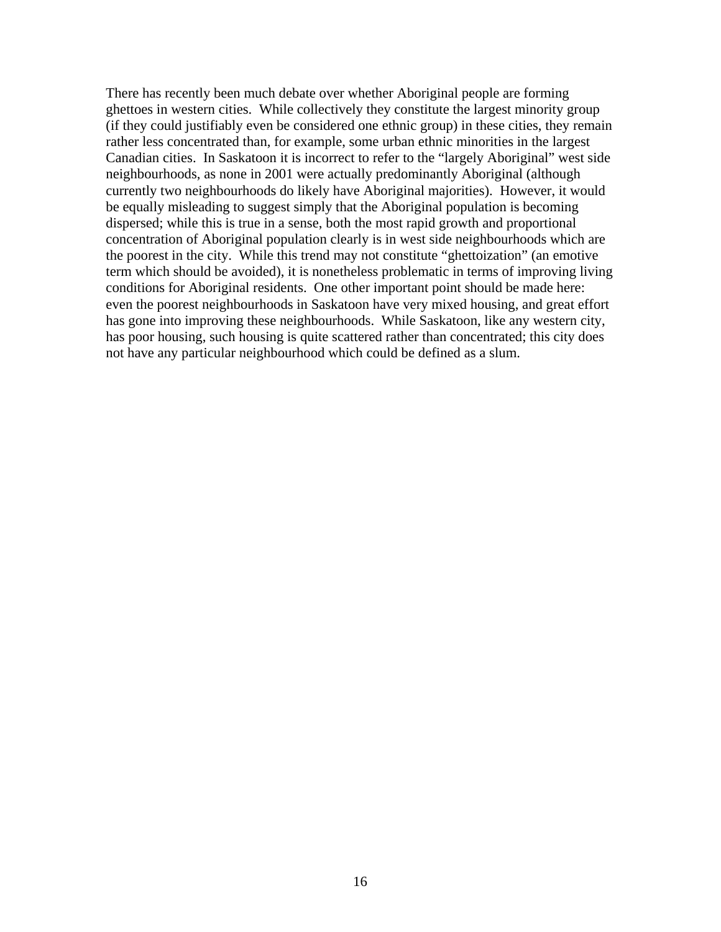There has recently been much debate over whether Aboriginal people are forming ghettoes in western cities. While collectively they constitute the largest minority group (if they could justifiably even be considered one ethnic group) in these cities, they remain rather less concentrated than, for example, some urban ethnic minorities in the largest Canadian cities. In Saskatoon it is incorrect to refer to the "largely Aboriginal" west side neighbourhoods, as none in 2001 were actually predominantly Aboriginal (although currently two neighbourhoods do likely have Aboriginal majorities). However, it would be equally misleading to suggest simply that the Aboriginal population is becoming dispersed; while this is true in a sense, both the most rapid growth and proportional concentration of Aboriginal population clearly is in west side neighbourhoods which are the poorest in the city. While this trend may not constitute "ghettoization" (an emotive term which should be avoided), it is nonetheless problematic in terms of improving living conditions for Aboriginal residents. One other important point should be made here: even the poorest neighbourhoods in Saskatoon have very mixed housing, and great effort has gone into improving these neighbourhoods. While Saskatoon, like any western city, has poor housing, such housing is quite scattered rather than concentrated; this city does not have any particular neighbourhood which could be defined as a slum.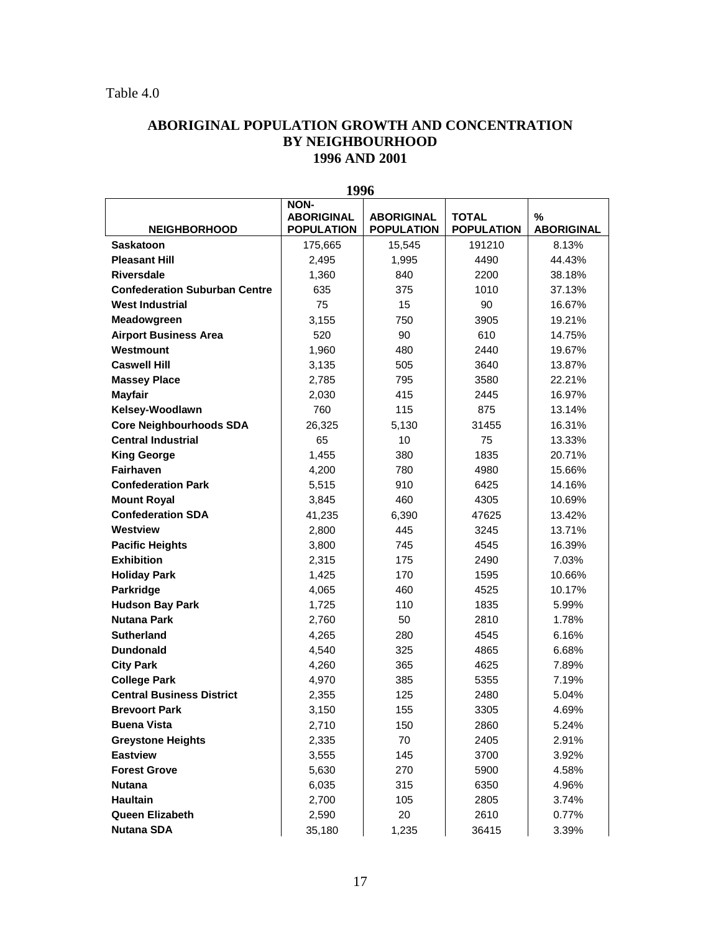### **ABORIGINAL POPULATION GROWTH AND CONCENTRATION BY NEIGHBOURHOOD 1996 AND 2001**

|                                      | エノノV                                                  |                                        |                                   |                                    |
|--------------------------------------|-------------------------------------------------------|----------------------------------------|-----------------------------------|------------------------------------|
| <b>NEIGHBORHOOD</b>                  | <b>NON-</b><br><b>ABORIGINAL</b><br><b>POPULATION</b> | <b>ABORIGINAL</b><br><b>POPULATION</b> | <b>TOTAL</b><br><b>POPULATION</b> | $\frac{9}{6}$<br><b>ABORIGINAL</b> |
| <b>Saskatoon</b>                     | 175,665                                               | 15,545                                 | 191210                            | 8.13%                              |
| <b>Pleasant Hill</b>                 | 2,495                                                 | 1,995                                  | 4490                              | 44.43%                             |
| <b>Riversdale</b>                    | 1,360                                                 | 840                                    | 2200                              | 38.18%                             |
| <b>Confederation Suburban Centre</b> | 635                                                   | 375                                    | 1010                              | 37.13%                             |
| <b>West Industrial</b>               | 75                                                    | 15                                     | 90                                | 16.67%                             |
| Meadowgreen                          | 3,155                                                 | 750                                    | 3905                              | 19.21%                             |
| <b>Airport Business Area</b>         | 520                                                   | 90                                     | 610                               | 14.75%                             |
| Westmount                            | 1,960                                                 | 480                                    | 2440                              | 19.67%                             |
| <b>Caswell Hill</b>                  | 3,135                                                 | 505                                    | 3640                              | 13.87%                             |
| <b>Massey Place</b>                  | 2,785                                                 | 795                                    | 3580                              | 22.21%                             |
| <b>Mayfair</b>                       | 2,030                                                 | 415                                    | 2445                              | 16.97%                             |
| Kelsey-Woodlawn                      | 760                                                   | 115                                    | 875                               | 13.14%                             |
| <b>Core Neighbourhoods SDA</b>       | 26,325                                                | 5,130                                  | 31455                             | 16.31%                             |
| <b>Central Industrial</b>            | 65                                                    | 10                                     | 75                                | 13.33%                             |
| <b>King George</b>                   | 1,455                                                 | 380                                    | 1835                              | 20.71%                             |
| <b>Fairhaven</b>                     | 4,200                                                 | 780                                    | 4980                              | 15.66%                             |
| <b>Confederation Park</b>            | 5,515                                                 | 910                                    | 6425                              | 14.16%                             |
| <b>Mount Royal</b>                   | 3,845                                                 | 460                                    | 4305                              | 10.69%                             |
| <b>Confederation SDA</b>             | 41,235                                                | 6,390                                  | 47625                             | 13.42%                             |
| Westview                             | 2,800                                                 | 445                                    | 3245                              | 13.71%                             |
| <b>Pacific Heights</b>               | 3,800                                                 | 745                                    | 4545                              | 16.39%                             |
| <b>Exhibition</b>                    | 2,315                                                 | 175                                    | 2490                              | 7.03%                              |
| <b>Holiday Park</b>                  | 1,425                                                 | 170                                    | 1595                              | 10.66%                             |
| Parkridge                            | 4,065                                                 | 460                                    | 4525                              | 10.17%                             |
| <b>Hudson Bay Park</b>               | 1,725                                                 | 110                                    | 1835                              | 5.99%                              |
| <b>Nutana Park</b>                   | 2,760                                                 | 50                                     | 2810                              | 1.78%                              |
| <b>Sutherland</b>                    | 4,265                                                 | 280                                    | 4545                              | 6.16%                              |
| <b>Dundonald</b>                     | 4,540                                                 | 325                                    | 4865                              | 6.68%                              |
| <b>City Park</b>                     | 4,260                                                 | 365                                    | 4625                              | 7.89%                              |
| <b>College Park</b>                  | 4,970                                                 | 385                                    | 5355                              | 7.19%                              |
| <b>Central Business District</b>     | 2,355                                                 | 125                                    | 2480                              | 5.04%                              |
| <b>Brevoort Park</b>                 | 3,150                                                 | 155                                    | 3305                              | 4.69%                              |
| <b>Buena Vista</b>                   | 2,710                                                 | 150                                    | 2860                              | 5.24%                              |
| <b>Greystone Heights</b>             | 2,335                                                 | 70                                     | 2405                              | 2.91%                              |
| <b>Eastview</b>                      | 3,555                                                 | 145                                    | 3700                              | 3.92%                              |
| <b>Forest Grove</b>                  | 5,630                                                 | 270                                    | 5900                              | 4.58%                              |
| <b>Nutana</b>                        | 6,035                                                 | 315                                    | 6350                              | 4.96%                              |
| <b>Haultain</b>                      | 2,700                                                 | 105                                    | 2805                              | 3.74%                              |
| Queen Elizabeth                      | 2,590                                                 | 20                                     | 2610                              | 0.77%                              |
| <b>Nutana SDA</b>                    | 35,180                                                | 1,235                                  | 36415                             | 3.39%                              |

**1996**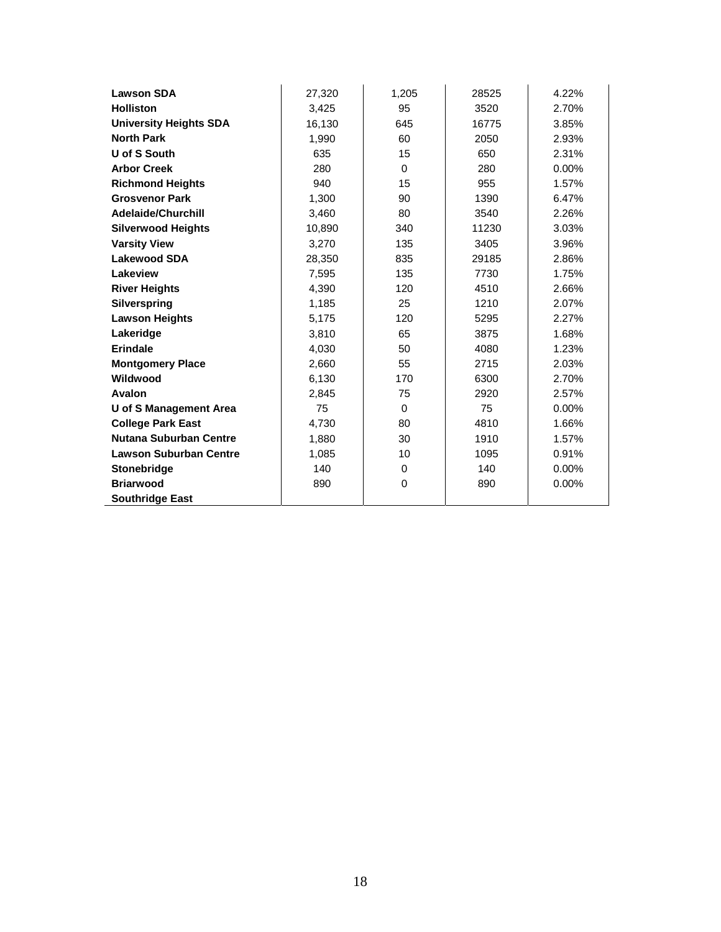| <b>Lawson SDA</b>             | 27,320 | 1,205       | 28525 | 4.22%    |
|-------------------------------|--------|-------------|-------|----------|
| <b>Holliston</b>              | 3,425  | 95          | 3520  | 2.70%    |
| <b>University Heights SDA</b> | 16,130 | 645         | 16775 | 3.85%    |
| <b>North Park</b>             | 1,990  | 60          | 2050  | 2.93%    |
| U of S South                  | 635    | 15          | 650   | 2.31%    |
| <b>Arbor Creek</b>            | 280    | $\Omega$    | 280   | $0.00\%$ |
| <b>Richmond Heights</b>       | 940    | 15          | 955   | 1.57%    |
| <b>Grosvenor Park</b>         | 1,300  | 90          | 1390  | 6.47%    |
| <b>Adelaide/Churchill</b>     | 3,460  | 80          | 3540  | 2.26%    |
| <b>Silverwood Heights</b>     | 10,890 | 340         | 11230 | 3.03%    |
| <b>Varsity View</b>           | 3,270  | 135         | 3405  | 3.96%    |
| <b>Lakewood SDA</b>           | 28,350 | 835         | 29185 | 2.86%    |
| Lakeview                      | 7,595  | 135         | 7730  | 1.75%    |
| <b>River Heights</b>          | 4,390  | 120         | 4510  | 2.66%    |
| Silverspring                  | 1,185  | 25          | 1210  | 2.07%    |
| <b>Lawson Heights</b>         | 5,175  | 120         | 5295  | 2.27%    |
| Lakeridge                     | 3,810  | 65          | 3875  | 1.68%    |
| Erindale                      | 4,030  | 50          | 4080  | 1.23%    |
| <b>Montgomery Place</b>       | 2,660  | 55          | 2715  | 2.03%    |
| Wildwood                      | 6,130  | 170         | 6300  | 2.70%    |
| Avalon                        | 2,845  | 75          | 2920  | 2.57%    |
| U of S Management Area        | 75     | $\mathbf 0$ | 75    | $0.00\%$ |
| <b>College Park East</b>      | 4,730  | 80          | 4810  | 1.66%    |
| <b>Nutana Suburban Centre</b> | 1,880  | 30          | 1910  | 1.57%    |
| <b>Lawson Suburban Centre</b> | 1,085  | 10          | 1095  | 0.91%    |
| Stonebridge                   | 140    | $\mathbf 0$ | 140   | $0.00\%$ |
| <b>Briarwood</b>              | 890    | $\Omega$    | 890   | $0.00\%$ |
| <b>Southridge East</b>        |        |             |       |          |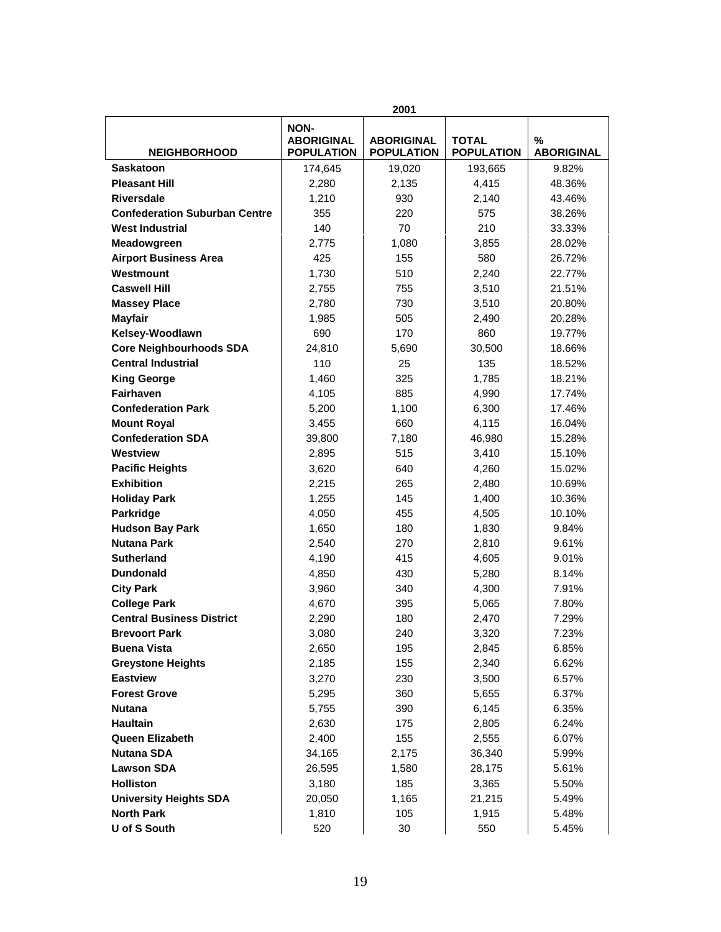| 2001                                 |                                                       |                                        |                                   |                        |
|--------------------------------------|-------------------------------------------------------|----------------------------------------|-----------------------------------|------------------------|
| <b>NEIGHBORHOOD</b>                  | <b>NON-</b><br><b>ABORIGINAL</b><br><b>POPULATION</b> | <b>ABORIGINAL</b><br><b>POPULATION</b> | <b>TOTAL</b><br><b>POPULATION</b> | %<br><b>ABORIGINAL</b> |
| <b>Saskatoon</b>                     | 174,645                                               | 19,020                                 | 193,665                           | 9.82%                  |
| <b>Pleasant Hill</b>                 | 2,280                                                 | 2,135                                  | 4,415                             | 48.36%                 |
| <b>Riversdale</b>                    | 1,210                                                 | 930                                    | 2,140                             | 43.46%                 |
| <b>Confederation Suburban Centre</b> | 355                                                   | 220                                    | 575                               | 38.26%                 |
| <b>West Industrial</b>               | 140                                                   | 70                                     | 210                               | 33.33%                 |
| Meadowgreen                          | 2,775                                                 | 1,080                                  | 3,855                             | 28.02%                 |
| <b>Airport Business Area</b>         | 425                                                   | 155                                    | 580                               | 26.72%                 |
| Westmount                            | 1,730                                                 | 510                                    | 2,240                             | 22.77%                 |
| <b>Caswell Hill</b>                  | 2,755                                                 | 755                                    | 3,510                             | 21.51%                 |
| <b>Massey Place</b>                  | 2,780                                                 | 730                                    | 3,510                             | 20.80%                 |
| <b>Mayfair</b>                       | 1,985                                                 | 505                                    | 2,490                             | 20.28%                 |
| Kelsey-Woodlawn                      | 690                                                   | 170                                    | 860                               | 19.77%                 |
| <b>Core Neighbourhoods SDA</b>       | 24,810                                                | 5,690                                  | 30,500                            | 18.66%                 |
| <b>Central Industrial</b>            | 110                                                   | 25                                     | 135                               | 18.52%                 |
| <b>King George</b>                   | 1,460                                                 | 325                                    | 1,785                             | 18.21%                 |
| <b>Fairhaven</b>                     | 4,105                                                 | 885                                    | 4,990                             | 17.74%                 |
| <b>Confederation Park</b>            | 5,200                                                 | 1,100                                  | 6,300                             | 17.46%                 |
| <b>Mount Royal</b>                   | 3,455                                                 | 660                                    | 4,115                             | 16.04%                 |
| <b>Confederation SDA</b>             | 39,800                                                | 7,180                                  | 46,980                            | 15.28%                 |
| Westview                             | 2,895                                                 | 515                                    | 3,410                             | 15.10%                 |
| <b>Pacific Heights</b>               | 3,620                                                 | 640                                    | 4,260                             | 15.02%                 |
| <b>Exhibition</b>                    | 2,215                                                 | 265                                    | 2,480                             | 10.69%                 |
| <b>Holiday Park</b>                  | 1,255                                                 | 145                                    | 1,400                             | 10.36%                 |
| Parkridge                            | 4,050                                                 | 455                                    | 4,505                             | 10.10%                 |
| <b>Hudson Bay Park</b>               | 1,650                                                 | 180                                    | 1,830                             | 9.84%                  |
| <b>Nutana Park</b>                   | 2,540                                                 | 270                                    | 2,810                             | 9.61%                  |
| <b>Sutherland</b>                    | 4,190                                                 | 415                                    | 4,605                             | 9.01%                  |
| <b>Dundonald</b>                     | 4,850                                                 | 430                                    | 5,280                             | 8.14%                  |
| <b>City Park</b>                     | 3,960                                                 | 340                                    | 4,300                             | 7.91%                  |
| <b>College Park</b>                  | 4,670                                                 | 395                                    | 5,065                             | 7.80%                  |
| <b>Central Business District</b>     | 2,290                                                 | 180                                    | 2,470                             | 7.29%                  |
| <b>Brevoort Park</b>                 | 3,080                                                 | 240                                    | 3,320                             | 7.23%                  |
| <b>Buena Vista</b>                   | 2,650                                                 | 195                                    | 2,845                             | 6.85%                  |
| <b>Greystone Heights</b>             | 2,185                                                 | 155                                    | 2,340                             | 6.62%                  |
| <b>Eastview</b>                      | 3,270                                                 | 230                                    | 3,500                             | 6.57%                  |
| <b>Forest Grove</b>                  | 5,295                                                 | 360                                    | 5,655                             | 6.37%                  |
| <b>Nutana</b>                        | 5,755                                                 | 390                                    | 6,145                             | 6.35%                  |
| <b>Haultain</b>                      | 2,630                                                 | 175                                    | 2,805                             | 6.24%                  |
| Queen Elizabeth                      | 2,400                                                 | 155                                    | 2,555                             | 6.07%                  |
| <b>Nutana SDA</b>                    | 34,165                                                | 2,175                                  | 36,340                            | 5.99%                  |
| <b>Lawson SDA</b>                    | 26,595                                                | 1,580                                  | 28,175                            | 5.61%                  |
| <b>Holliston</b>                     | 3,180                                                 | 185                                    | 3,365                             | 5.50%                  |
| <b>University Heights SDA</b>        | 20,050                                                | 1,165                                  | 21,215                            | 5.49%                  |
| <b>North Park</b>                    | 1,810                                                 | 105                                    | 1,915                             | 5.48%                  |
| U of S South                         | 520                                                   | 30                                     | 550                               | 5.45%                  |
|                                      |                                                       |                                        |                                   |                        |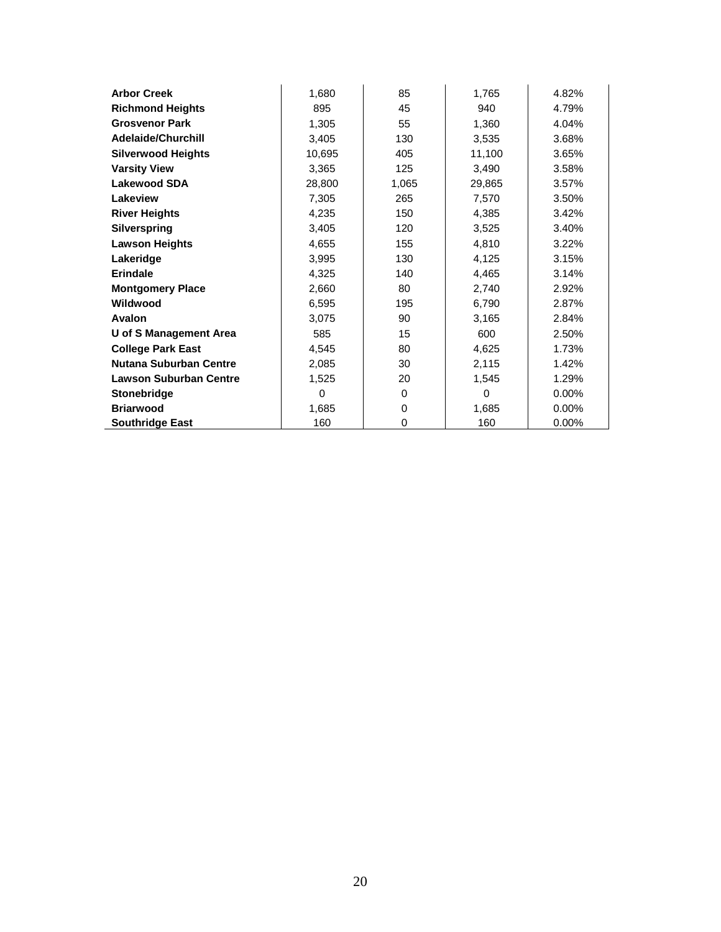| <b>Arbor Creek</b>            | 1,680    | 85    | 1,765    | 4.82%    |
|-------------------------------|----------|-------|----------|----------|
| <b>Richmond Heights</b>       | 895      | 45    | 940      | 4.79%    |
| <b>Grosvenor Park</b>         | 1,305    | 55    | 1,360    | 4.04%    |
| <b>Adelaide/Churchill</b>     | 3,405    | 130   | 3,535    | 3.68%    |
| <b>Silverwood Heights</b>     | 10,695   | 405   | 11,100   | 3.65%    |
| <b>Varsity View</b>           | 3,365    | 125   | 3,490    | 3.58%    |
| <b>Lakewood SDA</b>           | 28,800   | 1,065 | 29,865   | 3.57%    |
| Lakeview                      | 7,305    | 265   | 7,570    | 3.50%    |
| <b>River Heights</b>          | 4,235    | 150   | 4,385    | 3.42%    |
| <b>Silverspring</b>           | 3,405    | 120   | 3,525    | 3.40%    |
| <b>Lawson Heights</b>         | 4,655    | 155   | 4,810    | 3.22%    |
| Lakeridge                     | 3,995    | 130   | 4,125    | 3.15%    |
| Erindale                      | 4,325    | 140   | 4,465    | 3.14%    |
| <b>Montgomery Place</b>       | 2,660    | 80    | 2,740    | 2.92%    |
| Wildwood                      | 6,595    | 195   | 6,790    | 2.87%    |
| Avalon                        | 3,075    | 90    | 3,165    | 2.84%    |
| U of S Management Area        | 585      | 15    | 600      | 2.50%    |
| <b>College Park East</b>      | 4,545    | 80    | 4,625    | 1.73%    |
| <b>Nutana Suburban Centre</b> | 2,085    | 30    | 2,115    | 1.42%    |
| <b>Lawson Suburban Centre</b> | 1,525    | 20    | 1,545    | 1.29%    |
| <b>Stonebridge</b>            | $\Omega$ | 0     | $\Omega$ | $0.00\%$ |
| <b>Briarwood</b>              | 1,685    | 0     | 1,685    | $0.00\%$ |
| <b>Southridge East</b>        | 160      | 0     | 160      | 0.00%    |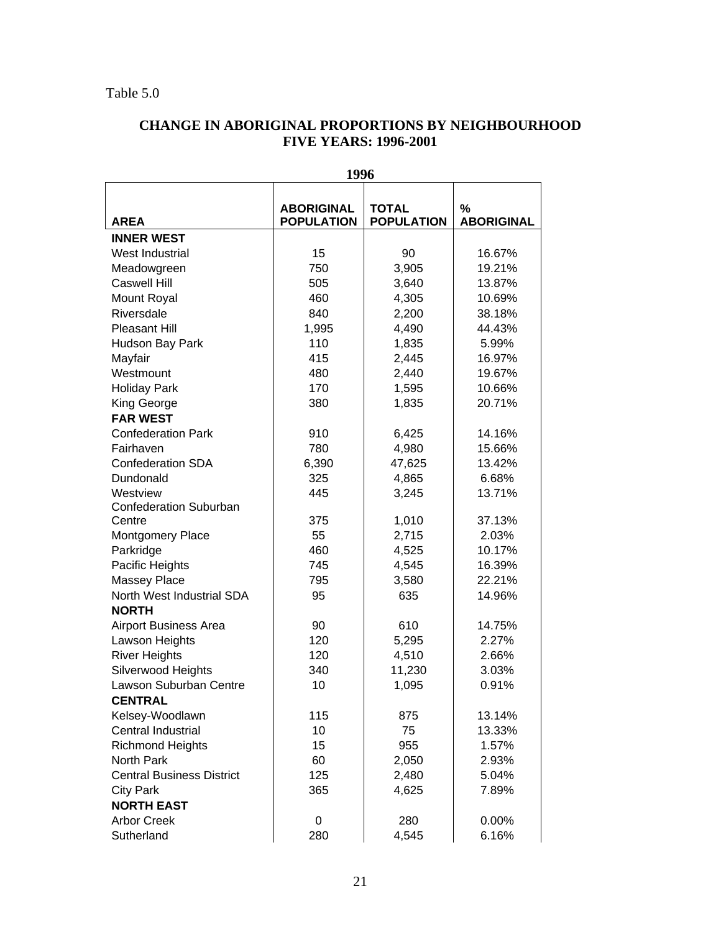### Table 5.0

## **CHANGE IN ABORIGINAL PROPORTIONS BY NEIGHBOURHOOD FIVE YEARS: 1996-2001**

| <b>AREA</b>                                                               | <b>ABORIGINAL</b><br><b>POPULATION</b> | <b>TOTAL</b><br><b>POPULATION</b> | $\%$<br><b>ABORIGINAL</b> |
|---------------------------------------------------------------------------|----------------------------------------|-----------------------------------|---------------------------|
| <b>INNER WEST</b>                                                         |                                        |                                   |                           |
| West Industrial                                                           | 15                                     | 90                                | 16.67%                    |
| Meadowgreen                                                               | 750                                    | 3,905                             | 19.21%                    |
| <b>Caswell Hill</b>                                                       | 505                                    | 3,640                             | 13.87%                    |
| Mount Royal                                                               | 460                                    | 4,305                             | 10.69%                    |
| Riversdale                                                                | 840                                    | 2,200                             | 38.18%                    |
| <b>Pleasant Hill</b>                                                      | 1,995                                  | 4,490                             | 44.43%                    |
| Hudson Bay Park                                                           | 110                                    | 1,835                             | 5.99%                     |
| Mayfair                                                                   | 415                                    | 2,445                             | 16.97%                    |
| Westmount                                                                 | 480                                    | 2,440                             | 19.67%                    |
| <b>Holiday Park</b>                                                       | 170                                    | 1,595                             | 10.66%                    |
| King George                                                               | 380                                    | 1,835                             | 20.71%                    |
| <b>FAR WEST</b>                                                           |                                        |                                   |                           |
| <b>Confederation Park</b>                                                 | 910                                    | 6,425                             | 14.16%                    |
| Fairhaven                                                                 | 780                                    | 4,980                             | 15.66%                    |
| <b>Confederation SDA</b>                                                  | 6,390                                  | 47,625                            | 13.42%                    |
| Dundonald                                                                 | 325                                    | 4,865                             | 6.68%                     |
| Westview                                                                  | 445                                    | 3,245                             | 13.71%                    |
| <b>Confederation Suburban</b>                                             |                                        |                                   |                           |
| Centre                                                                    | 375                                    | 1,010                             | 37.13%                    |
| Montgomery Place                                                          | 55                                     | 2,715                             | 2.03%                     |
| Parkridge                                                                 | 460                                    | 4,525                             | 10.17%                    |
| Pacific Heights                                                           | 745                                    | 4,545                             | 16.39%                    |
| Massey Place                                                              | 795                                    | 3,580                             | 22.21%                    |
| North West Industrial SDA                                                 | 95                                     | 635                               | 14.96%                    |
| <b>NORTH</b>                                                              |                                        |                                   |                           |
| <b>Airport Business Area</b>                                              | 90                                     | 610                               | 14.75%                    |
| Lawson Heights                                                            | 120                                    | 5,295                             | 2.27%                     |
| <b>River Heights</b>                                                      | 120                                    | 4,510                             | 2.66%                     |
| Silverwood Heights                                                        | 340                                    | 11,230                            | 3.03%                     |
| Lawson Suburban Centre                                                    | 10                                     | 1,095                             | 0.91%                     |
| <b>CENTRAL</b>                                                            |                                        |                                   |                           |
| Kelsey-Woodlawn                                                           | 115                                    | 875                               | 13.14%                    |
| Central Industrial                                                        | 10                                     | 75                                | 13.33%                    |
| <b>Richmond Heights</b>                                                   | 15                                     | 955                               | 1.57%                     |
| North Park                                                                | 60                                     | 2,050                             | 2.93%                     |
| <b>Central Business District</b>                                          | 125                                    | 2,480                             | 5.04%                     |
|                                                                           |                                        |                                   |                           |
|                                                                           |                                        |                                   |                           |
|                                                                           |                                        |                                   |                           |
|                                                                           |                                        |                                   |                           |
| <b>City Park</b><br><b>NORTH EAST</b><br><b>Arbor Creek</b><br>Sutherland | 365<br>0<br>280                        | 4,625<br>280<br>4,545             | 7.89%<br>0.00%<br>6.16%   |

#### **1996**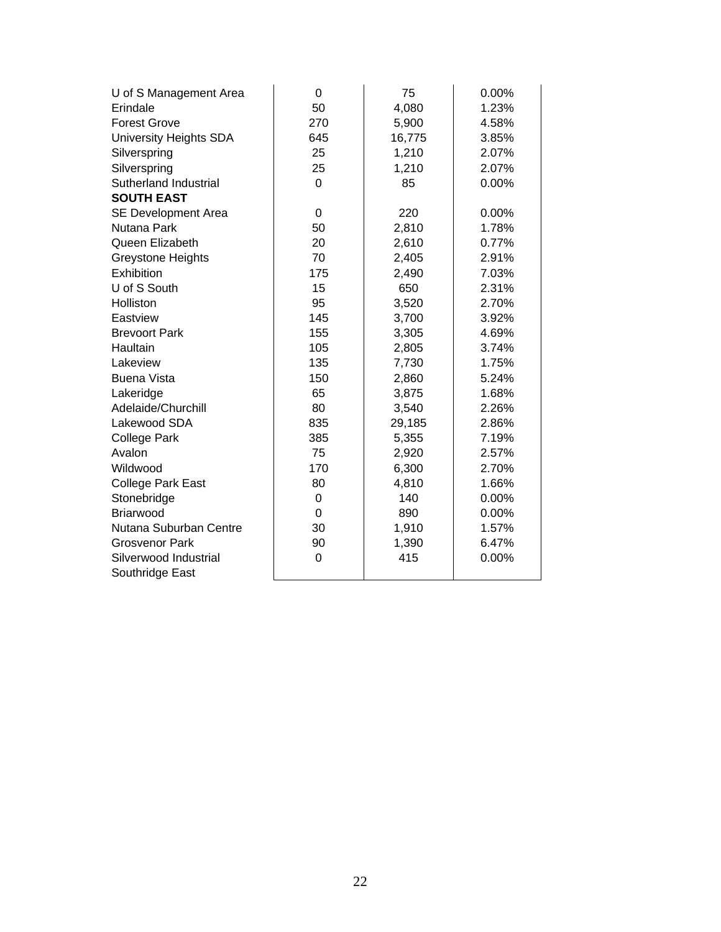| U of S Management Area   | $\Omega$       | 75     | $0.00\%$ |
|--------------------------|----------------|--------|----------|
| Erindale                 | 50             | 4,080  | 1.23%    |
| <b>Forest Grove</b>      | 270            | 5,900  | 4.58%    |
| University Heights SDA   | 645            | 16,775 | 3.85%    |
| Silverspring             | 25             | 1,210  | 2.07%    |
| Silverspring             | 25             | 1,210  | 2.07%    |
| Sutherland Industrial    | $\Omega$       | 85     | $0.00\%$ |
| <b>SOUTH EAST</b>        |                |        |          |
| SE Development Area      | 0              | 220    | $0.00\%$ |
| Nutana Park              | 50             | 2,810  | 1.78%    |
| Queen Elizabeth          | 20             | 2,610  | 0.77%    |
| <b>Greystone Heights</b> | 70             | 2,405  | 2.91%    |
| Exhibition               | 175            | 2,490  | 7.03%    |
| U of S South             | 15             | 650    | 2.31%    |
| Holliston                | 95             | 3,520  | 2.70%    |
| Eastview                 | 145            | 3,700  | 3.92%    |
| <b>Brevoort Park</b>     | 155            | 3,305  | 4.69%    |
| Haultain                 | 105            | 2,805  | 3.74%    |
| Lakeview                 | 135            | 7,730  | 1.75%    |
| <b>Buena Vista</b>       | 150            | 2,860  | 5.24%    |
| Lakeridge                | 65             | 3,875  | 1.68%    |
| Adelaide/Churchill       | 80             | 3,540  | 2.26%    |
| Lakewood SDA             | 835            | 29,185 | 2.86%    |
| <b>College Park</b>      | 385            | 5,355  | 7.19%    |
| Avalon                   | 75             | 2,920  | 2.57%    |
| Wildwood                 | 170            | 6,300  | 2.70%    |
| <b>College Park East</b> | 80             | 4,810  | 1.66%    |
| Stonebridge              | 0              | 140    | 0.00%    |
| <b>Briarwood</b>         | $\overline{0}$ | 890    | 0.00%    |
| Nutana Suburban Centre   | 30             | 1,910  | 1.57%    |
| <b>Grosvenor Park</b>    | 90             | 1,390  | 6.47%    |
| Silverwood Industrial    | $\mathbf 0$    | 415    | 0.00%    |
| Southridge East          |                |        |          |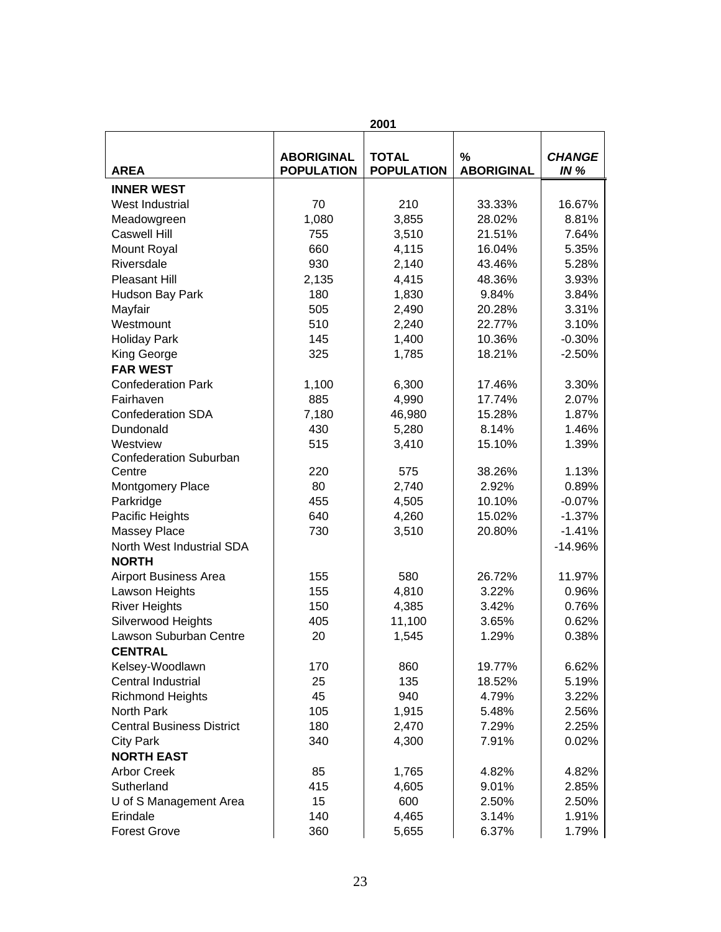|                                  |                                        | 2001                              |                        |                         |
|----------------------------------|----------------------------------------|-----------------------------------|------------------------|-------------------------|
| <b>AREA</b>                      | <b>ABORIGINAL</b><br><b>POPULATION</b> | <b>TOTAL</b><br><b>POPULATION</b> | %<br><b>ABORIGINAL</b> | <b>CHANGE</b><br>IN $%$ |
| <b>INNER WEST</b>                |                                        |                                   |                        |                         |
| West Industrial                  | 70                                     | 210                               | 33.33%                 | 16.67%                  |
| Meadowgreen                      | 1,080                                  | 3,855                             | 28.02%                 | 8.81%                   |
| <b>Caswell Hill</b>              | 755                                    | 3,510                             | 21.51%                 | 7.64%                   |
| Mount Royal                      | 660                                    | 4,115                             | 16.04%                 | 5.35%                   |
| Riversdale                       | 930                                    | 2,140                             | 43.46%                 | 5.28%                   |
| Pleasant Hill                    | 2,135                                  | 4,415                             | 48.36%                 | 3.93%                   |
| Hudson Bay Park                  | 180                                    | 1,830                             | 9.84%                  | 3.84%                   |
| Mayfair                          | 505                                    | 2,490                             | 20.28%                 | 3.31%                   |
| Westmount                        | 510                                    | 2,240                             | 22.77%                 | 3.10%                   |
| <b>Holiday Park</b>              | 145                                    | 1,400                             | 10.36%                 | $-0.30%$                |
| King George                      | 325                                    | 1,785                             | 18.21%                 | $-2.50%$                |
| <b>FAR WEST</b>                  |                                        |                                   |                        |                         |
| <b>Confederation Park</b>        | 1,100                                  | 6,300                             | 17.46%                 | 3.30%                   |
| Fairhaven                        | 885                                    | 4,990                             | 17.74%                 | 2.07%                   |
| <b>Confederation SDA</b>         | 7,180                                  | 46,980                            | 15.28%                 | 1.87%                   |
| Dundonald                        | 430                                    | 5,280                             | 8.14%                  | 1.46%                   |
| Westview                         | 515                                    | 3,410                             | 15.10%                 | 1.39%                   |
| <b>Confederation Suburban</b>    |                                        |                                   |                        |                         |
| Centre                           | 220                                    | 575                               | 38.26%                 | 1.13%                   |
| Montgomery Place                 | 80                                     | 2,740                             | 2.92%                  | 0.89%                   |
| Parkridge                        | 455                                    | 4,505                             | 10.10%                 | $-0.07%$                |
| Pacific Heights                  | 640                                    | 4,260                             | 15.02%                 | $-1.37%$                |
| <b>Massey Place</b>              | 730                                    | 3,510                             | 20.80%                 | $-1.41%$                |
| North West Industrial SDA        |                                        |                                   |                        | $-14.96%$               |
| <b>NORTH</b>                     |                                        |                                   |                        |                         |
| <b>Airport Business Area</b>     | 155                                    | 580                               | 26.72%                 | 11.97%                  |
| Lawson Heights                   | 155                                    | 4,810                             | 3.22%                  | 0.96%                   |
| <b>River Heights</b>             | 150                                    | 4,385                             | 3.42%                  | 0.76%                   |
| Silverwood Heights               | 405                                    | 11,100                            | 3.65%                  | 0.62%                   |
| Lawson Suburban Centre           | 20                                     | 1,545                             | 1.29%                  | 0.38%                   |
| <b>CENTRAL</b>                   |                                        |                                   |                        |                         |
| Kelsey-Woodlawn                  | 170                                    | 860                               | 19.77%                 | 6.62%                   |
| Central Industrial               | 25                                     | 135                               | 18.52%                 | 5.19%                   |
| <b>Richmond Heights</b>          | 45                                     | 940                               | 4.79%                  | 3.22%                   |
| North Park                       | 105                                    | 1,915                             | 5.48%                  | 2.56%                   |
| <b>Central Business District</b> | 180                                    | 2,470                             | 7.29%                  | 2.25%                   |
| <b>City Park</b>                 | 340                                    | 4,300                             | 7.91%                  | 0.02%                   |
| <b>NORTH EAST</b>                |                                        |                                   |                        |                         |
| <b>Arbor Creek</b>               | 85                                     | 1,765                             | 4.82%                  | 4.82%                   |
| Sutherland                       | 415                                    | 4,605                             | 9.01%                  | 2.85%                   |
| U of S Management Area           | 15                                     | 600                               | 2.50%                  | 2.50%                   |
| Erindale                         | 140                                    | 4,465                             | 3.14%                  | 1.91%                   |
| <b>Forest Grove</b>              | 360                                    | 5,655                             | 6.37%                  | 1.79%                   |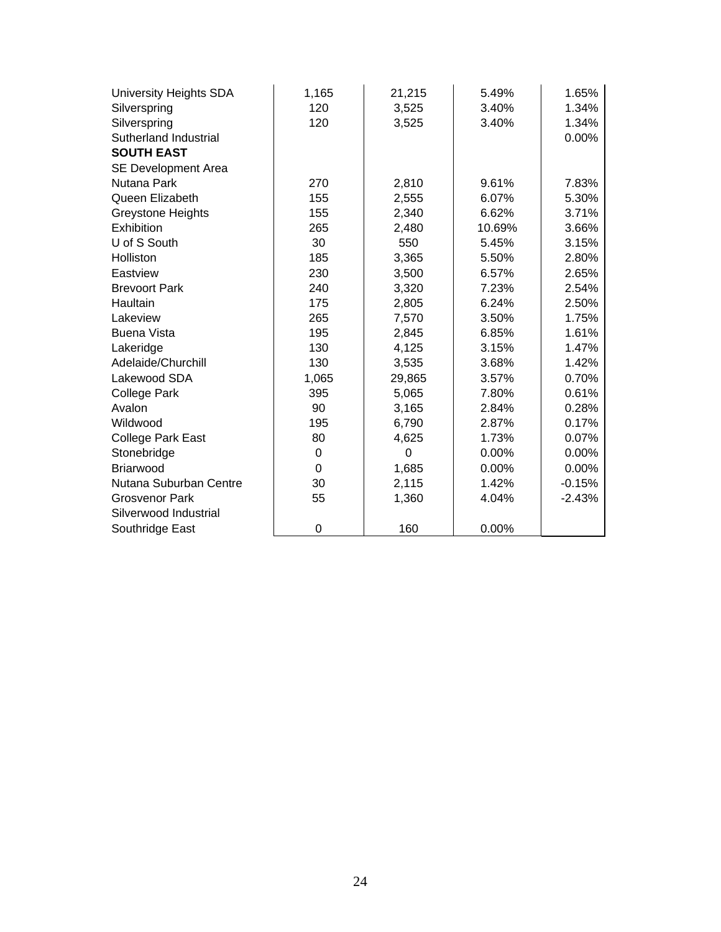| University Heights SDA   | 1,165 | 21,215   | 5.49%    | 1.65%    |
|--------------------------|-------|----------|----------|----------|
| Silverspring             | 120   | 3,525    | 3.40%    | 1.34%    |
| Silverspring             | 120   | 3,525    | 3.40%    | 1.34%    |
| Sutherland Industrial    |       |          |          | 0.00%    |
| <b>SOUTH EAST</b>        |       |          |          |          |
| SE Development Area      |       |          |          |          |
| Nutana Park              | 270   | 2,810    | 9.61%    | 7.83%    |
| Queen Elizabeth          | 155   | 2,555    | 6.07%    | 5.30%    |
| <b>Greystone Heights</b> | 155   | 2,340    | 6.62%    | 3.71%    |
| Exhibition               | 265   | 2,480    | 10.69%   | 3.66%    |
| U of S South             | 30    | 550      | 5.45%    | 3.15%    |
| Holliston                | 185   | 3,365    | 5.50%    | 2.80%    |
| Eastview                 | 230   | 3,500    | 6.57%    | 2.65%    |
| <b>Brevoort Park</b>     | 240   | 3,320    | 7.23%    | 2.54%    |
| Haultain                 | 175   | 2,805    | 6.24%    | 2.50%    |
| Lakeview                 | 265   | 7,570    | 3.50%    | 1.75%    |
| <b>Buena Vista</b>       | 195   | 2,845    | 6.85%    | 1.61%    |
| Lakeridge                | 130   | 4,125    | 3.15%    | 1.47%    |
| Adelaide/Churchill       | 130   | 3,535    | 3.68%    | 1.42%    |
| Lakewood SDA             | 1,065 | 29,865   | 3.57%    | 0.70%    |
| <b>College Park</b>      | 395   | 5,065    | 7.80%    | 0.61%    |
| Avalon                   | 90    | 3,165    | 2.84%    | 0.28%    |
| Wildwood                 | 195   | 6,790    | 2.87%    | 0.17%    |
| College Park East        | 80    | 4,625    | 1.73%    | 0.07%    |
| Stonebridge              | 0     | $\Omega$ | 0.00%    | 0.00%    |
| <b>Briarwood</b>         | 0     | 1,685    | $0.00\%$ | 0.00%    |
| Nutana Suburban Centre   | 30    | 2,115    | 1.42%    | $-0.15%$ |
| <b>Grosvenor Park</b>    | 55    | 1,360    | 4.04%    | $-2.43%$ |
| Silverwood Industrial    |       |          |          |          |
| Southridge East          | 0     | 160      | 0.00%    |          |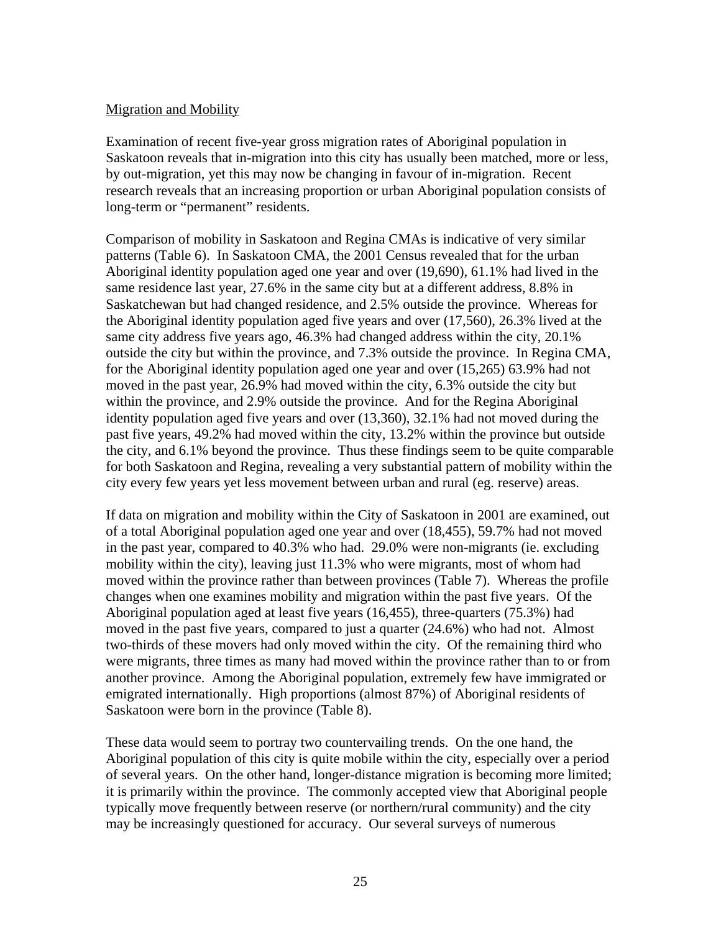### Migration and Mobility

Examination of recent five-year gross migration rates of Aboriginal population in Saskatoon reveals that in-migration into this city has usually been matched, more or less, by out-migration, yet this may now be changing in favour of in-migration. Recent research reveals that an increasing proportion or urban Aboriginal population consists of long-term or "permanent" residents.

Comparison of mobility in Saskatoon and Regina CMAs is indicative of very similar patterns (Table 6). In Saskatoon CMA, the 2001 Census revealed that for the urban Aboriginal identity population aged one year and over (19,690), 61.1% had lived in the same residence last year, 27.6% in the same city but at a different address, 8.8% in Saskatchewan but had changed residence, and 2.5% outside the province. Whereas for the Aboriginal identity population aged five years and over (17,560), 26.3% lived at the same city address five years ago, 46.3% had changed address within the city, 20.1% outside the city but within the province, and 7.3% outside the province. In Regina CMA, for the Aboriginal identity population aged one year and over (15,265) 63.9% had not moved in the past year, 26.9% had moved within the city, 6.3% outside the city but within the province, and 2.9% outside the province. And for the Regina Aboriginal identity population aged five years and over (13,360), 32.1% had not moved during the past five years, 49.2% had moved within the city, 13.2% within the province but outside the city, and 6.1% beyond the province. Thus these findings seem to be quite comparable for both Saskatoon and Regina, revealing a very substantial pattern of mobility within the city every few years yet less movement between urban and rural (eg. reserve) areas.

If data on migration and mobility within the City of Saskatoon in 2001 are examined, out of a total Aboriginal population aged one year and over (18,455), 59.7% had not moved in the past year, compared to 40.3% who had. 29.0% were non-migrants (ie. excluding mobility within the city), leaving just 11.3% who were migrants, most of whom had moved within the province rather than between provinces (Table 7). Whereas the profile changes when one examines mobility and migration within the past five years. Of the Aboriginal population aged at least five years (16,455), three-quarters (75.3%) had moved in the past five years, compared to just a quarter (24.6%) who had not. Almost two-thirds of these movers had only moved within the city. Of the remaining third who were migrants, three times as many had moved within the province rather than to or from another province. Among the Aboriginal population, extremely few have immigrated or emigrated internationally. High proportions (almost 87%) of Aboriginal residents of Saskatoon were born in the province (Table 8).

These data would seem to portray two countervailing trends. On the one hand, the Aboriginal population of this city is quite mobile within the city, especially over a period of several years. On the other hand, longer-distance migration is becoming more limited; it is primarily within the province. The commonly accepted view that Aboriginal people typically move frequently between reserve (or northern/rural community) and the city may be increasingly questioned for accuracy. Our several surveys of numerous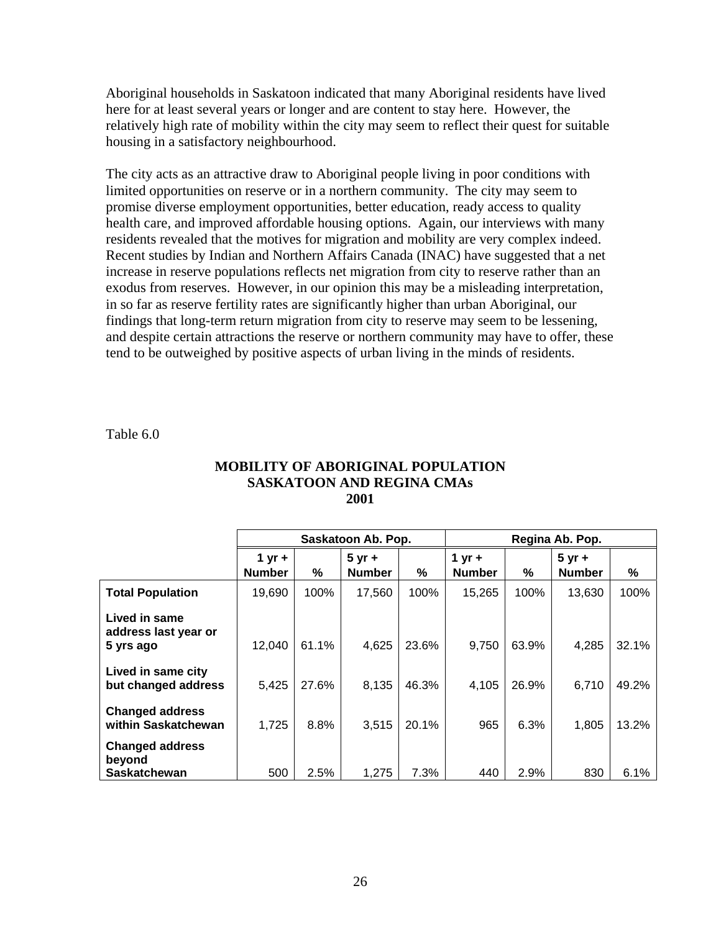Aboriginal households in Saskatoon indicated that many Aboriginal residents have lived here for at least several years or longer and are content to stay here. However, the relatively high rate of mobility within the city may seem to reflect their quest for suitable housing in a satisfactory neighbourhood.

The city acts as an attractive draw to Aboriginal people living in poor conditions with limited opportunities on reserve or in a northern community. The city may seem to promise diverse employment opportunities, better education, ready access to quality health care, and improved affordable housing options. Again, our interviews with many residents revealed that the motives for migration and mobility are very complex indeed. Recent studies by Indian and Northern Affairs Canada (INAC) have suggested that a net increase in reserve populations reflects net migration from city to reserve rather than an exodus from reserves. However, in our opinion this may be a misleading interpretation, in so far as reserve fertility rates are significantly higher than urban Aboriginal, our findings that long-term return migration from city to reserve may seem to be lessening, and despite certain attractions the reserve or northern community may have to offer, these tend to be outweighed by positive aspects of urban living in the minds of residents.

Table 6.0

|                                                         |                           |       | Saskatoon Ab. Pop.        |       | Regina Ab. Pop.           |       |                           |       |
|---------------------------------------------------------|---------------------------|-------|---------------------------|-------|---------------------------|-------|---------------------------|-------|
|                                                         | $1 yr +$<br><b>Number</b> | %     | $5 yr +$<br><b>Number</b> | %     | 1 yr $+$<br><b>Number</b> | ℅     | $5 yr +$<br><b>Number</b> | %     |
| <b>Total Population</b>                                 | 19,690                    | 100%  | 17,560                    | 100%  | 15,265                    | 100%  | 13,630                    | 100%  |
| Lived in same<br>address last year or<br>5 yrs ago      | 12,040                    | 61.1% | 4,625                     | 23.6% | 9,750                     | 63.9% | 4,285                     | 32.1% |
| Lived in same city<br>but changed address               | 5,425                     | 27.6% | 8,135                     | 46.3% | 4,105                     | 26.9% | 6,710                     | 49.2% |
| <b>Changed address</b><br>within Saskatchewan           | 1,725                     | 8.8%  | 3,515                     | 20.1% | 965                       | 6.3%  | 1,805                     | 13.2% |
| <b>Changed address</b><br>beyond<br><b>Saskatchewan</b> | 500                       | 2.5%  | 1,275                     | 7.3%  | 440                       | 2.9%  | 830                       | 6.1%  |

#### **MOBILITY OF ABORIGINAL POPULATION SASKATOON AND REGINA CMAs 2001**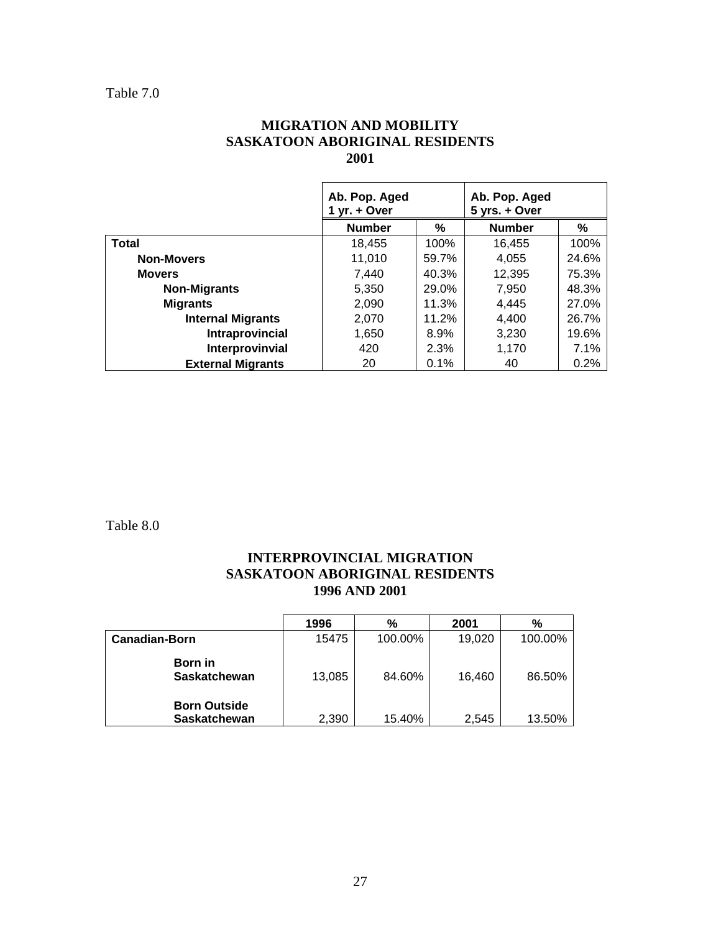### **MIGRATION AND MOBILITY SASKATOON ABORIGINAL RESIDENTS 2001**

|                          | Ab. Pop. Aged<br>$yr. + Over$ |       | Ab. Pop. Aged<br>5 yrs. + Over |       |
|--------------------------|-------------------------------|-------|--------------------------------|-------|
|                          | <b>Number</b>                 | %     | <b>Number</b>                  | ℅     |
| <b>Total</b>             | 18,455                        | 100%  | 16,455                         | 100%  |
| <b>Non-Movers</b>        | 11,010                        | 59.7% | 4,055                          | 24.6% |
| <b>Movers</b>            | 7,440                         | 40.3% | 12,395                         | 75.3% |
| <b>Non-Migrants</b>      | 5,350                         | 29.0% | 7,950                          | 48.3% |
| <b>Migrants</b>          | 2,090                         | 11.3% | 4,445                          | 27.0% |
| <b>Internal Migrants</b> | 2,070                         | 11.2% | 4,400                          | 26.7% |
| Intraprovincial          | 1,650                         | 8.9%  | 3,230                          | 19.6% |
| Interprovinvial          | 420                           | 2.3%  | 1,170                          | 7.1%  |
| <b>External Migrants</b> | 20                            | 0.1%  | 40                             | 0.2%  |

Table 8.0

### **INTERPROVINCIAL MIGRATION SASKATOON ABORIGINAL RESIDENTS 1996 AND 2001**

|                                | 1996   | %       | 2001   | %       |
|--------------------------------|--------|---------|--------|---------|
| <b>Canadian-Born</b>           | 15475  | 100.00% | 19,020 | 100.00% |
| Born in<br><b>Saskatchewan</b> | 13,085 | 84.60%  | 16,460 | 86.50%  |
| <b>Born Outside</b>            |        |         |        |         |
| <b>Saskatchewan</b>            | 2,390  | 15.40%  | 2,545  | 13.50%  |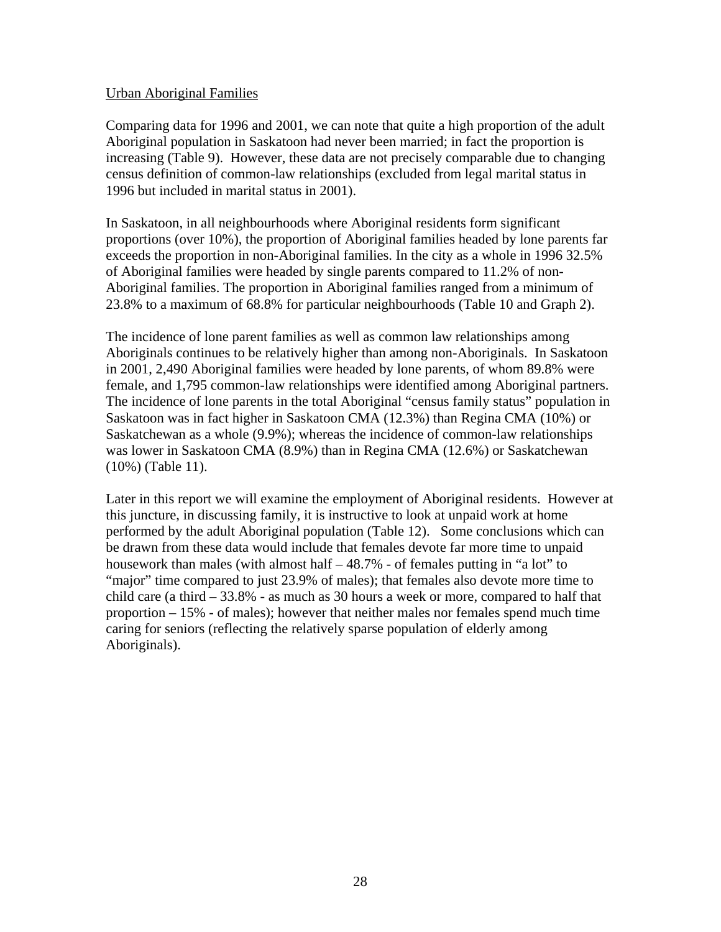#### Urban Aboriginal Families

Comparing data for 1996 and 2001, we can note that quite a high proportion of the adult Aboriginal population in Saskatoon had never been married; in fact the proportion is increasing (Table 9). However, these data are not precisely comparable due to changing census definition of common-law relationships (excluded from legal marital status in 1996 but included in marital status in 2001).

In Saskatoon, in all neighbourhoods where Aboriginal residents form significant proportions (over 10%), the proportion of Aboriginal families headed by lone parents far exceeds the proportion in non-Aboriginal families. In the city as a whole in 1996 32.5% of Aboriginal families were headed by single parents compared to 11.2% of non-Aboriginal families. The proportion in Aboriginal families ranged from a minimum of 23.8% to a maximum of 68.8% for particular neighbourhoods (Table 10 and Graph 2).

The incidence of lone parent families as well as common law relationships among Aboriginals continues to be relatively higher than among non-Aboriginals. In Saskatoon in 2001, 2,490 Aboriginal families were headed by lone parents, of whom 89.8% were female, and 1,795 common-law relationships were identified among Aboriginal partners. The incidence of lone parents in the total Aboriginal "census family status" population in Saskatoon was in fact higher in Saskatoon CMA (12.3%) than Regina CMA (10%) or Saskatchewan as a whole (9.9%); whereas the incidence of common-law relationships was lower in Saskatoon CMA (8.9%) than in Regina CMA (12.6%) or Saskatchewan (10%) (Table 11).

Later in this report we will examine the employment of Aboriginal residents. However at this juncture, in discussing family, it is instructive to look at unpaid work at home performed by the adult Aboriginal population (Table 12). Some conclusions which can be drawn from these data would include that females devote far more time to unpaid housework than males (with almost half – 48.7% - of females putting in "a lot" to "major" time compared to just 23.9% of males); that females also devote more time to child care (a third  $-33.8\%$  - as much as 30 hours a week or more, compared to half that proportion  $-15%$  - of males); however that neither males nor females spend much time caring for seniors (reflecting the relatively sparse population of elderly among Aboriginals).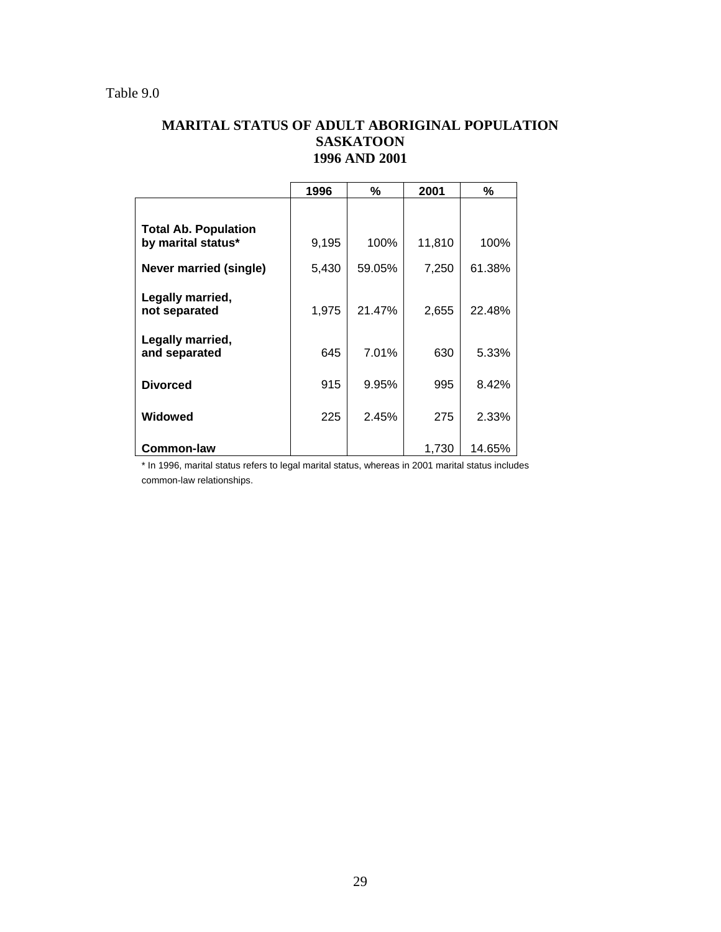### **MARITAL STATUS OF ADULT ABORIGINAL POPULATION SASKATOON 1996 AND 2001**

|                                                   | 1996  | %      | 2001   | %      |
|---------------------------------------------------|-------|--------|--------|--------|
|                                                   |       |        |        |        |
| <b>Total Ab. Population</b><br>by marital status* | 9,195 | 100%   | 11,810 | 100%   |
| <b>Never married (single)</b>                     | 5,430 | 59.05% | 7,250  | 61.38% |
| Legally married,<br>not separated                 | 1,975 | 21.47% | 2,655  | 22.48% |
| Legally married,<br>and separated                 | 645   | 7.01%  | 630    | 5.33%  |
| <b>Divorced</b>                                   | 915   | 9.95%  | 995    | 8.42%  |
| Widowed                                           | 225   | 2.45%  | 275    | 2.33%  |
| <b>Common-law</b>                                 |       |        | 1,730  | 14.65% |

\* In 1996, marital status refers to legal marital status, whereas in 2001 marital status includes common-law relationships.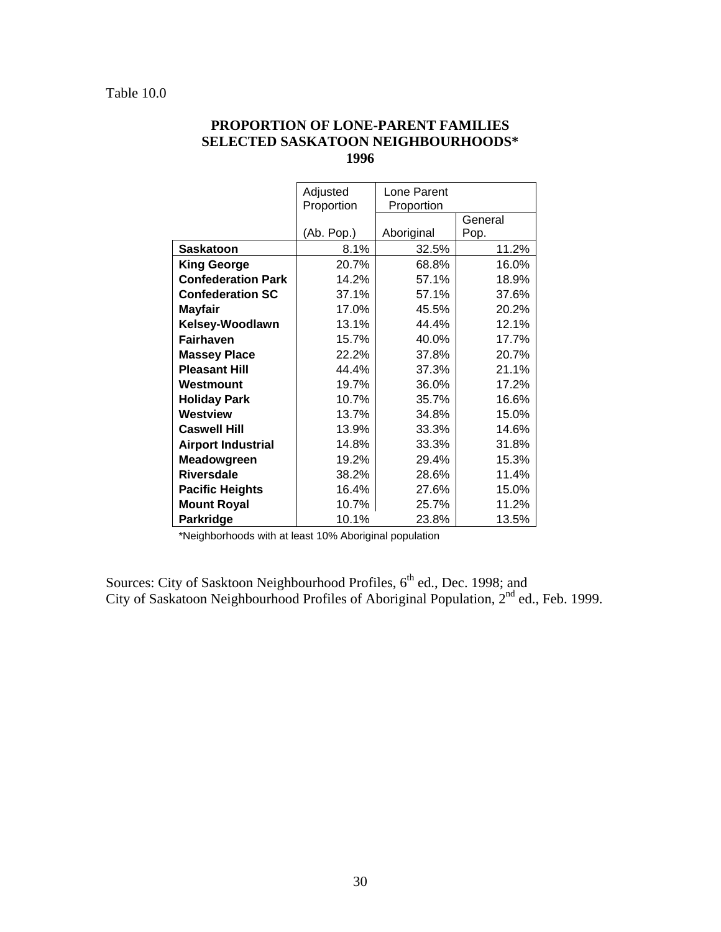|                           | Adjusted   | Lone Parent |         |
|---------------------------|------------|-------------|---------|
|                           | Proportion | Proportion  |         |
|                           |            |             | General |
|                           | (Ab. Pop.) | Aboriginal  | Pop.    |
| <b>Saskatoon</b>          | 8.1%       | 32.5%       | 11.2%   |
| <b>King George</b>        | 20.7%      | 68.8%       | 16.0%   |
| <b>Confederation Park</b> | 14.2%      | 57.1%       | 18.9%   |
| <b>Confederation SC</b>   | 37.1%      | 57.1%       | 37.6%   |
| <b>Mayfair</b>            | 17.0%      | 45.5%       | 20.2%   |
| Kelsey-Woodlawn           | 13.1%      | 44.4%       | 12.1%   |
| <b>Fairhaven</b>          | 15.7%      | 40.0%       | 17.7%   |
| <b>Massey Place</b>       | 22.2%      | 37.8%       | 20.7%   |
| <b>Pleasant Hill</b>      | 44.4%      | 37.3%       | 21.1%   |
| Westmount                 | 19.7%      | 36.0%       | 17.2%   |
| <b>Holiday Park</b>       | 10.7%      | 35.7%       | 16.6%   |
| Westview                  | 13.7%      | 34.8%       | 15.0%   |
| <b>Caswell Hill</b>       | 13.9%      | 33.3%       | 14.6%   |
| <b>Airport Industrial</b> | 14.8%      | 33.3%       | 31.8%   |
| Meadowgreen               | 19.2%      | 29.4%       | 15.3%   |
| <b>Riversdale</b>         | 38.2%      | 28.6%       | 11.4%   |
| <b>Pacific Heights</b>    | 16.4%      | 27.6%       | 15.0%   |
| <b>Mount Royal</b>        | 10.7%      | 25.7%       | 11.2%   |
| Parkridge                 | 10.1%      | 23.8%       | 13.5%   |

### **PROPORTION OF LONE-PARENT FAMILIES SELECTED SASKATOON NEIGHBOURHOODS\* 1996**

\*Neighborhoods with at least 10% Aboriginal population

Sources: City of Sasktoon Neighbourhood Profiles, 6<sup>th</sup> ed., Dec. 1998; and City of Saskatoon Neighbourhood Profiles of Aboriginal Population,  $2<sup>nd</sup>$  ed., Feb. 1999.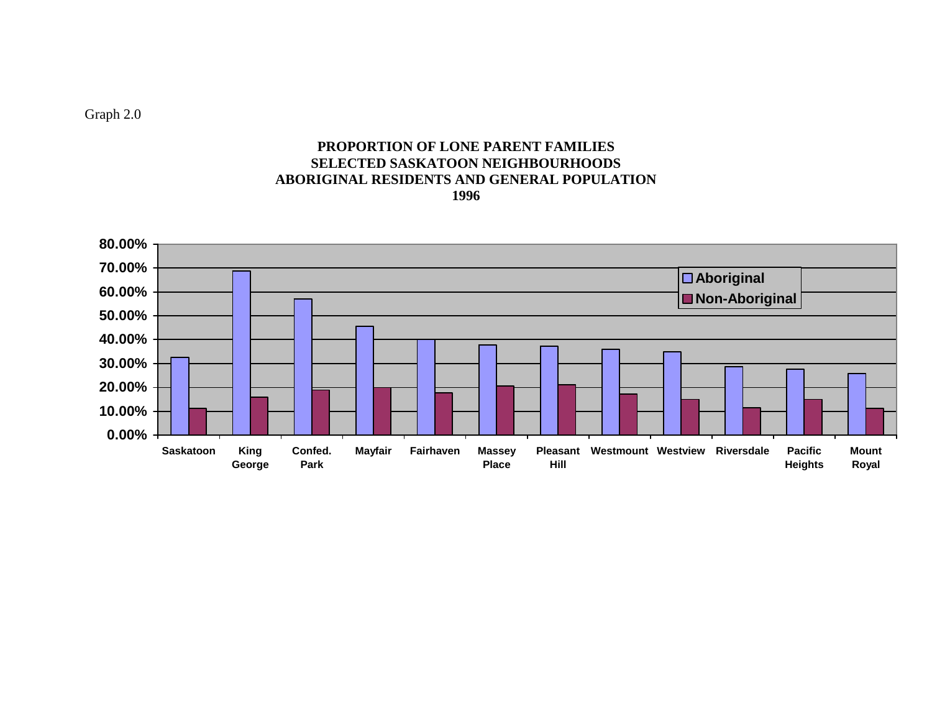Graph 2.0

### **PROPORTION OF LONE PARENT FAMILIES SELECTED SASKATOON NEIGHBOURHOODS ABORIGINAL RESIDENTS AND GENERAL POPULATION 1996**

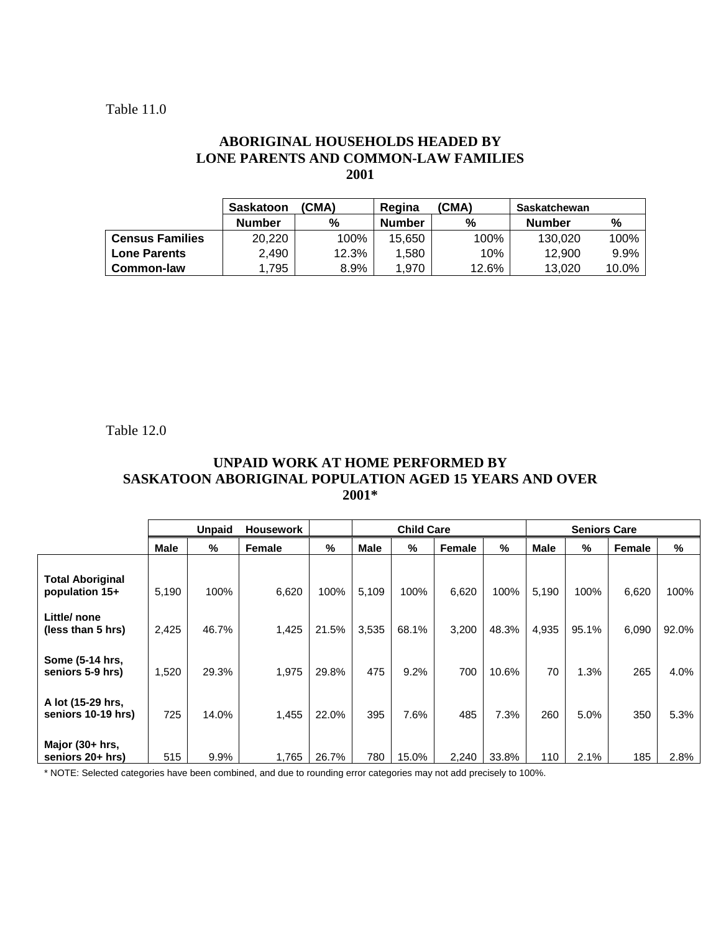### **ABORIGINAL HOUSEHOLDS HEADED BY LONE PARENTS AND COMMON-LAW FAMILIES 2001**

|                        | <b>Saskatoon</b> | (CMA) | Regina        | (CMA) | Saskatchewan  |       |
|------------------------|------------------|-------|---------------|-------|---------------|-------|
|                        | <b>Number</b>    | %     | <b>Number</b> | %     | <b>Number</b> | %     |
| <b>Census Families</b> | 20,220           | 100%  | 15,650        | 100%  | 130.020       | 100%  |
| <b>Lone Parents</b>    | 2.490            | 12.3% | 1.580         | 10%   | 12.900        | 9.9%  |
| Common-law             | .795             | 8.9%  | 1.970         | 12.6% | 13.020        | 10.0% |

Table 12.0

### **UNPAID WORK AT HOME PERFORMED BY SASKATOON ABORIGINAL POPULATION AGED 15 YEARS AND OVER 2001\***

|                                           | <b>Unpaid</b><br><b>Housework</b> |       |        | <b>Child Care</b> |             |       | <b>Seniors Care</b> |       |             |       |        |       |
|-------------------------------------------|-----------------------------------|-------|--------|-------------------|-------------|-------|---------------------|-------|-------------|-------|--------|-------|
|                                           | Male                              | %     | Female | %                 | <b>Male</b> | %     | Female              | %     | <b>Male</b> | %     | Female | %     |
| <b>Total Aboriginal</b><br>population 15+ | 5,190                             | 100%  | 6,620  | 100%              | 5,109       | 100%  | 6,620               | 100%  | 5,190       | 100%  | 6,620  | 100%  |
| Little/none<br>(less than 5 hrs)          | 2,425                             | 46.7% | 1,425  | 21.5%             | 3,535       | 68.1% | 3,200               | 48.3% | 4,935       | 95.1% | 6,090  | 92.0% |
| Some (5-14 hrs,<br>seniors 5-9 hrs)       | 1,520                             | 29.3% | 1,975  | 29.8%             | 475         | 9.2%  | 700                 | 10.6% | 70          | 1.3%  | 265    | 4.0%  |
| A lot (15-29 hrs,<br>seniors 10-19 hrs)   | 725                               | 14.0% | 1,455  | 22.0%             | 395         | 7.6%  | 485                 | 7.3%  | 260         | 5.0%  | 350    | 5.3%  |
| Major $(30 + hrs,$<br>seniors 20+ hrs)    | 515                               | 9.9%  | 1,765  | 26.7%             | 780         | 15.0% | 2,240               | 33.8% | 110         | 2.1%  | 185    | 2.8%  |

\* NOTE: Selected categories have been combined, and due to rounding error categories may not add precisely to 100%.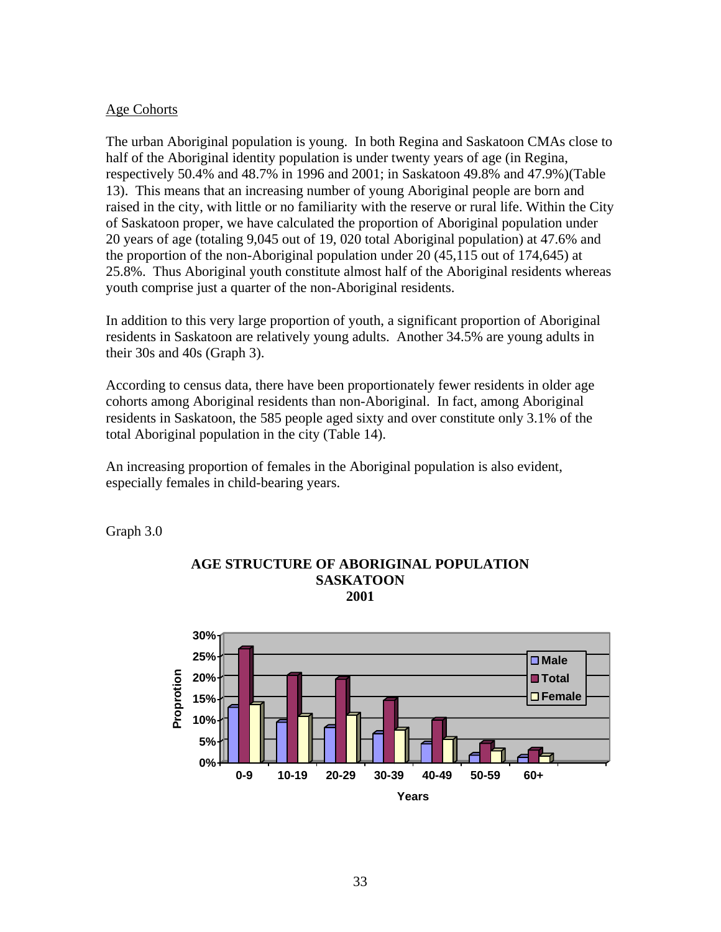#### Age Cohorts

The urban Aboriginal population is young. In both Regina and Saskatoon CMAs close to half of the Aboriginal identity population is under twenty years of age (in Regina, respectively 50.4% and 48.7% in 1996 and 2001; in Saskatoon 49.8% and 47.9%)(Table 13). This means that an increasing number of young Aboriginal people are born and raised in the city, with little or no familiarity with the reserve or rural life. Within the City of Saskatoon proper, we have calculated the proportion of Aboriginal population under 20 years of age (totaling 9,045 out of 19, 020 total Aboriginal population) at 47.6% and the proportion of the non-Aboriginal population under 20 (45,115 out of 174,645) at 25.8%. Thus Aboriginal youth constitute almost half of the Aboriginal residents whereas youth comprise just a quarter of the non-Aboriginal residents.

In addition to this very large proportion of youth, a significant proportion of Aboriginal residents in Saskatoon are relatively young adults. Another 34.5% are young adults in their 30s and 40s (Graph 3).

According to census data, there have been proportionately fewer residents in older age cohorts among Aboriginal residents than non-Aboriginal. In fact, among Aboriginal residents in Saskatoon, the 585 people aged sixty and over constitute only 3.1% of the total Aboriginal population in the city (Table 14).

An increasing proportion of females in the Aboriginal population is also evident, especially females in child-bearing years.

Graph 3.0



#### **AGE STRUCTURE OF ABORIGINAL POPULATION SASKATOON 2001**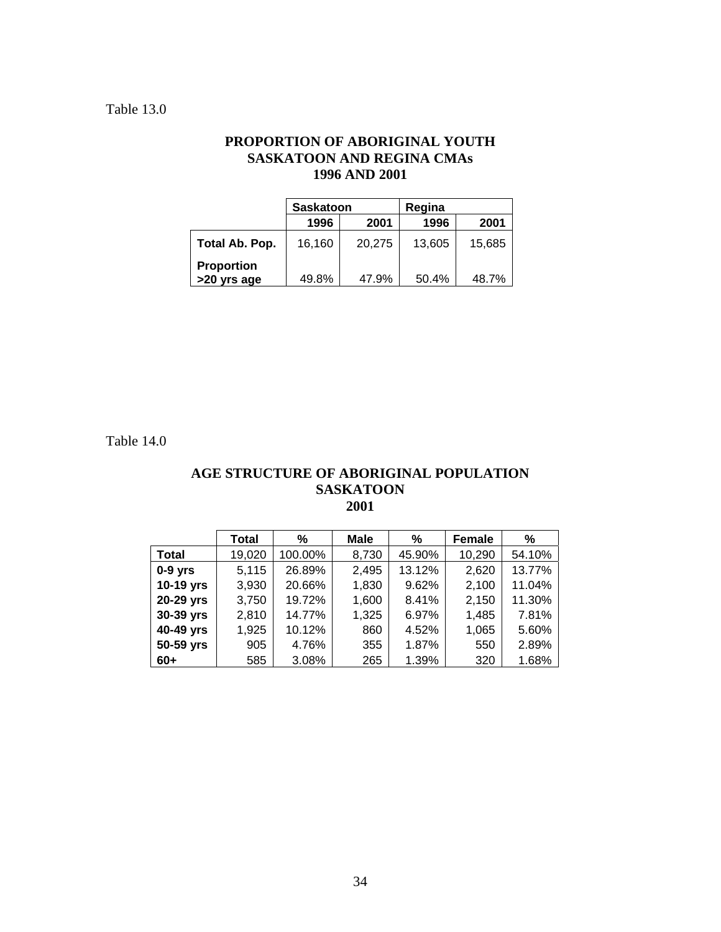### Table 13.0

### **PROPORTION OF ABORIGINAL YOUTH SASKATOON AND REGINA CMAs 1996 AND 2001**

|                                  | <b>Saskatoon</b> |        | Regina |        |  |
|----------------------------------|------------------|--------|--------|--------|--|
|                                  | 1996             | 2001   | 1996   | 2001   |  |
| Total Ab. Pop.                   | 16,160           | 20,275 | 13.605 | 15.685 |  |
| <b>Proportion</b><br>>20 yrs age | 49.8%            | 47.9%  | 50.4%  | 48.7%  |  |

Table 14.0

### **AGE STRUCTURE OF ABORIGINAL POPULATION SASKATOON 2001**

|              | <b>Total</b> | %       | <b>Male</b> | %      | <b>Female</b> | ℅      |
|--------------|--------------|---------|-------------|--------|---------------|--------|
| <b>Total</b> | 19,020       | 100.00% | 8,730       | 45.90% | 10,290        | 54.10% |
| $0-9$ yrs    | 5,115        | 26.89%  | 2,495       | 13.12% | 2,620         | 13.77% |
| 10-19 yrs    | 3,930        | 20.66%  | 1,830       | 9.62%  | 2,100         | 11.04% |
| 20-29 yrs    | 3,750        | 19.72%  | 1,600       | 8.41%  | 2,150         | 11.30% |
| 30-39 yrs    | 2,810        | 14.77%  | 1,325       | 6.97%  | 1,485         | 7.81%  |
| 40-49 yrs    | 1,925        | 10.12%  | 860         | 4.52%  | 1,065         | 5.60%  |
| 50-59 yrs    | 905          | 4.76%   | 355         | 1.87%  | 550           | 2.89%  |
| $60+$        | 585          | 3.08%   | 265         | 1.39%  | 320           | 1.68%  |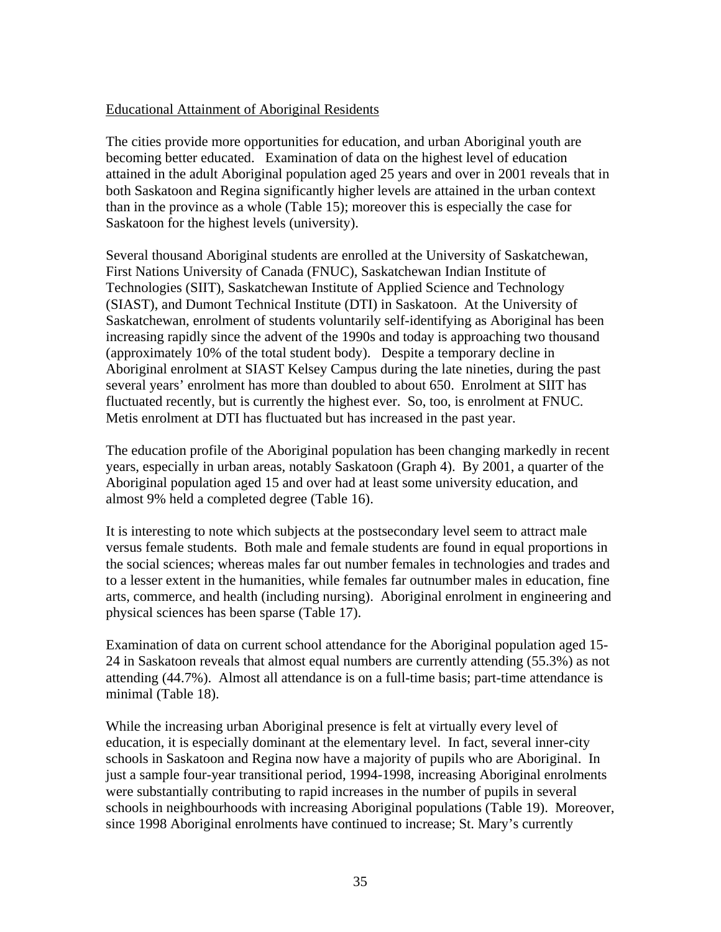### Educational Attainment of Aboriginal Residents

The cities provide more opportunities for education, and urban Aboriginal youth are becoming better educated. Examination of data on the highest level of education attained in the adult Aboriginal population aged 25 years and over in 2001 reveals that in both Saskatoon and Regina significantly higher levels are attained in the urban context than in the province as a whole (Table 15); moreover this is especially the case for Saskatoon for the highest levels (university).

Several thousand Aboriginal students are enrolled at the University of Saskatchewan, First Nations University of Canada (FNUC), Saskatchewan Indian Institute of Technologies (SIIT), Saskatchewan Institute of Applied Science and Technology (SIAST), and Dumont Technical Institute (DTI) in Saskatoon. At the University of Saskatchewan, enrolment of students voluntarily self-identifying as Aboriginal has been increasing rapidly since the advent of the 1990s and today is approaching two thousand (approximately 10% of the total student body). Despite a temporary decline in Aboriginal enrolment at SIAST Kelsey Campus during the late nineties, during the past several years' enrolment has more than doubled to about 650. Enrolment at SIIT has fluctuated recently, but is currently the highest ever. So, too, is enrolment at FNUC. Metis enrolment at DTI has fluctuated but has increased in the past year.

The education profile of the Aboriginal population has been changing markedly in recent years, especially in urban areas, notably Saskatoon (Graph 4). By 2001, a quarter of the Aboriginal population aged 15 and over had at least some university education, and almost 9% held a completed degree (Table 16).

It is interesting to note which subjects at the postsecondary level seem to attract male versus female students. Both male and female students are found in equal proportions in the social sciences; whereas males far out number females in technologies and trades and to a lesser extent in the humanities, while females far outnumber males in education, fine arts, commerce, and health (including nursing). Aboriginal enrolment in engineering and physical sciences has been sparse (Table 17).

Examination of data on current school attendance for the Aboriginal population aged 15- 24 in Saskatoon reveals that almost equal numbers are currently attending (55.3%) as not attending (44.7%). Almost all attendance is on a full-time basis; part-time attendance is minimal (Table 18).

While the increasing urban Aboriginal presence is felt at virtually every level of education, it is especially dominant at the elementary level. In fact, several inner-city schools in Saskatoon and Regina now have a majority of pupils who are Aboriginal. In just a sample four-year transitional period, 1994-1998, increasing Aboriginal enrolments were substantially contributing to rapid increases in the number of pupils in several schools in neighbourhoods with increasing Aboriginal populations (Table 19). Moreover, since 1998 Aboriginal enrolments have continued to increase; St. Mary's currently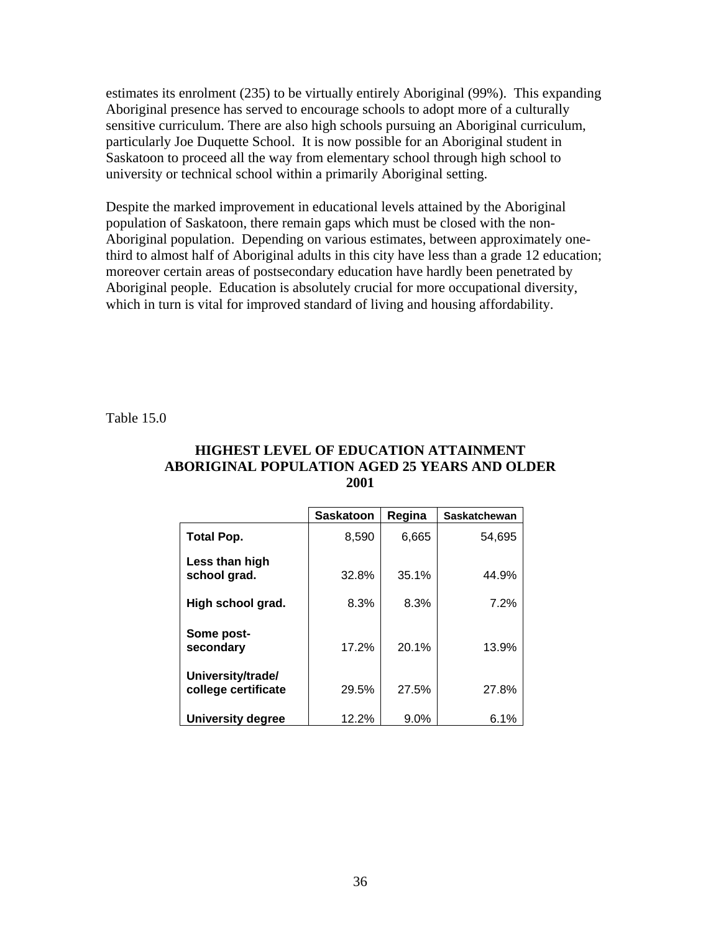estimates its enrolment (235) to be virtually entirely Aboriginal (99%). This expanding Aboriginal presence has served to encourage schools to adopt more of a culturally sensitive curriculum. There are also high schools pursuing an Aboriginal curriculum, particularly Joe Duquette School. It is now possible for an Aboriginal student in Saskatoon to proceed all the way from elementary school through high school to university or technical school within a primarily Aboriginal setting.

Despite the marked improvement in educational levels attained by the Aboriginal population of Saskatoon, there remain gaps which must be closed with the non-Aboriginal population. Depending on various estimates, between approximately onethird to almost half of Aboriginal adults in this city have less than a grade 12 education; moreover certain areas of postsecondary education have hardly been penetrated by Aboriginal people. Education is absolutely crucial for more occupational diversity, which in turn is vital for improved standard of living and housing affordability.

Table 15.0

#### **HIGHEST LEVEL OF EDUCATION ATTAINMENT ABORIGINAL POPULATION AGED 25 YEARS AND OLDER 2001**

|                                          | <b>Saskatoon</b> | Regina  | <b>Saskatchewan</b> |
|------------------------------------------|------------------|---------|---------------------|
| <b>Total Pop.</b>                        | 8,590            | 6,665   | 54,695              |
| Less than high<br>school grad.           | 32.8%            | 35.1%   | 44.9%               |
| High school grad.                        | 8.3%             | 8.3%    | 7.2%                |
| Some post-<br>secondary                  | 17.2%            | 20.1%   | 13.9%               |
| University/trade/<br>college certificate | 29.5%            | 27.5%   | 27.8%               |
| <b>University degree</b>                 | 12.2%            | $9.0\%$ | 6.1%                |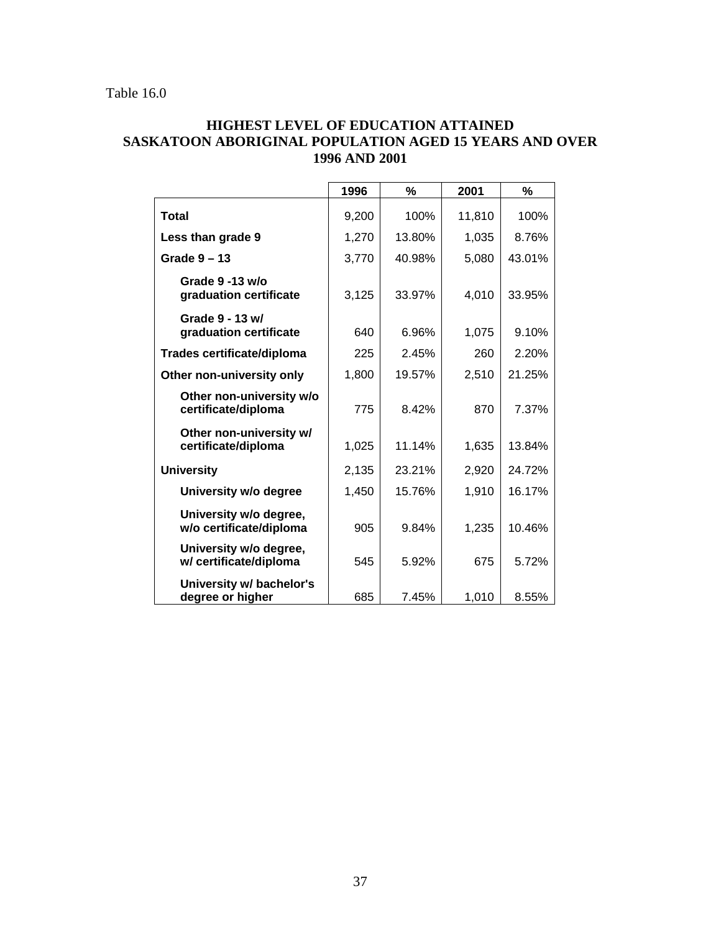### **HIGHEST LEVEL OF EDUCATION ATTAINED SASKATOON ABORIGINAL POPULATION AGED 15 YEARS AND OVER 1996 AND 2001**

|                                                   | 1996  | %      | 2001   | %      |
|---------------------------------------------------|-------|--------|--------|--------|
| Total                                             | 9,200 | 100%   | 11,810 | 100%   |
| Less than grade 9                                 | 1,270 | 13.80% | 1,035  | 8.76%  |
| Grade $9 - 13$                                    | 3,770 | 40.98% | 5,080  | 43.01% |
| Grade $9 - 13$ w/o<br>graduation certificate      | 3,125 | 33.97% | 4,010  | 33.95% |
| Grade 9 - 13 w/<br>graduation certificate         | 640   | 6.96%  | 1,075  | 9.10%  |
| <b>Trades certificate/diploma</b>                 | 225   | 2.45%  | 260    | 2.20%  |
| Other non-university only                         | 1,800 | 19.57% | 2,510  | 21.25% |
| Other non-university w/o<br>certificate/diploma   | 775   | 8.42%  | 870    | 7.37%  |
| Other non-university w/<br>certificate/diploma    | 1,025 | 11.14% | 1,635  | 13.84% |
| <b>University</b>                                 | 2,135 | 23.21% | 2,920  | 24.72% |
| University w/o degree                             | 1,450 | 15.76% | 1,910  | 16.17% |
| University w/o degree,<br>w/o certificate/diploma | 905   | 9.84%  | 1,235  | 10.46% |
| University w/o degree,<br>w/ certificate/diploma  | 545   | 5.92%  | 675    | 5.72%  |
| University w/ bachelor's<br>degree or higher      | 685   | 7.45%  | 1,010  | 8.55%  |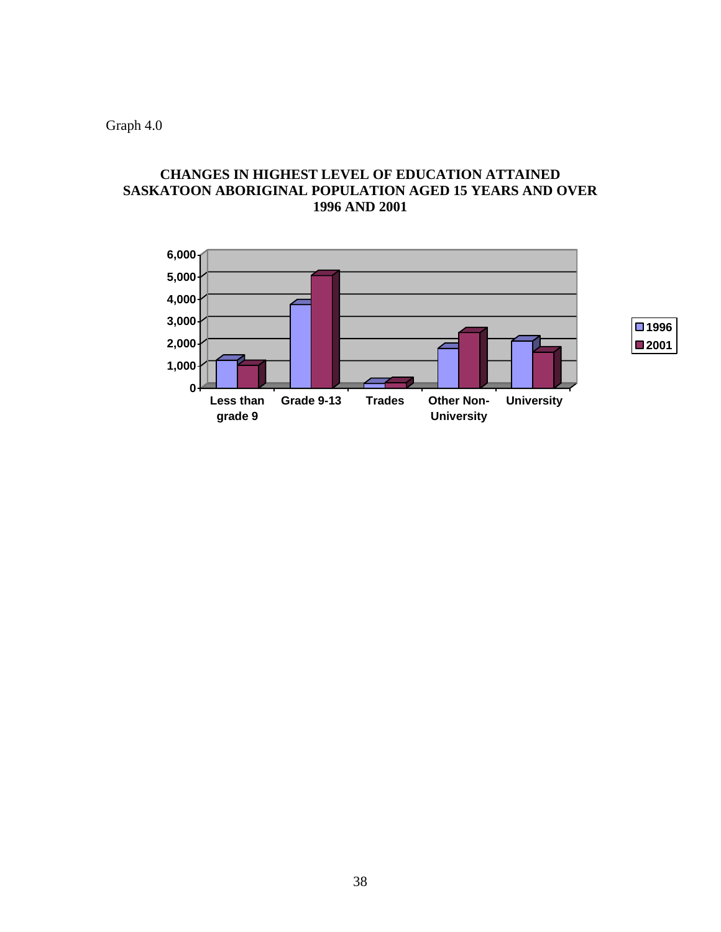Graph 4.0

### **CHANGES IN HIGHEST LEVEL OF EDUCATION ATTAINED SASKATOON ABORIGINAL POPULATION AGED 15 YEARS AND OVER 1996 AND 2001**

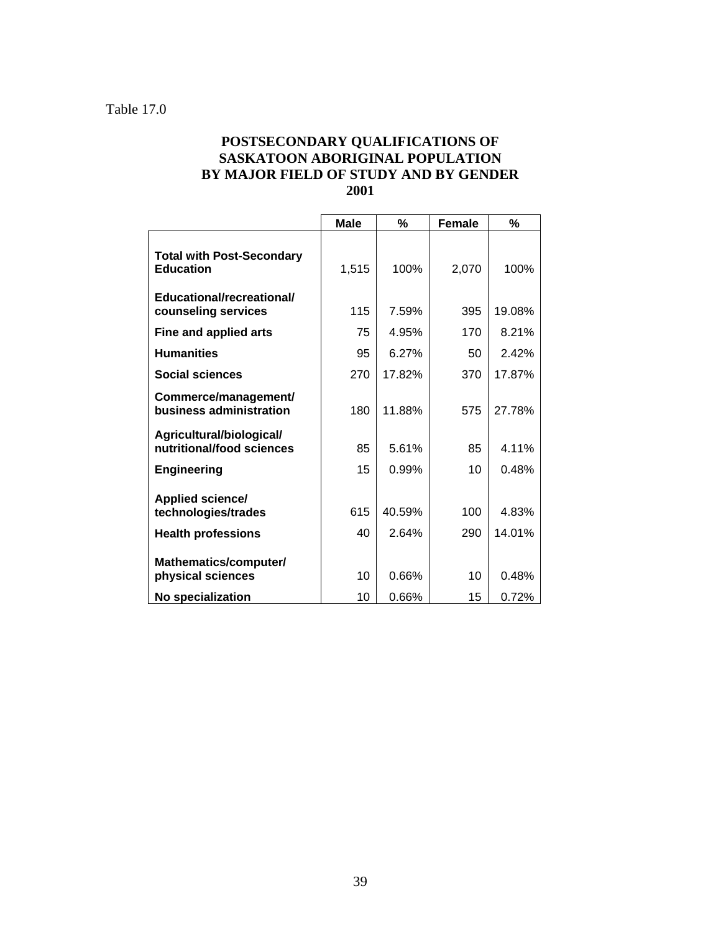### **POSTSECONDARY QUALIFICATIONS OF SASKATOON ABORIGINAL POPULATION BY MAJOR FIELD OF STUDY AND BY GENDER 2001**

|                                                       | <b>Male</b> | %      | <b>Female</b> | %      |
|-------------------------------------------------------|-------------|--------|---------------|--------|
| <b>Total with Post-Secondary</b><br><b>Education</b>  | 1,515       | 100%   | 2,070         | 100%   |
| Educational/recreational/<br>counseling services      | 115         | 7.59%  | 395           | 19.08% |
| Fine and applied arts                                 | 75          | 4.95%  | 170           | 8.21%  |
| <b>Humanities</b>                                     | 95          | 6.27%  | 50            | 2.42%  |
| <b>Social sciences</b>                                | 270         | 17.82% | 370           | 17.87% |
| Commerce/management/<br>business administration       | 180         | 11.88% | 575           | 27.78% |
| Agricultural/biological/<br>nutritional/food sciences | 85          | 5.61%  | 85            | 4.11%  |
| <b>Engineering</b>                                    | 15          | 0.99%  | 10            | 0.48%  |
| Applied science/<br>technologies/trades               | 615         | 40.59% | 100           | 4.83%  |
| <b>Health professions</b>                             | 40          | 2.64%  | 290           | 14.01% |
| Mathematics/computer/<br>physical sciences            | 10          | 0.66%  | 10            | 0.48%  |
| No specialization                                     | 10          | 0.66%  | 15            | 0.72%  |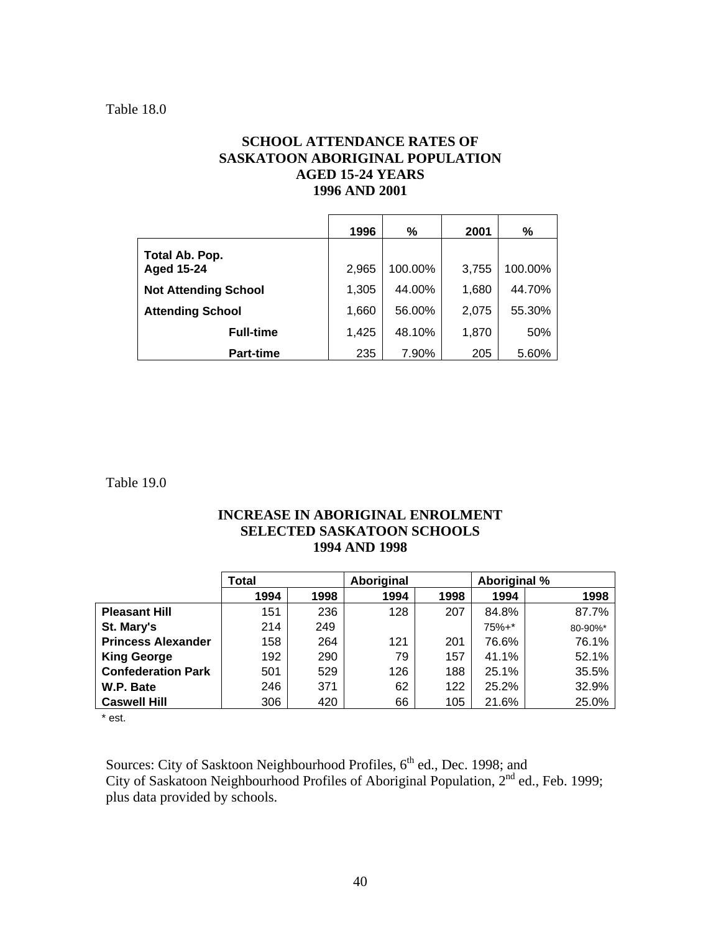### **SCHOOL ATTENDANCE RATES OF SASKATOON ABORIGINAL POPULATION AGED 15-24 YEARS 1996 AND 2001**

|                             | 1996  | $\%$    | 2001  | %       |
|-----------------------------|-------|---------|-------|---------|
| Total Ab. Pop.              |       |         |       |         |
| <b>Aged 15-24</b>           | 2,965 | 100.00% | 3,755 | 100.00% |
| <b>Not Attending School</b> | 1,305 | 44.00%  | 1,680 | 44.70%  |
| <b>Attending School</b>     | 1,660 | 56.00%  | 2,075 | 55.30%  |
| <b>Full-time</b>            | 1,425 | 48.10%  | 1,870 | 50%     |
| <b>Part-time</b>            | 235   | 7.90%   | 205   | 5.60%   |

Table 19.0

### **INCREASE IN ABORIGINAL ENROLMENT SELECTED SASKATOON SCHOOLS 1994 AND 1998**

|                           | Total |      | Aboriginal |      | Aboriginal % |         |
|---------------------------|-------|------|------------|------|--------------|---------|
|                           | 1994  | 1998 | 1994       | 1998 | 1994         | 1998    |
| <b>Pleasant Hill</b>      | 151   | 236  | 128        | 207  | 84.8%        | 87.7%   |
| St. Mary's                | 214   | 249  |            |      | $75% +$ *    | 80-90%* |
| <b>Princess Alexander</b> | 158   | 264  | 121        | 201  | 76.6%        | 76.1%   |
| <b>King George</b>        | 192   | 290  | 79         | 157  | 41.1%        | 52.1%   |
| <b>Confederation Park</b> | 501   | 529  | 126        | 188  | 25.1%        | 35.5%   |
| W.P. Bate                 | 246   | 371  | 62         | 122  | 25.2%        | 32.9%   |
| <b>Caswell Hill</b>       | 306   | 420  | 66         | 105  | 21.6%        | 25.0%   |

\* est.

Sources: City of Sasktoon Neighbourhood Profiles, 6<sup>th</sup> ed., Dec. 1998; and City of Saskatoon Neighbourhood Profiles of Aboriginal Population, 2<sup>nd</sup> ed., Feb. 1999; plus data provided by schools.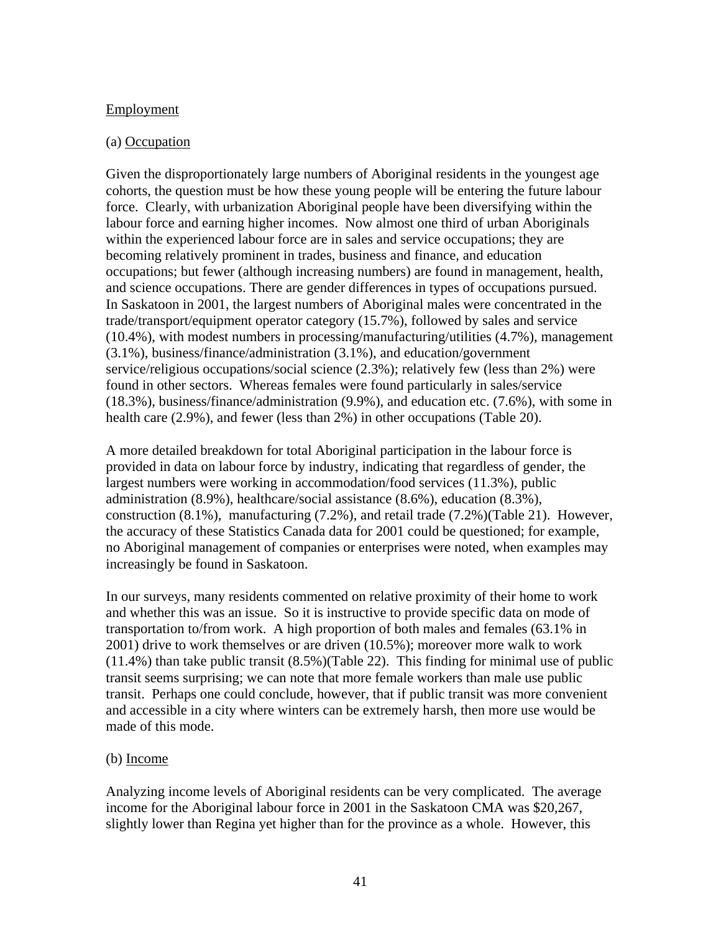### Employment

### (a) Occupation

Given the disproportionately large numbers of Aboriginal residents in the youngest age cohorts, the question must be how these young people will be entering the future labour force. Clearly, with urbanization Aboriginal people have been diversifying within the labour force and earning higher incomes. Now almost one third of urban Aboriginals within the experienced labour force are in sales and service occupations; they are becoming relatively prominent in trades, business and finance, and education occupations; but fewer (although increasing numbers) are found in management, health, and science occupations. There are gender differences in types of occupations pursued. In Saskatoon in 2001, the largest numbers of Aboriginal males were concentrated in the trade/transport/equipment operator category (15.7%), followed by sales and service (10.4%), with modest numbers in processing/manufacturing/utilities (4.7%), management (3.1%), business/finance/administration (3.1%), and education/government service/religious occupations/social science (2.3%); relatively few (less than 2%) were found in other sectors. Whereas females were found particularly in sales/service (18.3%), business/finance/administration (9.9%), and education etc. (7.6%), with some in health care (2.9%), and fewer (less than 2%) in other occupations (Table 20).

A more detailed breakdown for total Aboriginal participation in the labour force is provided in data on labour force by industry, indicating that regardless of gender, the largest numbers were working in accommodation/food services (11.3%), public administration (8.9%), healthcare/social assistance (8.6%), education (8.3%), construction (8.1%), manufacturing (7.2%), and retail trade (7.2%)(Table 21). However, the accuracy of these Statistics Canada data for 2001 could be questioned; for example, no Aboriginal management of companies or enterprises were noted, when examples may increasingly be found in Saskatoon.

In our surveys, many residents commented on relative proximity of their home to work and whether this was an issue. So it is instructive to provide specific data on mode of transportation to/from work. A high proportion of both males and females (63.1% in 2001) drive to work themselves or are driven (10.5%); moreover more walk to work (11.4%) than take public transit (8.5%)(Table 22). This finding for minimal use of public transit seems surprising; we can note that more female workers than male use public transit. Perhaps one could conclude, however, that if public transit was more convenient and accessible in a city where winters can be extremely harsh, then more use would be made of this mode.

#### (b) Income

Analyzing income levels of Aboriginal residents can be very complicated. The average income for the Aboriginal labour force in 2001 in the Saskatoon CMA was \$20,267, slightly lower than Regina yet higher than for the province as a whole. However, this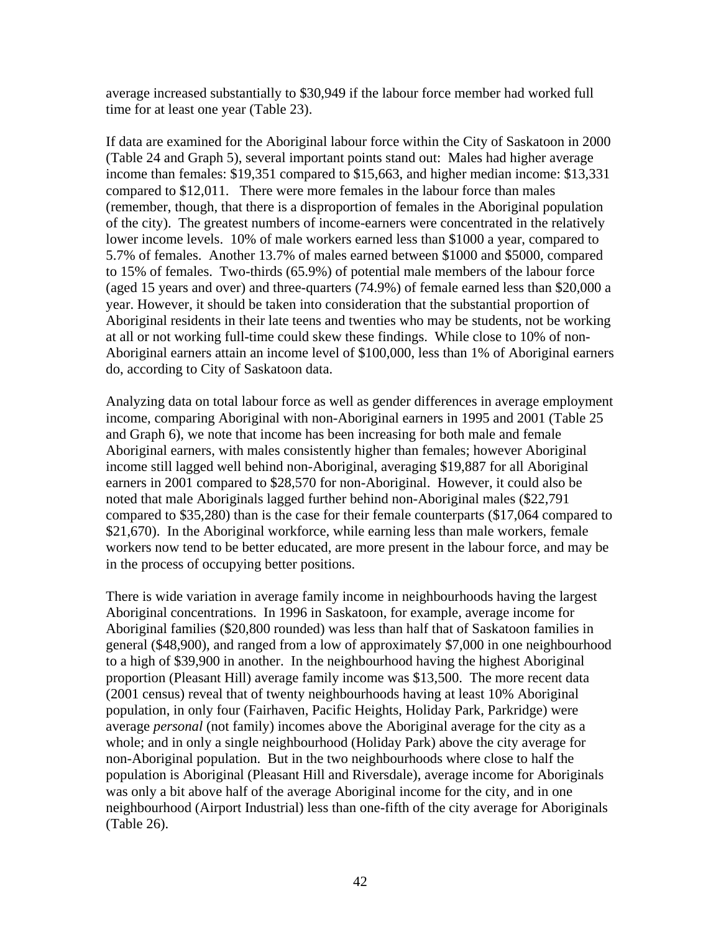average increased substantially to \$30,949 if the labour force member had worked full time for at least one year (Table 23).

If data are examined for the Aboriginal labour force within the City of Saskatoon in 2000 (Table 24 and Graph 5), several important points stand out: Males had higher average income than females: \$19,351 compared to \$15,663, and higher median income: \$13,331 compared to \$12,011. There were more females in the labour force than males (remember, though, that there is a disproportion of females in the Aboriginal population of the city). The greatest numbers of income-earners were concentrated in the relatively lower income levels. 10% of male workers earned less than \$1000 a year, compared to 5.7% of females. Another 13.7% of males earned between \$1000 and \$5000, compared to 15% of females. Two-thirds (65.9%) of potential male members of the labour force (aged 15 years and over) and three-quarters (74.9%) of female earned less than \$20,000 a year. However, it should be taken into consideration that the substantial proportion of Aboriginal residents in their late teens and twenties who may be students, not be working at all or not working full-time could skew these findings. While close to 10% of non-Aboriginal earners attain an income level of \$100,000, less than 1% of Aboriginal earners do, according to City of Saskatoon data.

Analyzing data on total labour force as well as gender differences in average employment income, comparing Aboriginal with non-Aboriginal earners in 1995 and 2001 (Table 25 and Graph 6), we note that income has been increasing for both male and female Aboriginal earners, with males consistently higher than females; however Aboriginal income still lagged well behind non-Aboriginal, averaging \$19,887 for all Aboriginal earners in 2001 compared to \$28,570 for non-Aboriginal. However, it could also be noted that male Aboriginals lagged further behind non-Aboriginal males (\$22,791 compared to \$35,280) than is the case for their female counterparts (\$17,064 compared to \$21,670). In the Aboriginal workforce, while earning less than male workers, female workers now tend to be better educated, are more present in the labour force, and may be in the process of occupying better positions.

There is wide variation in average family income in neighbourhoods having the largest Aboriginal concentrations. In 1996 in Saskatoon, for example, average income for Aboriginal families (\$20,800 rounded) was less than half that of Saskatoon families in general (\$48,900), and ranged from a low of approximately \$7,000 in one neighbourhood to a high of \$39,900 in another. In the neighbourhood having the highest Aboriginal proportion (Pleasant Hill) average family income was \$13,500. The more recent data (2001 census) reveal that of twenty neighbourhoods having at least 10% Aboriginal population, in only four (Fairhaven, Pacific Heights, Holiday Park, Parkridge) were average *personal* (not family) incomes above the Aboriginal average for the city as a whole; and in only a single neighbourhood (Holiday Park) above the city average for non-Aboriginal population. But in the two neighbourhoods where close to half the population is Aboriginal (Pleasant Hill and Riversdale), average income for Aboriginals was only a bit above half of the average Aboriginal income for the city, and in one neighbourhood (Airport Industrial) less than one-fifth of the city average for Aboriginals (Table 26).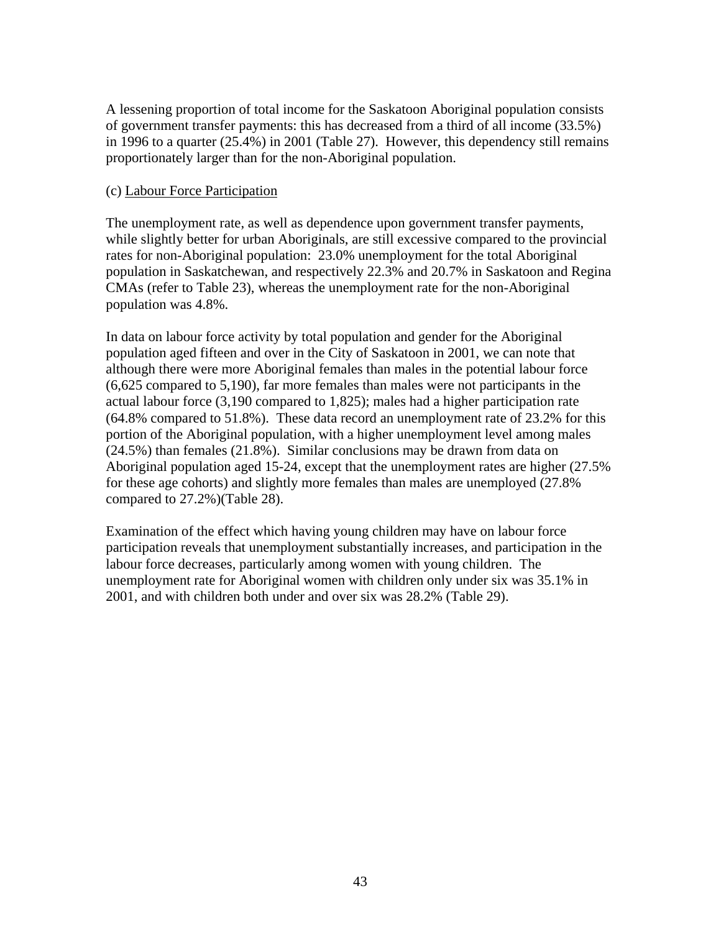A lessening proportion of total income for the Saskatoon Aboriginal population consists of government transfer payments: this has decreased from a third of all income (33.5%) in 1996 to a quarter (25.4%) in 2001 (Table 27). However, this dependency still remains proportionately larger than for the non-Aboriginal population.

#### (c) Labour Force Participation

The unemployment rate, as well as dependence upon government transfer payments, while slightly better for urban Aboriginals, are still excessive compared to the provincial rates for non-Aboriginal population: 23.0% unemployment for the total Aboriginal population in Saskatchewan, and respectively 22.3% and 20.7% in Saskatoon and Regina CMAs (refer to Table 23), whereas the unemployment rate for the non-Aboriginal population was 4.8%.

In data on labour force activity by total population and gender for the Aboriginal population aged fifteen and over in the City of Saskatoon in 2001, we can note that although there were more Aboriginal females than males in the potential labour force (6,625 compared to 5,190), far more females than males were not participants in the actual labour force (3,190 compared to 1,825); males had a higher participation rate (64.8% compared to 51.8%). These data record an unemployment rate of 23.2% for this portion of the Aboriginal population, with a higher unemployment level among males (24.5%) than females (21.8%). Similar conclusions may be drawn from data on Aboriginal population aged 15-24, except that the unemployment rates are higher (27.5% for these age cohorts) and slightly more females than males are unemployed (27.8% compared to 27.2%)(Table 28).

Examination of the effect which having young children may have on labour force participation reveals that unemployment substantially increases, and participation in the labour force decreases, particularly among women with young children. The unemployment rate for Aboriginal women with children only under six was 35.1% in 2001, and with children both under and over six was 28.2% (Table 29).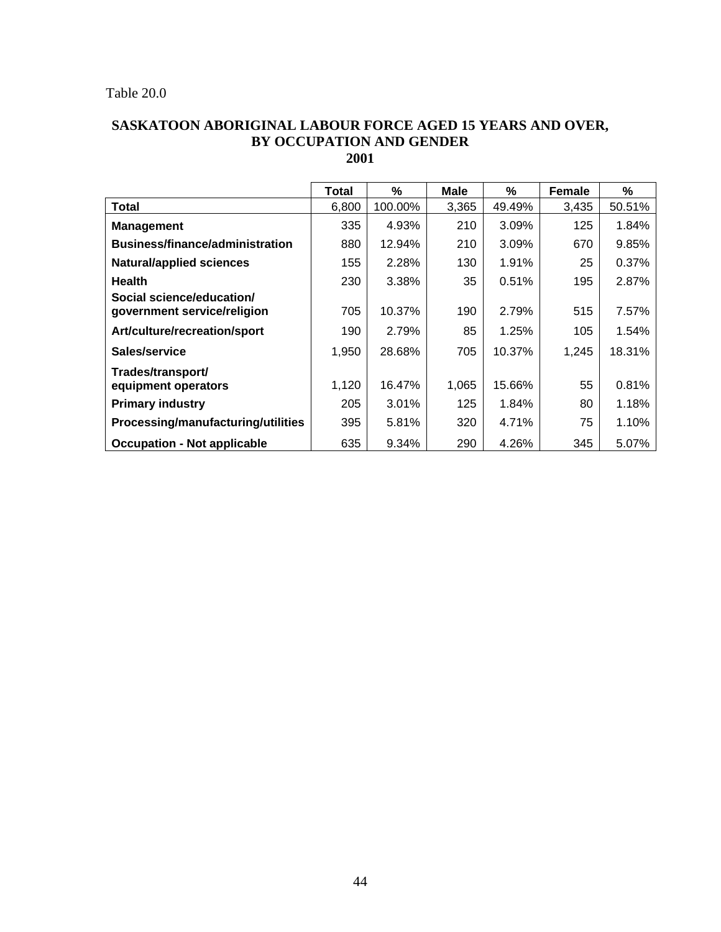### Table 20.0

### **SASKATOON ABORIGINAL LABOUR FORCE AGED 15 YEARS AND OVER, BY OCCUPATION AND GENDER 2001**

|                                                          | <b>Total</b> | %       | Male  | %      | <b>Female</b> | %      |
|----------------------------------------------------------|--------------|---------|-------|--------|---------------|--------|
| <b>Total</b>                                             | 6,800        | 100.00% | 3,365 | 49.49% | 3,435         | 50.51% |
| <b>Management</b>                                        | 335          | 4.93%   | 210   | 3.09%  | 125           | 1.84%  |
| <b>Business/finance/administration</b>                   | 880          | 12.94%  | 210   | 3.09%  | 670           | 9.85%  |
| <b>Natural/applied sciences</b>                          | 155          | 2.28%   | 130   | 1.91%  | 25            | 0.37%  |
| <b>Health</b>                                            | 230          | 3.38%   | 35    | 0.51%  | 195           | 2.87%  |
| Social science/education/<br>government service/religion | 705          | 10.37%  | 190   | 2.79%  | 515           | 7.57%  |
| Art/culture/recreation/sport                             | 190          | 2.79%   | 85    | 1.25%  | 105           | 1.54%  |
| Sales/service                                            | 1,950        | 28.68%  | 705   | 10.37% | 1,245         | 18.31% |
| Trades/transport/<br>equipment operators                 | 1,120        | 16.47%  | 1,065 | 15.66% | 55            | 0.81%  |
| <b>Primary industry</b>                                  | 205          | 3.01%   | 125   | 1.84%  | 80            | 1.18%  |
| Processing/manufacturing/utilities                       | 395          | 5.81%   | 320   | 4.71%  | 75            | 1.10%  |
| <b>Occupation - Not applicable</b>                       | 635          | 9.34%   | 290   | 4.26%  | 345           | 5.07%  |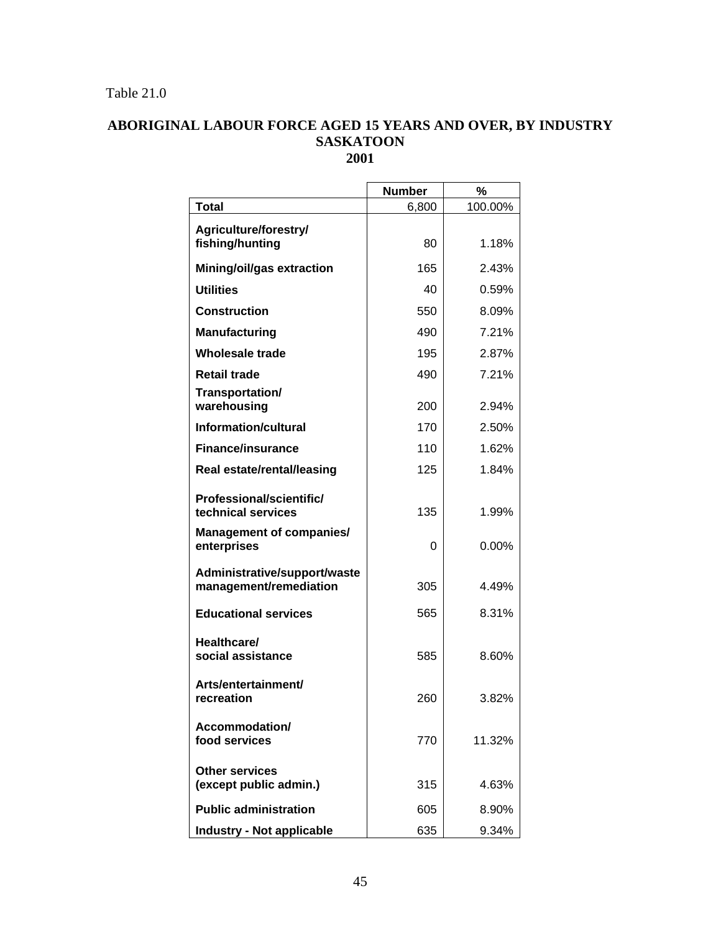## Table 21.0

### **ABORIGINAL LABOUR FORCE AGED 15 YEARS AND OVER, BY INDUSTRY SASKATOON 2001**

|                                                        | <b>Number</b> | %        |
|--------------------------------------------------------|---------------|----------|
| <b>Total</b>                                           | 6,800         | 100.00%  |
| Agriculture/forestry/<br>fishing/hunting               | 80            | 1.18%    |
| Mining/oil/gas extraction                              | 165           | 2.43%    |
| <b>Utilities</b>                                       | 40            | 0.59%    |
| Construction                                           | 550           | 8.09%    |
| <b>Manufacturing</b>                                   | 490           | 7.21%    |
| Wholesale trade                                        | 195           | 2.87%    |
| <b>Retail trade</b>                                    | 490           | 7.21%    |
| Transportation/<br>warehousing                         | 200           | 2.94%    |
| <b>Information/cultural</b>                            | 170           | 2.50%    |
| <b>Finance/insurance</b>                               | 110           | 1.62%    |
| <b>Real estate/rental/leasing</b>                      | 125           | 1.84%    |
| Professional/scientific/<br>technical services         | 135           | 1.99%    |
| <b>Management of companies/</b><br>enterprises         | 0             | $0.00\%$ |
| Administrative/support/waste<br>management/remediation | 305           | 4.49%    |
| <b>Educational services</b>                            | 565           | 8.31%    |
| Healthcare/<br>social assistance                       | 585           | 8.60%    |
| Arts/entertainment/<br>recreation                      | 260           | 3.82%    |
| Accommodation/<br>food services                        | 770           | 11.32%   |
| <b>Other services</b><br>(except public admin.)        | 315           | 4.63%    |
| <b>Public administration</b>                           | 605           | 8.90%    |
| <b>Industry - Not applicable</b>                       | 635           | 9.34%    |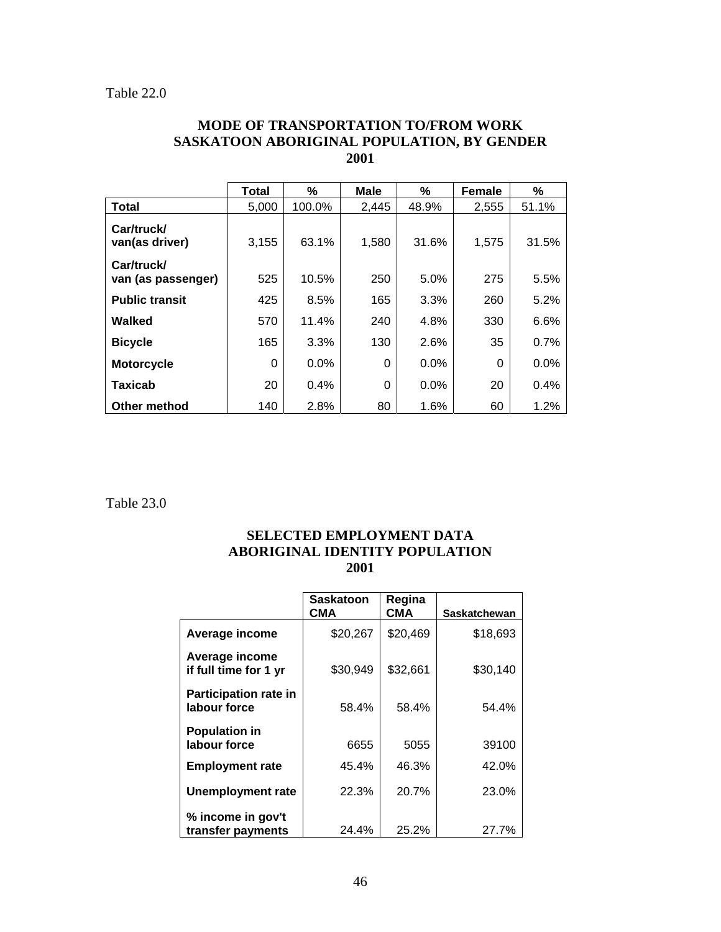### **MODE OF TRANSPORTATION TO/FROM WORK SASKATOON ABORIGINAL POPULATION, BY GENDER 2001**

|                                  | Total    | %       | <b>Male</b> | %     | Female   | %     |
|----------------------------------|----------|---------|-------------|-------|----------|-------|
| <b>Total</b>                     | 5,000    | 100.0%  | 2,445       | 48.9% | 2,555    | 51.1% |
| Car/truck/<br>van(as driver)     | 3,155    | 63.1%   | 1,580       | 31.6% | 1,575    | 31.5% |
| Car/truck/<br>van (as passenger) | 525      | 10.5%   | 250         | 5.0%  | 275      | 5.5%  |
| <b>Public transit</b>            | 425      | 8.5%    | 165         | 3.3%  | 260      | 5.2%  |
| Walked                           | 570      | 11.4%   | 240         | 4.8%  | 330      | 6.6%  |
| <b>Bicycle</b>                   | 165      | 3.3%    | 130         | 2.6%  | 35       | 0.7%  |
| <b>Motorcycle</b>                | $\Omega$ | $0.0\%$ | 0           | 0.0%  | $\Omega$ | 0.0%  |
| Taxicab                          | 20       | 0.4%    | 0           | 0.0%  | 20       | 0.4%  |
| Other method                     | 140      | 2.8%    | 80          | 1.6%  | 60       | 1.2%  |

Table 23.0

#### **SELECTED EMPLOYMENT DATA ABORIGINAL IDENTITY POPULATION 2001**

|                                              | <b>Saskatoon</b><br>СМА | Regina<br>СМА | Saskatchewan |
|----------------------------------------------|-------------------------|---------------|--------------|
| Average income                               | \$20,267                | \$20,469      | \$18,693     |
| Average income<br>if full time for 1 yr      | \$30,949                | \$32,661      | \$30,140     |
| <b>Participation rate in</b><br>labour force | 58.4%                   | 58.4%         | 54.4%        |
| <b>Population in</b><br>labour force         | 6655                    | 5055          | 39100        |
| <b>Employment rate</b>                       | 45.4%                   | 46.3%         | 42.0%        |
| <b>Unemployment rate</b>                     | 22.3%                   | 20.7%         | 23.0%        |
| % income in gov't<br>transfer payments       | 24.4%                   | 25.2%         | 27.7%        |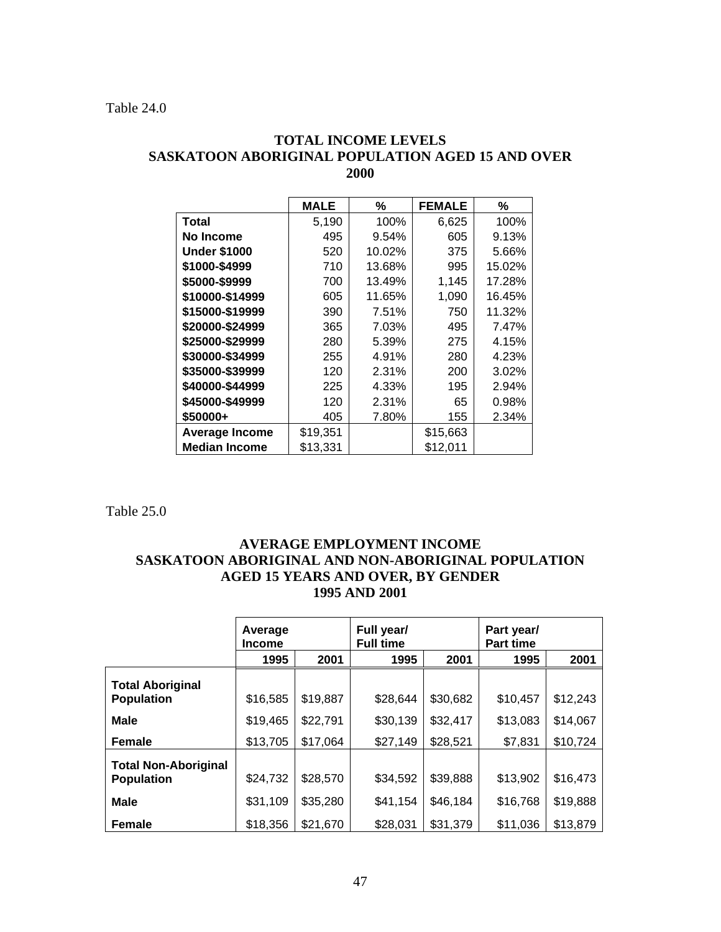### **TOTAL INCOME LEVELS SASKATOON ABORIGINAL POPULATION AGED 15 AND OVER 2000**

|                       | <b>MALE</b> | $\%$   | <b>FEMALE</b> | %      |
|-----------------------|-------------|--------|---------------|--------|
| Total                 | 5,190       | 100%   | 6,625         | 100%   |
| No Income             | 495         | 9.54%  | 605           | 9.13%  |
| <b>Under \$1000</b>   | 520         | 10.02% | 375           | 5.66%  |
| \$1000-\$4999         | 710         | 13.68% | 995           | 15.02% |
| \$5000-\$9999         | 700         | 13.49% | 1,145         | 17.28% |
| \$10000-\$14999       | 605         | 11.65% | 1,090         | 16.45% |
| \$15000-\$19999       | 390         | 7.51%  | 750           | 11.32% |
| \$20000-\$24999       | 365         | 7.03%  | 495           | 7.47%  |
| \$25000-\$29999       | 280         | 5.39%  | 275           | 4.15%  |
| \$30000-\$34999       | 255         | 4.91%  | 280           | 4.23%  |
| \$35000-\$39999       | 120         | 2.31%  | 200           | 3.02%  |
| \$40000-\$44999       | 225         | 4.33%  | 195           | 2.94%  |
| \$45000-\$49999       | 120         | 2.31%  | 65            | 0.98%  |
| \$50000+              | 405         | 7.80%  | 155           | 2.34%  |
| <b>Average Income</b> | \$19,351    |        | \$15,663      |        |
| <b>Median Income</b>  | \$13,331    |        | \$12,011      |        |

Table 25.0

### **AVERAGE EMPLOYMENT INCOME SASKATOON ABORIGINAL AND NON-ABORIGINAL POPULATION AGED 15 YEARS AND OVER, BY GENDER 1995 AND 2001**

|                             | Average<br><b>Income</b> |          | Full year/<br><b>Full time</b> |          | Part year/<br><b>Part time</b> |          |
|-----------------------------|--------------------------|----------|--------------------------------|----------|--------------------------------|----------|
|                             | 1995                     | 2001     | 1995                           | 2001     | 1995                           | 2001     |
| <b>Total Aboriginal</b>     |                          |          |                                |          |                                |          |
| <b>Population</b>           | \$16,585                 | \$19,887 | \$28,644                       | \$30,682 | \$10,457                       | \$12,243 |
| <b>Male</b>                 | \$19,465                 | \$22,791 | \$30,139                       | \$32,417 | \$13,083                       | \$14,067 |
| <b>Female</b>               | \$13,705                 | \$17,064 | \$27,149                       | \$28,521 | \$7,831                        | \$10,724 |
| <b>Total Non-Aboriginal</b> |                          |          |                                |          |                                |          |
| <b>Population</b>           | \$24,732                 | \$28,570 | \$34,592                       | \$39,888 | \$13,902                       | \$16,473 |
| <b>Male</b>                 | \$31,109                 | \$35,280 | \$41,154                       | \$46,184 | \$16,768                       | \$19,888 |
| <b>Female</b>               | \$18,356                 | \$21,670 | \$28,031                       | \$31,379 | \$11,036                       | \$13,879 |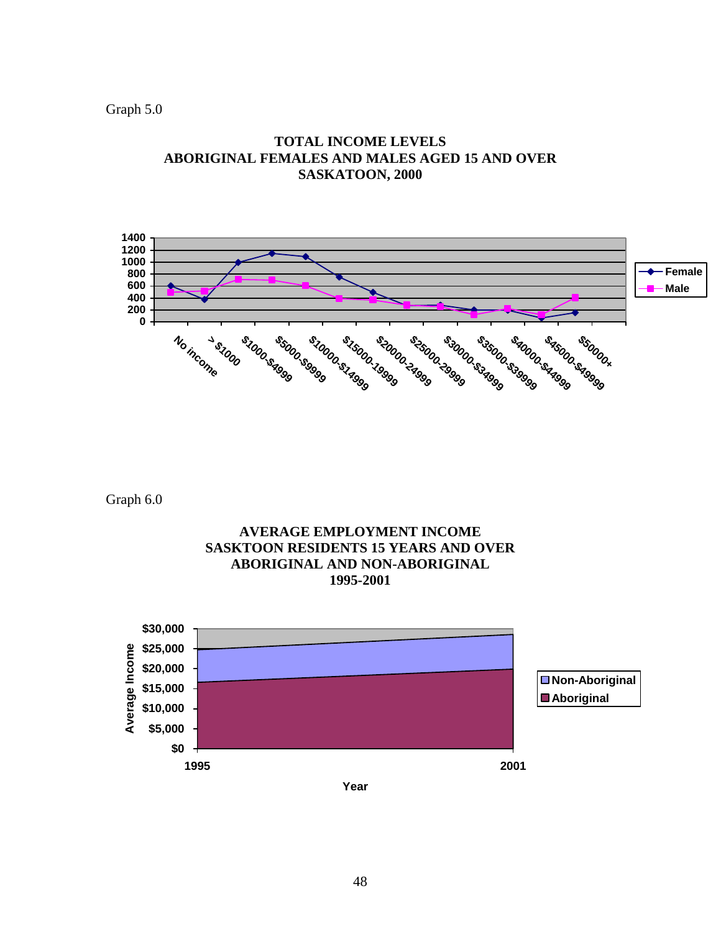Graph 5.0



**TOTAL INCOME LEVELS ABORIGINAL FEMALES AND MALES AGED 15 AND OVER SASKATOON, 2000** 

Graph 6.0

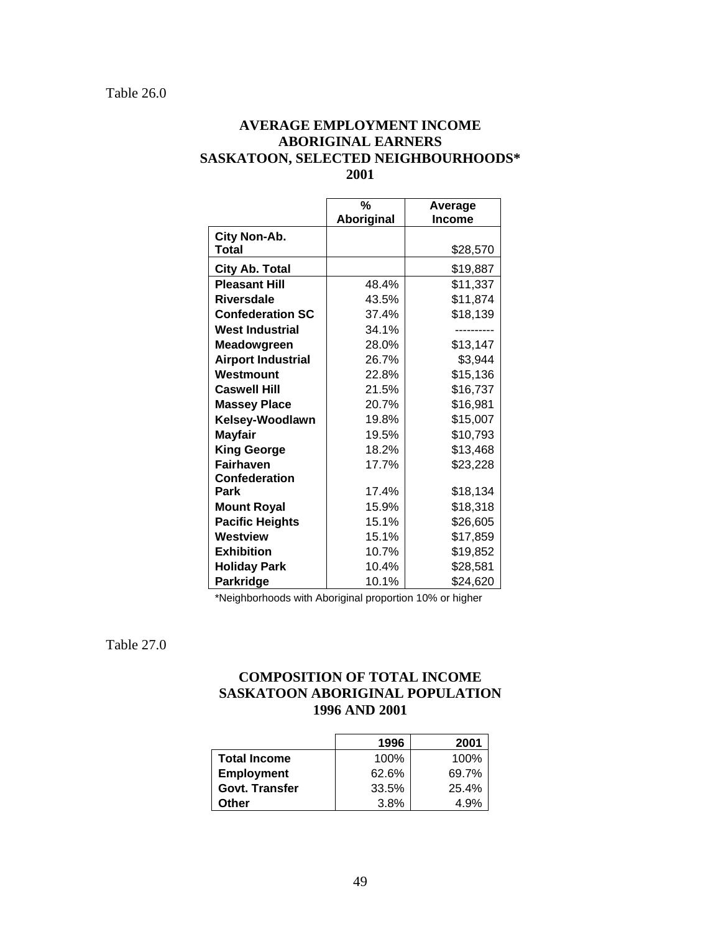### **AVERAGE EMPLOYMENT INCOME ABORIGINAL EARNERS SASKATOON, SELECTED NEIGHBOURHOODS\* 2001**

|                           | $\%$<br>Aboriginal | Average<br><b>Income</b> |
|---------------------------|--------------------|--------------------------|
| City Non-Ab.              |                    |                          |
| <b>Total</b>              |                    | \$28,570                 |
| City Ab. Total            |                    | \$19,887                 |
| <b>Pleasant Hill</b>      | 48.4%              | \$11,337                 |
| <b>Riversdale</b>         | 43.5%              | \$11,874                 |
| <b>Confederation SC</b>   | 37.4%              | \$18,139                 |
| <b>West Industrial</b>    | 34.1%              |                          |
| <b>Meadowgreen</b>        | 28.0%              | \$13,147                 |
| <b>Airport Industrial</b> | 26.7%              | \$3,944                  |
| Westmount                 | 22.8%              | \$15,136                 |
| <b>Caswell Hill</b>       | 21.5%              | \$16,737                 |
| <b>Massey Place</b>       | 20.7%              | \$16,981                 |
| Kelsey-Woodlawn           | 19.8%              | \$15,007                 |
| <b>Mayfair</b>            | 19.5%              | \$10,793                 |
| <b>King George</b>        | 18.2%              | \$13,468                 |
| <b>Fairhaven</b>          | 17.7%              | \$23,228                 |
| Confederation             |                    |                          |
| Park                      | 17.4%              | \$18,134                 |
| <b>Mount Royal</b>        | 15.9%              | \$18,318                 |
| <b>Pacific Heights</b>    | 15.1%              | \$26,605                 |
| Westview                  | 15.1%              | \$17,859                 |
| <b>Exhibition</b>         | 10.7%              | \$19,852                 |
| <b>Holiday Park</b>       | 10.4%              | \$28,581                 |
| <b>Parkridge</b>          | 10.1%              | \$24,620                 |

\*Neighborhoods with Aboriginal proportion 10% or higher

Table 27.0

### **COMPOSITION OF TOTAL INCOME SASKATOON ABORIGINAL POPULATION 1996 AND 2001**

|                       | 1996  | 2001  |
|-----------------------|-------|-------|
| <b>Total Income</b>   | 100%  | 100%  |
| <b>Employment</b>     | 62.6% | 69.7% |
| <b>Govt. Transfer</b> | 33.5% | 25.4% |
| Other                 | 3.8%  | 4.9%  |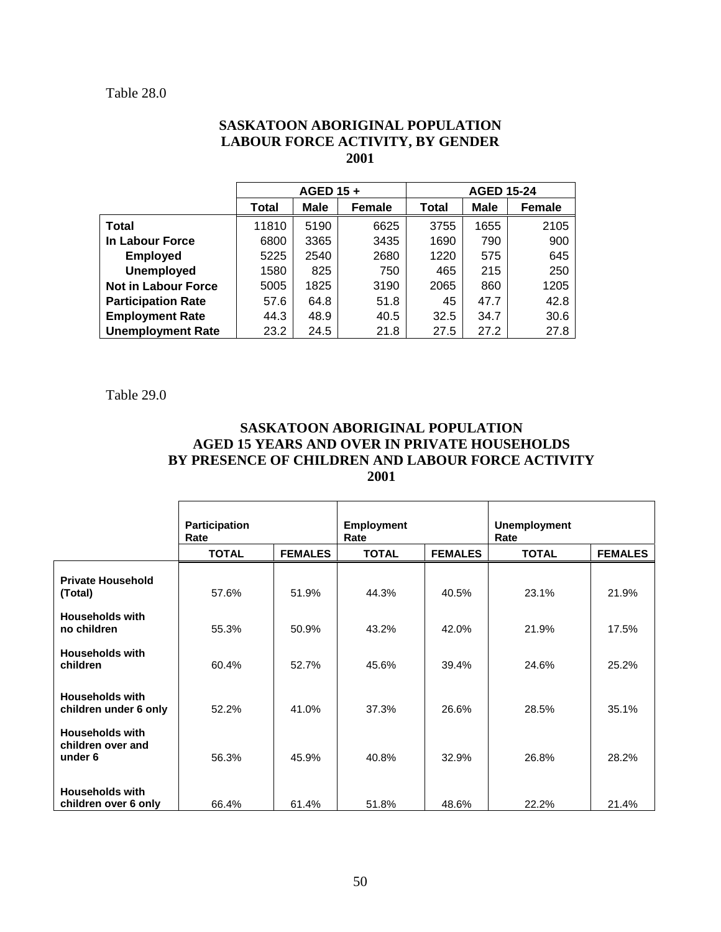#### Table 28.0

#### **SASKATOON ABORIGINAL POPULATION LABOUR FORCE ACTIVITY, BY GENDER 2001**

|                            | AGED 15+ |             |               | <b>AGED 15-24</b> |      |               |
|----------------------------|----------|-------------|---------------|-------------------|------|---------------|
|                            | Total    | <b>Male</b> | <b>Female</b> | Total             | Male | <b>Female</b> |
| Total                      | 11810    | 5190        | 6625          | 3755              | 1655 | 2105          |
| In Labour Force            | 6800     | 3365        | 3435          | 1690              | 790  | 900           |
| <b>Employed</b>            | 5225     | 2540        | 2680          | 1220              | 575  | 645           |
| <b>Unemployed</b>          | 1580     | 825         | 750           | 465               | 215  | 250           |
| <b>Not in Labour Force</b> | 5005     | 1825        | 3190          | 2065              | 860  | 1205          |
| <b>Participation Rate</b>  | 57.6     | 64.8        | 51.8          | 45                | 47.7 | 42.8          |
| <b>Employment Rate</b>     | 44.3     | 48.9        | 40.5          | 32.5              | 34.7 | 30.6          |
| <b>Unemployment Rate</b>   | 23.2     | 24.5        | 21.8          | 27.5              | 27.2 | 27.8          |

Table 29.0

### **SASKATOON ABORIGINAL POPULATION AGED 15 YEARS AND OVER IN PRIVATE HOUSEHOLDS BY PRESENCE OF CHILDREN AND LABOUR FORCE ACTIVITY 2001**

|                                                        | Participation<br>Rate |                | <b>Employment</b><br>Rate |                | <b>Unemployment</b><br>Rate |                |
|--------------------------------------------------------|-----------------------|----------------|---------------------------|----------------|-----------------------------|----------------|
|                                                        | <b>TOTAL</b>          | <b>FEMALES</b> | <b>TOTAL</b>              | <b>FEMALES</b> | <b>TOTAL</b>                | <b>FEMALES</b> |
| <b>Private Household</b><br>(Total)                    | 57.6%                 | 51.9%          | 44.3%                     | 40.5%          | 23.1%                       | 21.9%          |
| <b>Households with</b><br>no children                  | 55.3%                 | 50.9%          | 43.2%                     | 42.0%          | 21.9%                       | 17.5%          |
| <b>Households with</b><br>children                     | 60.4%                 | 52.7%          | 45.6%                     | 39.4%          | 24.6%                       | 25.2%          |
| <b>Households with</b><br>children under 6 only        | 52.2%                 | 41.0%          | 37.3%                     | 26.6%          | 28.5%                       | 35.1%          |
| <b>Households with</b><br>children over and<br>under 6 | 56.3%                 | 45.9%          | 40.8%                     | 32.9%          | 26.8%                       | 28.2%          |
| <b>Households with</b><br>children over 6 only         | 66.4%                 | 61.4%          | 51.8%                     | 48.6%          | 22.2%                       | 21.4%          |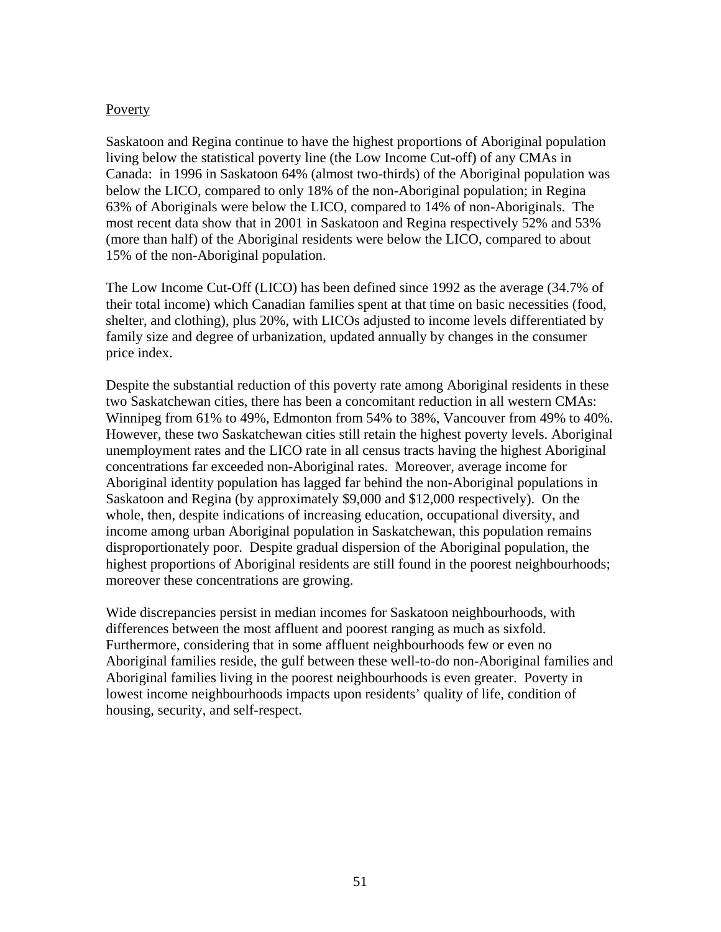#### Poverty

Saskatoon and Regina continue to have the highest proportions of Aboriginal population living below the statistical poverty line (the Low Income Cut-off) of any CMAs in Canada: in 1996 in Saskatoon 64% (almost two-thirds) of the Aboriginal population was below the LICO, compared to only 18% of the non-Aboriginal population; in Regina 63% of Aboriginals were below the LICO, compared to 14% of non-Aboriginals. The most recent data show that in 2001 in Saskatoon and Regina respectively 52% and 53% (more than half) of the Aboriginal residents were below the LICO, compared to about 15% of the non-Aboriginal population.

The Low Income Cut-Off (LICO) has been defined since 1992 as the average (34.7% of their total income) which Canadian families spent at that time on basic necessities (food, shelter, and clothing), plus 20%, with LICOs adjusted to income levels differentiated by family size and degree of urbanization, updated annually by changes in the consumer price index.

Despite the substantial reduction of this poverty rate among Aboriginal residents in these two Saskatchewan cities, there has been a concomitant reduction in all western CMAs: Winnipeg from 61% to 49%, Edmonton from 54% to 38%, Vancouver from 49% to 40%. However, these two Saskatchewan cities still retain the highest poverty levels. Aboriginal unemployment rates and the LICO rate in all census tracts having the highest Aboriginal concentrations far exceeded non-Aboriginal rates. Moreover, average income for Aboriginal identity population has lagged far behind the non-Aboriginal populations in Saskatoon and Regina (by approximately \$9,000 and \$12,000 respectively). On the whole, then, despite indications of increasing education, occupational diversity, and income among urban Aboriginal population in Saskatchewan, this population remains disproportionately poor. Despite gradual dispersion of the Aboriginal population, the highest proportions of Aboriginal residents are still found in the poorest neighbourhoods; moreover these concentrations are growing.

Wide discrepancies persist in median incomes for Saskatoon neighbourhoods, with differences between the most affluent and poorest ranging as much as sixfold. Furthermore, considering that in some affluent neighbourhoods few or even no Aboriginal families reside, the gulf between these well-to-do non-Aboriginal families and Aboriginal families living in the poorest neighbourhoods is even greater. Poverty in lowest income neighbourhoods impacts upon residents' quality of life, condition of housing, security, and self-respect.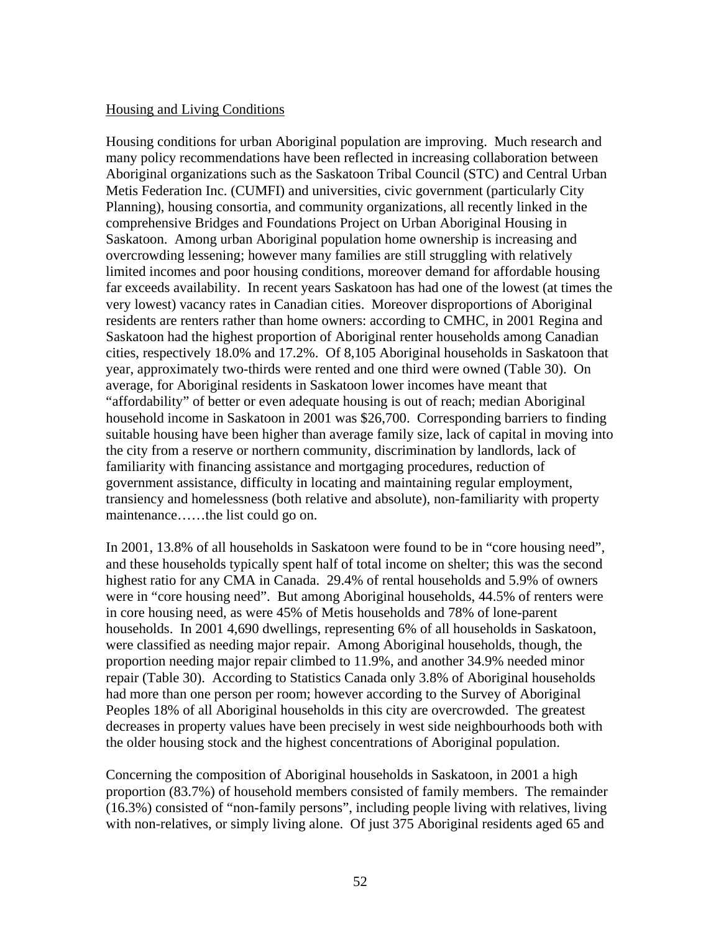### Housing and Living Conditions

Housing conditions for urban Aboriginal population are improving. Much research and many policy recommendations have been reflected in increasing collaboration between Aboriginal organizations such as the Saskatoon Tribal Council (STC) and Central Urban Metis Federation Inc. (CUMFI) and universities, civic government (particularly City Planning), housing consortia, and community organizations, all recently linked in the comprehensive Bridges and Foundations Project on Urban Aboriginal Housing in Saskatoon. Among urban Aboriginal population home ownership is increasing and overcrowding lessening; however many families are still struggling with relatively limited incomes and poor housing conditions, moreover demand for affordable housing far exceeds availability. In recent years Saskatoon has had one of the lowest (at times the very lowest) vacancy rates in Canadian cities. Moreover disproportions of Aboriginal residents are renters rather than home owners: according to CMHC, in 2001 Regina and Saskatoon had the highest proportion of Aboriginal renter households among Canadian cities, respectively 18.0% and 17.2%. Of 8,105 Aboriginal households in Saskatoon that year, approximately two-thirds were rented and one third were owned (Table 30). On average, for Aboriginal residents in Saskatoon lower incomes have meant that "affordability" of better or even adequate housing is out of reach; median Aboriginal household income in Saskatoon in 2001 was \$26,700. Corresponding barriers to finding suitable housing have been higher than average family size, lack of capital in moving into the city from a reserve or northern community, discrimination by landlords, lack of familiarity with financing assistance and mortgaging procedures, reduction of government assistance, difficulty in locating and maintaining regular employment, transiency and homelessness (both relative and absolute), non-familiarity with property maintenance……the list could go on.

In 2001, 13.8% of all households in Saskatoon were found to be in "core housing need", and these households typically spent half of total income on shelter; this was the second highest ratio for any CMA in Canada. 29.4% of rental households and 5.9% of owners were in "core housing need". But among Aboriginal households, 44.5% of renters were in core housing need, as were 45% of Metis households and 78% of lone-parent households. In 2001 4,690 dwellings, representing 6% of all households in Saskatoon, were classified as needing major repair. Among Aboriginal households, though, the proportion needing major repair climbed to 11.9%, and another 34.9% needed minor repair (Table 30). According to Statistics Canada only 3.8% of Aboriginal households had more than one person per room; however according to the Survey of Aboriginal Peoples 18% of all Aboriginal households in this city are overcrowded. The greatest decreases in property values have been precisely in west side neighbourhoods both with the older housing stock and the highest concentrations of Aboriginal population.

Concerning the composition of Aboriginal households in Saskatoon, in 2001 a high proportion (83.7%) of household members consisted of family members. The remainder (16.3%) consisted of "non-family persons", including people living with relatives, living with non-relatives, or simply living alone. Of just 375 Aboriginal residents aged 65 and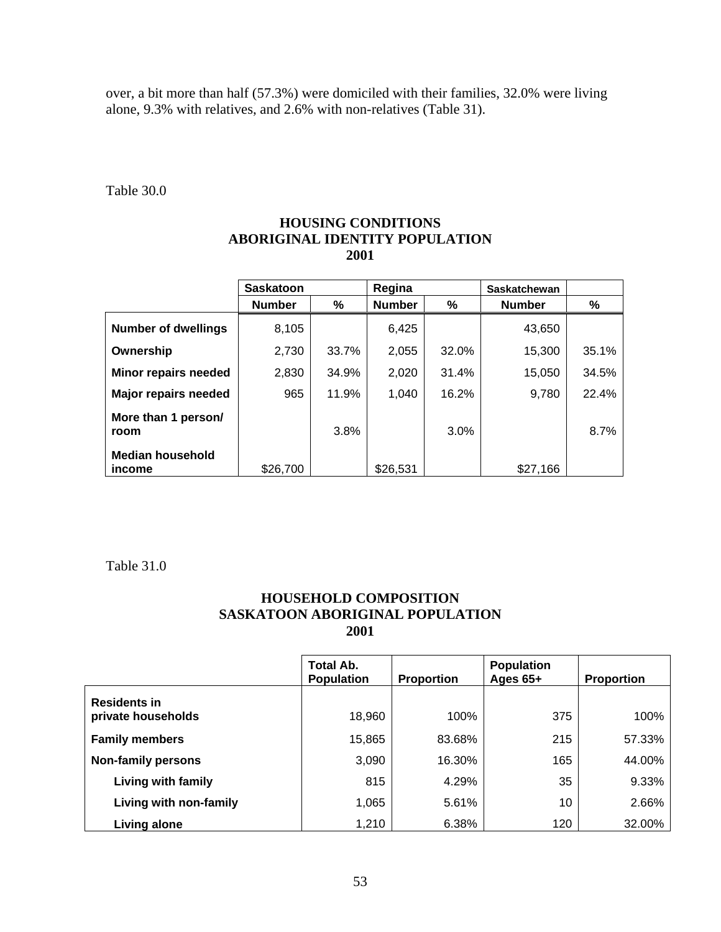over, a bit more than half (57.3%) were domiciled with their families, 32.0% were living alone, 9.3% with relatives, and 2.6% with non-relatives (Table 31).

Table 30.0

### **HOUSING CONDITIONS ABORIGINAL IDENTITY POPULATION 2001**

|                                          | <b>Saskatoon</b> |       | Regina        |         | <b>Saskatchewan</b> |       |
|------------------------------------------|------------------|-------|---------------|---------|---------------------|-------|
|                                          | <b>Number</b>    | %     | <b>Number</b> | %       | <b>Number</b>       | %     |
| <b>Number of dwellings</b>               | 8,105            |       | 6,425         |         | 43,650              |       |
| Ownership                                | 2,730            | 33.7% | 2,055         | 32.0%   | 15,300              | 35.1% |
| Minor repairs needed                     | 2,830            | 34.9% | 2,020         | 31.4%   | 15,050              | 34.5% |
| Major repairs needed                     | 965              | 11.9% | 1.040         | 16.2%   | 9,780               | 22.4% |
| More than 1 person/<br>room              |                  | 3.8%  |               | $3.0\%$ |                     | 8.7%  |
| <b>Median household</b><br><i>income</i> | \$26,700         |       | \$26,531      |         | \$27,166            |       |

Table 31.0

### **HOUSEHOLD COMPOSITION SASKATOON ABORIGINAL POPULATION 2001**

|                                           | Total Ab.<br><b>Population</b> | <b>Proportion</b> | <b>Population</b><br>Ages $65+$ | <b>Proportion</b> |
|-------------------------------------------|--------------------------------|-------------------|---------------------------------|-------------------|
| <b>Residents in</b><br>private households | 18,960                         | 100%              | 375                             | 100%              |
| <b>Family members</b>                     | 15,865                         | 83.68%            | 215                             | 57.33%            |
| <b>Non-family persons</b>                 | 3,090                          | 16.30%            | 165                             | 44.00%            |
| Living with family                        | 815                            | 4.29%             | 35                              | 9.33%             |
| Living with non-family                    | 1,065                          | 5.61%             | 10                              | 2.66%             |
| <b>Living alone</b>                       | 1,210                          | 6.38%             | 120                             | 32.00%            |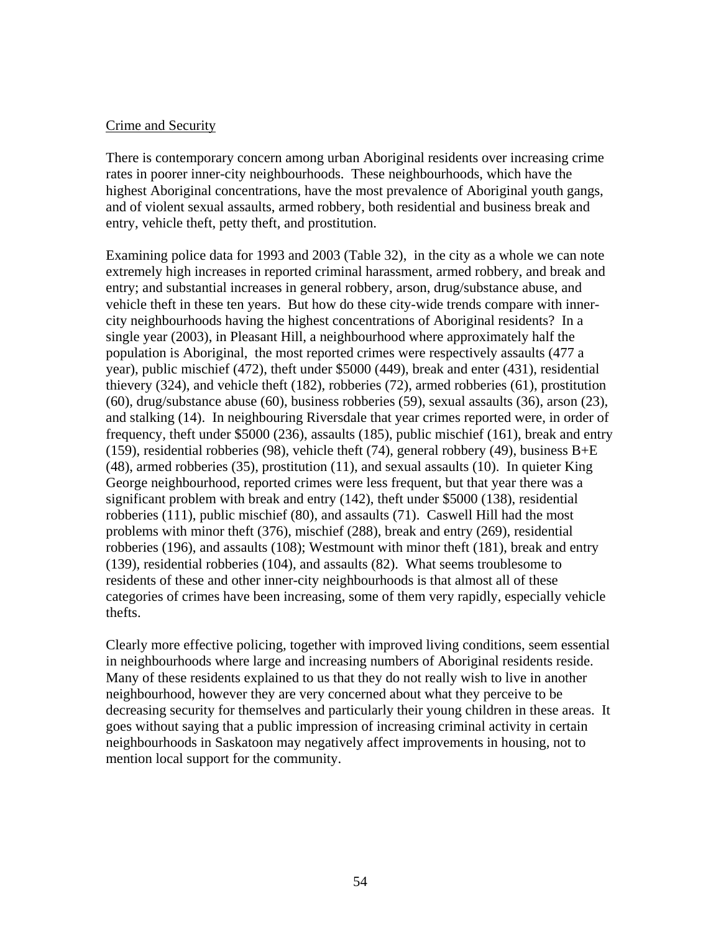#### Crime and Security

There is contemporary concern among urban Aboriginal residents over increasing crime rates in poorer inner-city neighbourhoods. These neighbourhoods, which have the highest Aboriginal concentrations, have the most prevalence of Aboriginal youth gangs, and of violent sexual assaults, armed robbery, both residential and business break and entry, vehicle theft, petty theft, and prostitution.

Examining police data for 1993 and 2003 (Table 32), in the city as a whole we can note extremely high increases in reported criminal harassment, armed robbery, and break and entry; and substantial increases in general robbery, arson, drug/substance abuse, and vehicle theft in these ten years. But how do these city-wide trends compare with innercity neighbourhoods having the highest concentrations of Aboriginal residents? In a single year (2003), in Pleasant Hill, a neighbourhood where approximately half the population is Aboriginal, the most reported crimes were respectively assaults (477 a year), public mischief (472), theft under \$5000 (449), break and enter (431), residential thievery (324), and vehicle theft (182), robberies (72), armed robberies (61), prostitution (60), drug/substance abuse (60), business robberies (59), sexual assaults (36), arson (23), and stalking (14). In neighbouring Riversdale that year crimes reported were, in order of frequency, theft under \$5000 (236), assaults (185), public mischief (161), break and entry (159), residential robberies (98), vehicle theft (74), general robbery (49), business B+E (48), armed robberies (35), prostitution (11), and sexual assaults (10). In quieter King George neighbourhood, reported crimes were less frequent, but that year there was a significant problem with break and entry (142), theft under \$5000 (138), residential robberies (111), public mischief (80), and assaults (71). Caswell Hill had the most problems with minor theft (376), mischief (288), break and entry (269), residential robberies (196), and assaults (108); Westmount with minor theft (181), break and entry (139), residential robberies (104), and assaults (82). What seems troublesome to residents of these and other inner-city neighbourhoods is that almost all of these categories of crimes have been increasing, some of them very rapidly, especially vehicle thefts.

Clearly more effective policing, together with improved living conditions, seem essential in neighbourhoods where large and increasing numbers of Aboriginal residents reside. Many of these residents explained to us that they do not really wish to live in another neighbourhood, however they are very concerned about what they perceive to be decreasing security for themselves and particularly their young children in these areas. It goes without saying that a public impression of increasing criminal activity in certain neighbourhoods in Saskatoon may negatively affect improvements in housing, not to mention local support for the community.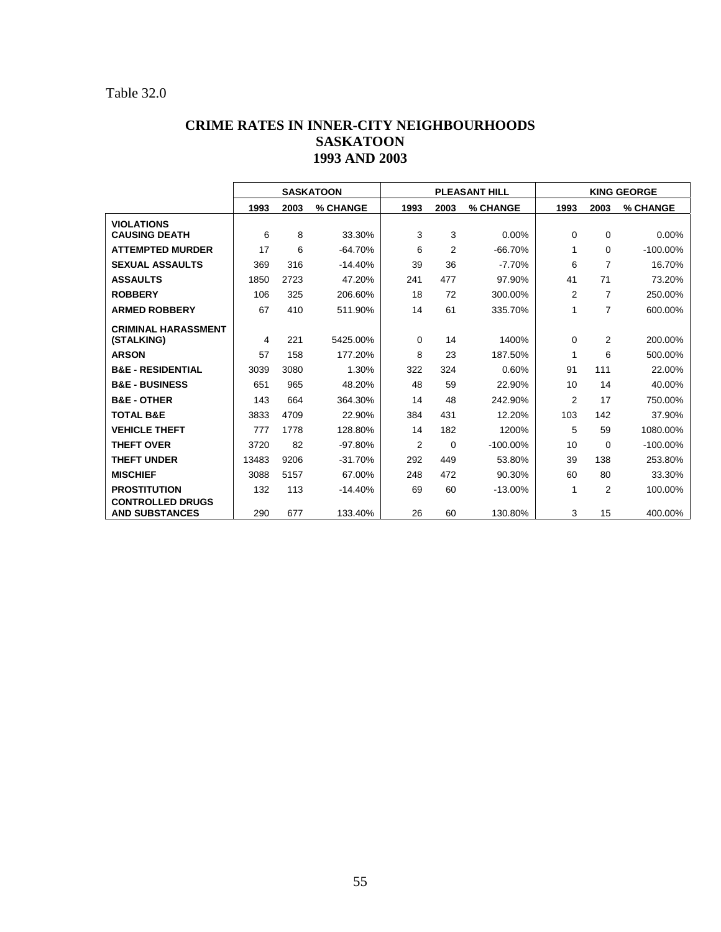### Table 32.0

### **CRIME RATES IN INNER-CITY NEIGHBOURHOODS SASKATOON 1993 AND 2003**

|                                                  | <b>SASKATOON</b> |      |           | <b>PLEASANT HILL</b> |                |             | <b>KING GEORGE</b> |                |             |
|--------------------------------------------------|------------------|------|-----------|----------------------|----------------|-------------|--------------------|----------------|-------------|
|                                                  | 1993             | 2003 | % CHANGE  | 1993                 | 2003           | % CHANGE    | 1993               | 2003           | % CHANGE    |
| <b>VIOLATIONS</b><br><b>CAUSING DEATH</b>        | 6                | 8    | 33.30%    | 3                    | 3              | 0.00%       | 0                  | $\mathbf 0$    | 0.00%       |
| <b>ATTEMPTED MURDER</b>                          | 17               | 6    | $-64.70%$ | 6                    | $\overline{2}$ | $-66.70%$   | 1                  | 0              | $-100.00\%$ |
| <b>SEXUAL ASSAULTS</b>                           |                  | 316  |           |                      |                |             |                    |                |             |
|                                                  | 369              |      | $-14.40%$ | 39                   | 36             | $-7.70%$    | 6                  | $\overline{7}$ | 16.70%      |
| <b>ASSAULTS</b>                                  | 1850             | 2723 | 47.20%    | 241                  | 477            | 97.90%      | 41                 | 71             | 73.20%      |
| <b>ROBBERY</b>                                   | 106              | 325  | 206.60%   | 18                   | 72             | 300.00%     | 2                  | $\overline{7}$ | 250.00%     |
| <b>ARMED ROBBERY</b>                             | 67               | 410  | 511.90%   | 14                   | 61             | 335.70%     | 1                  | $\overline{7}$ | 600.00%     |
| <b>CRIMINAL HARASSMENT</b><br>(STALKING)         | 4                | 221  | 5425.00%  | 0                    | 14             | 1400%       | 0                  | 2              | 200.00%     |
| <b>ARSON</b>                                     | 57               | 158  | 177.20%   | 8                    | 23             | 187.50%     | 1                  | 6              | 500.00%     |
| <b>B&amp;E - RESIDENTIAL</b>                     | 3039             | 3080 | 1.30%     | 322                  | 324            | 0.60%       | 91                 | 111            | 22.00%      |
| <b>B&amp;E - BUSINESS</b>                        | 651              | 965  | 48.20%    | 48                   | 59             | 22.90%      | 10                 | 14             | 40.00%      |
| <b>B&amp;E - OTHER</b>                           | 143              | 664  | 364.30%   | 14                   | 48             | 242.90%     | $\overline{2}$     | 17             | 750.00%     |
| <b>TOTAL B&amp;E</b>                             | 3833             | 4709 | 22.90%    | 384                  | 431            | 12.20%      | 103                | 142            | 37.90%      |
| <b>VEHICLE THEFT</b>                             | 777              | 1778 | 128.80%   | 14                   | 182            | 1200%       | 5                  | 59             | 1080.00%    |
| <b>THEFT OVER</b>                                | 3720             | 82   | $-97.80%$ | 2                    | $\mathbf 0$    | $-100.00\%$ | 10                 | 0              | $-100.00\%$ |
| <b>THEFT UNDER</b>                               | 13483            | 9206 | $-31.70%$ | 292                  | 449            | 53.80%      | 39                 | 138            | 253.80%     |
| <b>MISCHIEF</b>                                  | 3088             | 5157 | 67.00%    | 248                  | 472            | 90.30%      | 60                 | 80             | 33.30%      |
| <b>PROSTITUTION</b>                              | 132              | 113  | $-14.40%$ | 69                   | 60             | $-13.00%$   | 1                  | $\overline{2}$ | 100.00%     |
| <b>CONTROLLED DRUGS</b><br><b>AND SUBSTANCES</b> | 290              | 677  | 133.40%   | 26                   | 60             | 130.80%     | 3                  | 15             | 400.00%     |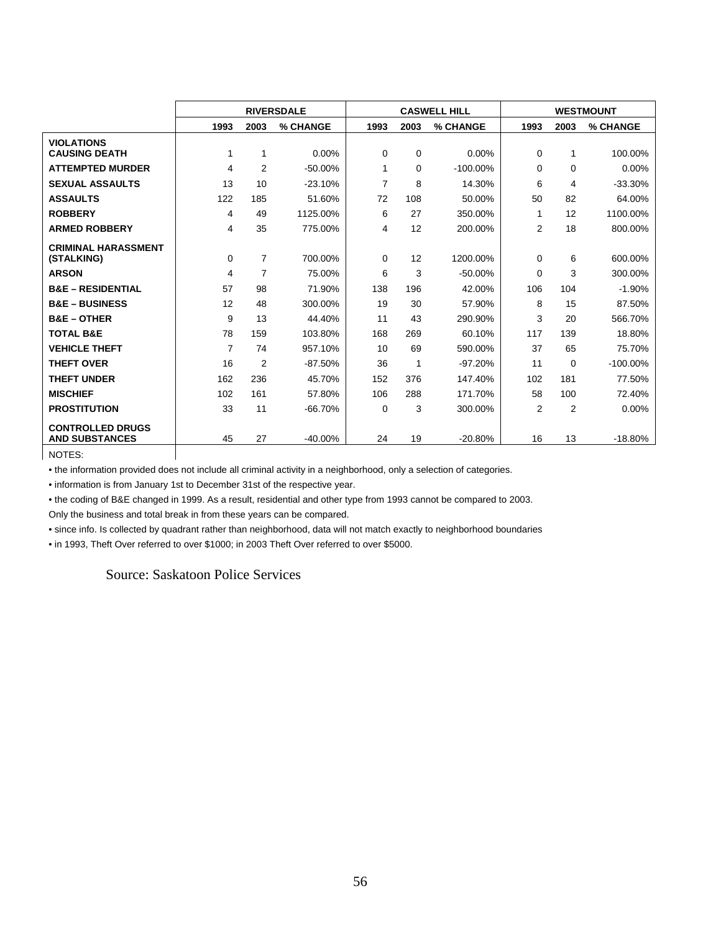|                              | <b>RIVERSDALE</b> |                |            | <b>CASWELL HILL</b> |      |             | <b>WESTMOUNT</b> |                |             |
|------------------------------|-------------------|----------------|------------|---------------------|------|-------------|------------------|----------------|-------------|
|                              | 1993              | 2003           | % CHANGE   | 1993                | 2003 | % CHANGE    | 1993             | 2003           | % CHANGE    |
| <b>VIOLATIONS</b>            |                   |                |            |                     |      |             |                  |                |             |
| <b>CAUSING DEATH</b>         | 1                 | 1              | 0.00%      | 0                   | 0    | 0.00%       | 0                | 1              | 100.00%     |
| <b>ATTEMPTED MURDER</b>      | 4                 | 2              | $-50.00\%$ | 1                   | 0    | $-100.00\%$ | $\Omega$         | $\Omega$       | 0.00%       |
| <b>SEXUAL ASSAULTS</b>       | 13                | 10             | $-23.10%$  | $\overline{7}$      | 8    | 14.30%      | 6                | 4              | $-33.30%$   |
| <b>ASSAULTS</b>              | 122               | 185            | 51.60%     | 72                  | 108  | 50.00%      | 50               | 82             | 64.00%      |
| <b>ROBBERY</b>               | 4                 | 49             | 1125.00%   | 6                   | 27   | 350.00%     | 1                | 12             | 1100.00%    |
| <b>ARMED ROBBERY</b>         | 4                 | 35             | 775.00%    | 4                   | 12   | 200.00%     | 2                | 18             | 800.00%     |
| <b>CRIMINAL HARASSMENT</b>   |                   |                |            |                     |      |             |                  |                |             |
| (STALKING)                   | 0                 | 7              | 700.00%    | $\Omega$            | 12   | 1200.00%    | 0                | 6              | 600.00%     |
| <b>ARSON</b>                 | 4                 | 7              | 75.00%     | 6                   | 3    | $-50.00%$   | $\Omega$         | 3              | 300.00%     |
| <b>B&amp;E - RESIDENTIAL</b> | 57                | 98             | 71.90%     | 138                 | 196  | 42.00%      | 106              | 104            | $-1.90%$    |
| <b>B&amp;E - BUSINESS</b>    | 12                | 48             | 300.00%    | 19                  | 30   | 57.90%      | 8                | 15             | 87.50%      |
| <b>B&amp;E - OTHER</b>       | 9                 | 13             | 44.40%     | 11                  | 43   | 290.90%     | 3                | 20             | 566.70%     |
| <b>TOTAL B&amp;E</b>         | 78                | 159            | 103.80%    | 168                 | 269  | 60.10%      | 117              | 139            | 18.80%      |
| <b>VEHICLE THEFT</b>         | $\overline{7}$    | 74             | 957.10%    | 10                  | 69   | 590.00%     | 37               | 65             | 75.70%      |
| <b>THEFT OVER</b>            | 16                | $\overline{2}$ | $-87.50%$  | 36                  | 1    | $-97.20%$   | 11               | $\Omega$       | $-100.00\%$ |
| <b>THEFT UNDER</b>           | 162               | 236            | 45.70%     | 152                 | 376  | 147.40%     | 102              | 181            | 77.50%      |
| <b>MISCHIEF</b>              | 102               | 161            | 57.80%     | 106                 | 288  | 171.70%     | 58               | 100            | 72.40%      |
| <b>PROSTITUTION</b>          | 33                | 11             | $-66.70%$  | $\Omega$            | 3    | 300.00%     | $\overline{2}$   | $\overline{2}$ | 0.00%       |
| <b>CONTROLLED DRUGS</b>      |                   |                |            |                     |      |             |                  |                |             |
| <b>AND SUBSTANCES</b>        | 45                | 27             | $-40.00\%$ | 24                  | 19   | $-20.80%$   | 16               | 13             | $-18.80%$   |

NOTES:

• the information provided does not include all criminal activity in a neighborhood, only a selection of categories.

• information is from January 1st to December 31st of the respective year.

• the coding of B&E changed in 1999. As a result, residential and other type from 1993 cannot be compared to 2003. Only the business and total break in from these years can be compared.

• since info. Is collected by quadrant rather than neighborhood, data will not match exactly to neighborhood boundaries

• in 1993, Theft Over referred to over \$1000; in 2003 Theft Over referred to over \$5000.

Source: Saskatoon Police Services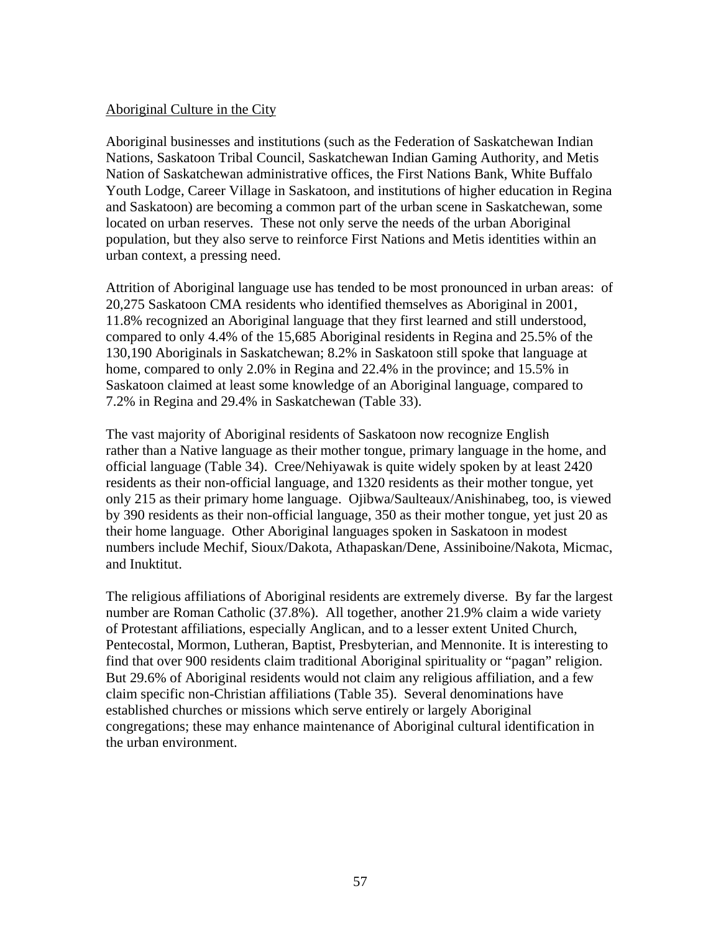#### Aboriginal Culture in the City

Aboriginal businesses and institutions (such as the Federation of Saskatchewan Indian Nations, Saskatoon Tribal Council, Saskatchewan Indian Gaming Authority, and Metis Nation of Saskatchewan administrative offices, the First Nations Bank, White Buffalo Youth Lodge, Career Village in Saskatoon, and institutions of higher education in Regina and Saskatoon) are becoming a common part of the urban scene in Saskatchewan, some located on urban reserves. These not only serve the needs of the urban Aboriginal population, but they also serve to reinforce First Nations and Metis identities within an urban context, a pressing need.

Attrition of Aboriginal language use has tended to be most pronounced in urban areas: of 20,275 Saskatoon CMA residents who identified themselves as Aboriginal in 2001, 11.8% recognized an Aboriginal language that they first learned and still understood, compared to only 4.4% of the 15,685 Aboriginal residents in Regina and 25.5% of the 130,190 Aboriginals in Saskatchewan; 8.2% in Saskatoon still spoke that language at home, compared to only 2.0% in Regina and 22.4% in the province; and 15.5% in Saskatoon claimed at least some knowledge of an Aboriginal language, compared to 7.2% in Regina and 29.4% in Saskatchewan (Table 33).

The vast majority of Aboriginal residents of Saskatoon now recognize English rather than a Native language as their mother tongue, primary language in the home, and official language (Table 34). Cree/Nehiyawak is quite widely spoken by at least 2420 residents as their non-official language, and 1320 residents as their mother tongue, yet only 215 as their primary home language. Ojibwa/Saulteaux/Anishinabeg, too, is viewed by 390 residents as their non-official language, 350 as their mother tongue, yet just 20 as their home language. Other Aboriginal languages spoken in Saskatoon in modest numbers include Mechif, Sioux/Dakota, Athapaskan/Dene, Assiniboine/Nakota, Micmac, and Inuktitut.

The religious affiliations of Aboriginal residents are extremely diverse. By far the largest number are Roman Catholic (37.8%). All together, another 21.9% claim a wide variety of Protestant affiliations, especially Anglican, and to a lesser extent United Church, Pentecostal, Mormon, Lutheran, Baptist, Presbyterian, and Mennonite. It is interesting to find that over 900 residents claim traditional Aboriginal spirituality or "pagan" religion. But 29.6% of Aboriginal residents would not claim any religious affiliation, and a few claim specific non-Christian affiliations (Table 35). Several denominations have established churches or missions which serve entirely or largely Aboriginal congregations; these may enhance maintenance of Aboriginal cultural identification in the urban environment.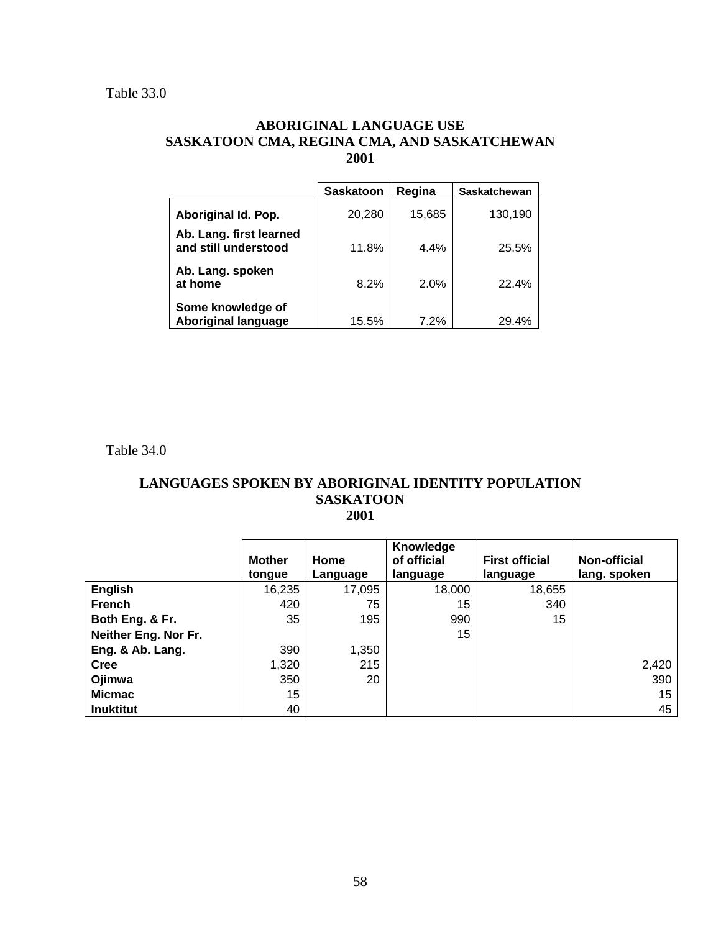### **ABORIGINAL LANGUAGE USE SASKATOON CMA, REGINA CMA, AND SASKATCHEWAN 2001**

|                                                 | <b>Saskatoon</b> | Regina  | <b>Saskatchewan</b> |
|-------------------------------------------------|------------------|---------|---------------------|
| Aboriginal Id. Pop.                             | 20,280           | 15,685  | 130,190             |
| Ab. Lang. first learned<br>and still understood | 11.8%            | $4.4\%$ | 25.5%               |
| Ab. Lang. spoken<br>at home                     | 8.2%             | 2.0%    | 22.4%               |
| Some knowledge of<br><b>Aboriginal language</b> | 15.5%            | 7.2%    | 29.4%               |

Table 34.0

### **LANGUAGES SPOKEN BY ABORIGINAL IDENTITY POPULATION SASKATOON 2001**

|                      | <b>Mother</b><br>tongue | Home<br>Language | Knowledge<br>of official<br>language | <b>First official</b><br>language | <b>Non-official</b><br>lang. spoken |
|----------------------|-------------------------|------------------|--------------------------------------|-----------------------------------|-------------------------------------|
| <b>English</b>       | 16,235                  | 17,095           | 18,000                               | 18,655                            |                                     |
| <b>French</b>        | 420                     | 75               | 15                                   | 340                               |                                     |
| Both Eng. & Fr.      | 35                      | 195              | 990                                  | 15                                |                                     |
| Neither Eng. Nor Fr. |                         |                  | 15                                   |                                   |                                     |
| Eng. & Ab. Lang.     | 390                     | 1,350            |                                      |                                   |                                     |
| <b>Cree</b>          | 1,320                   | 215              |                                      |                                   | 2,420                               |
| Ojimwa               | 350                     | 20               |                                      |                                   | 390                                 |
| <b>Micmac</b>        | 15                      |                  |                                      |                                   | 15                                  |
| <b>Inuktitut</b>     | 40                      |                  |                                      |                                   | 45                                  |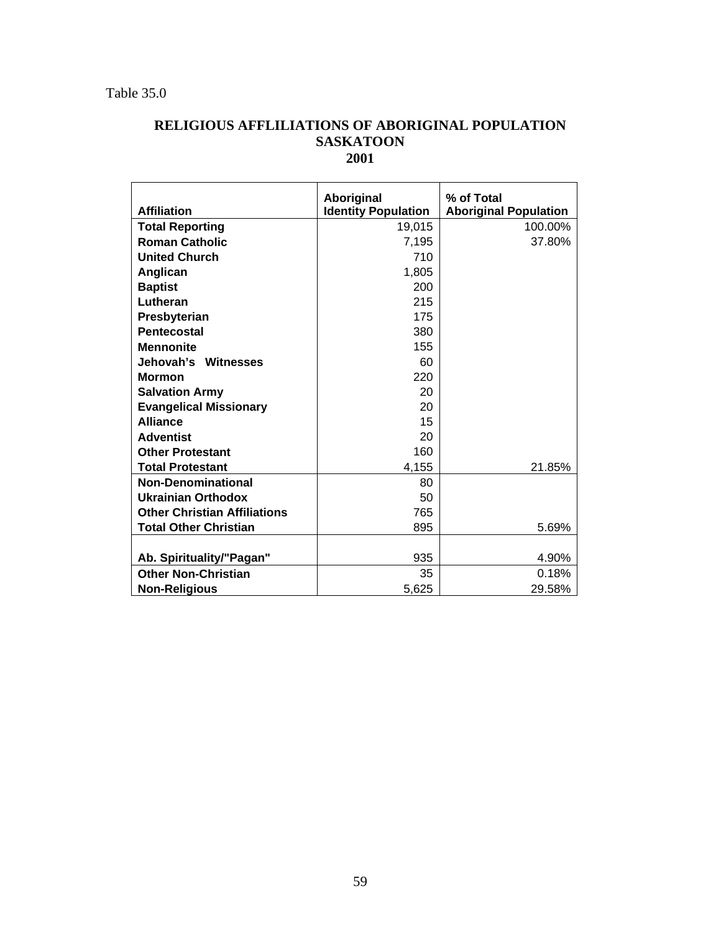### **RELIGIOUS AFFLILIATIONS OF ABORIGINAL POPULATION SASKATOON 2001**

|                                     | Aboriginal                 | % of Total                   |
|-------------------------------------|----------------------------|------------------------------|
| <b>Affiliation</b>                  | <b>Identity Population</b> | <b>Aboriginal Population</b> |
| <b>Total Reporting</b>              | 19,015                     | 100.00%                      |
| <b>Roman Catholic</b>               | 7,195                      | 37.80%                       |
| <b>United Church</b>                | 710                        |                              |
| Anglican                            | 1,805                      |                              |
| <b>Baptist</b>                      | 200                        |                              |
| Lutheran                            | 215                        |                              |
| Presbyterian                        | 175                        |                              |
| <b>Pentecostal</b>                  | 380                        |                              |
| <b>Mennonite</b>                    | 155                        |                              |
| Jehovah's Witnesses                 | 60                         |                              |
| <b>Mormon</b>                       | 220                        |                              |
| <b>Salvation Army</b>               | 20                         |                              |
| <b>Evangelical Missionary</b>       | 20                         |                              |
| <b>Alliance</b>                     | 15                         |                              |
| <b>Adventist</b>                    | 20                         |                              |
| <b>Other Protestant</b>             | 160                        |                              |
| <b>Total Protestant</b>             | 4,155                      | 21.85%                       |
| <b>Non-Denominational</b>           | 80                         |                              |
| <b>Ukrainian Orthodox</b>           | 50                         |                              |
| <b>Other Christian Affiliations</b> | 765                        |                              |
| <b>Total Other Christian</b>        | 895                        | 5.69%                        |
|                                     |                            |                              |
| Ab. Spirituality/"Pagan"            | 935                        | 4.90%                        |
| <b>Other Non-Christian</b>          | 35                         | 0.18%                        |
| <b>Non-Religious</b>                | 5,625                      | 29.58%                       |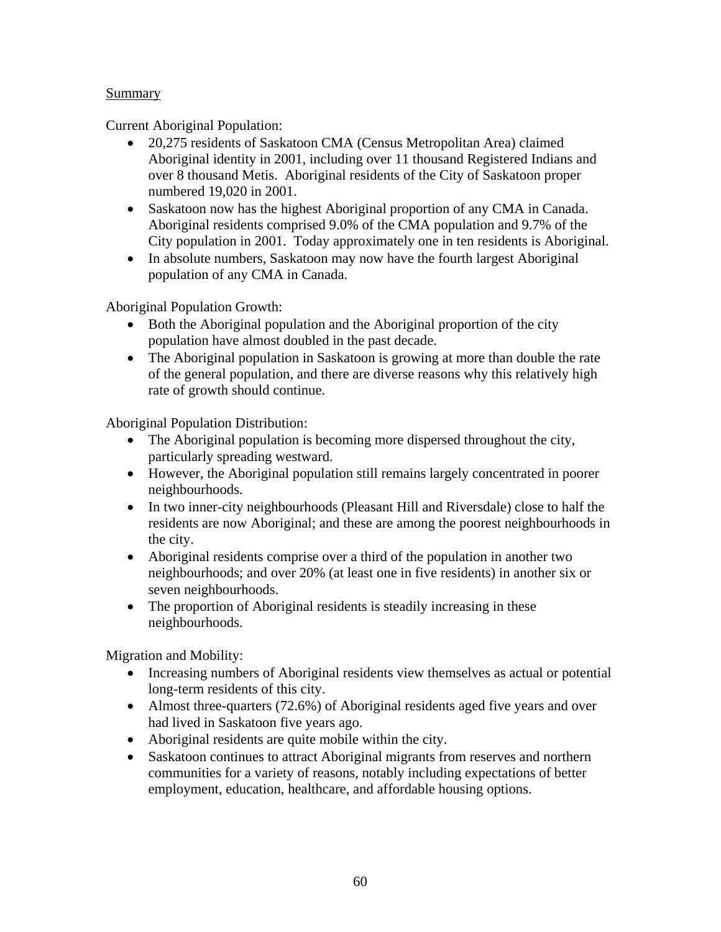### Summary

Current Aboriginal Population:

- 20,275 residents of Saskatoon CMA (Census Metropolitan Area) claimed Aboriginal identity in 2001, including over 11 thousand Registered Indians and over 8 thousand Metis. Aboriginal residents of the City of Saskatoon proper numbered 19,020 in 2001.
- Saskatoon now has the highest Aboriginal proportion of any CMA in Canada. Aboriginal residents comprised 9.0% of the CMA population and 9.7% of the City population in 2001. Today approximately one in ten residents is Aboriginal.
- In absolute numbers, Saskatoon may now have the fourth largest Aboriginal population of any CMA in Canada.

Aboriginal Population Growth:

- Both the Aboriginal population and the Aboriginal proportion of the city population have almost doubled in the past decade.
- The Aboriginal population in Saskatoon is growing at more than double the rate of the general population, and there are diverse reasons why this relatively high rate of growth should continue.

Aboriginal Population Distribution:

- The Aboriginal population is becoming more dispersed throughout the city, particularly spreading westward.
- However, the Aboriginal population still remains largely concentrated in poorer neighbourhoods.
- In two inner-city neighbourhoods (Pleasant Hill and Riversdale) close to half the residents are now Aboriginal; and these are among the poorest neighbourhoods in the city.
- Aboriginal residents comprise over a third of the population in another two neighbourhoods; and over 20% (at least one in five residents) in another six or seven neighbourhoods.
- The proportion of Aboriginal residents is steadily increasing in these neighbourhoods.

Migration and Mobility:

- Increasing numbers of Aboriginal residents view themselves as actual or potential long-term residents of this city.
- Almost three-quarters (72.6%) of Aboriginal residents aged five years and over had lived in Saskatoon five years ago.
- Aboriginal residents are quite mobile within the city.
- Saskatoon continues to attract Aboriginal migrants from reserves and northern communities for a variety of reasons, notably including expectations of better employment, education, healthcare, and affordable housing options.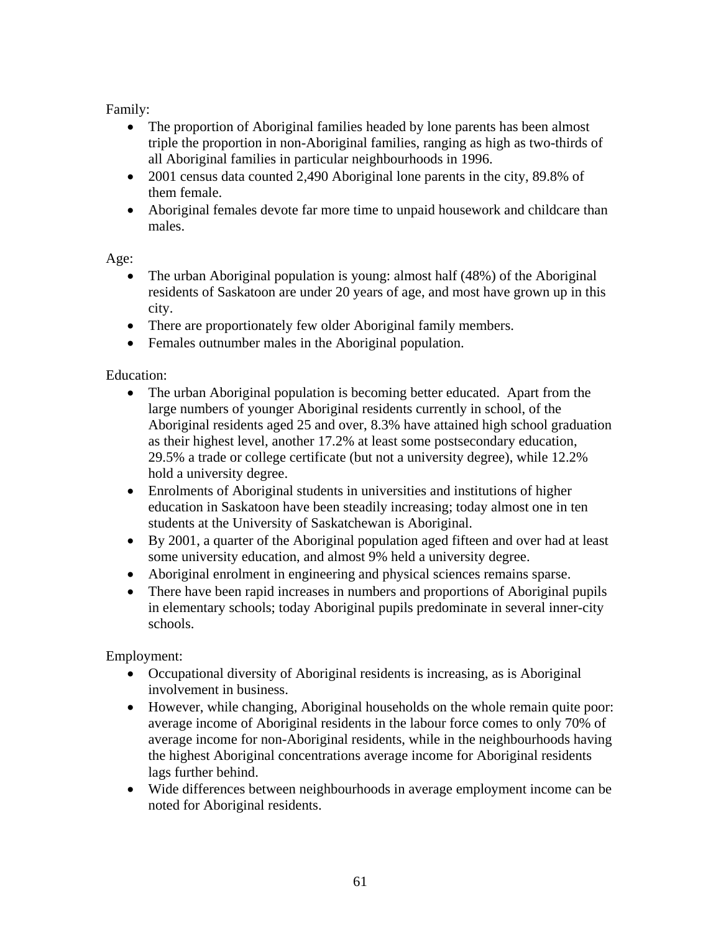Family:

- The proportion of Aboriginal families headed by lone parents has been almost triple the proportion in non-Aboriginal families, ranging as high as two-thirds of all Aboriginal families in particular neighbourhoods in 1996.
- 2001 census data counted 2,490 Aboriginal lone parents in the city, 89.8% of them female.
- Aboriginal females devote far more time to unpaid housework and childcare than males.

Age:

- The urban Aboriginal population is young: almost half (48%) of the Aboriginal residents of Saskatoon are under 20 years of age, and most have grown up in this city.
- There are proportionately few older Aboriginal family members.
- Females outnumber males in the Aboriginal population.

## Education:

- The urban Aboriginal population is becoming better educated. Apart from the large numbers of younger Aboriginal residents currently in school, of the Aboriginal residents aged 25 and over, 8.3% have attained high school graduation as their highest level, another 17.2% at least some postsecondary education, 29.5% a trade or college certificate (but not a university degree), while 12.2% hold a university degree.
- Enrolments of Aboriginal students in universities and institutions of higher education in Saskatoon have been steadily increasing; today almost one in ten students at the University of Saskatchewan is Aboriginal.
- By 2001, a quarter of the Aboriginal population aged fifteen and over had at least some university education, and almost 9% held a university degree.
- Aboriginal enrolment in engineering and physical sciences remains sparse.
- There have been rapid increases in numbers and proportions of Aboriginal pupils in elementary schools; today Aboriginal pupils predominate in several inner-city schools.

Employment:

- Occupational diversity of Aboriginal residents is increasing, as is Aboriginal involvement in business.
- However, while changing, Aboriginal households on the whole remain quite poor: average income of Aboriginal residents in the labour force comes to only 70% of average income for non-Aboriginal residents, while in the neighbourhoods having the highest Aboriginal concentrations average income for Aboriginal residents lags further behind.
- Wide differences between neighbourhoods in average employment income can be noted for Aboriginal residents.